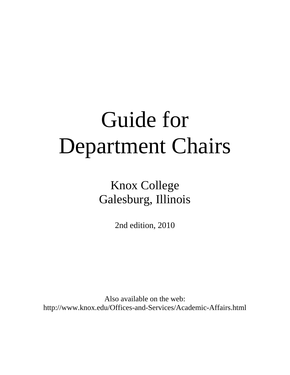# Guide for Department Chairs

Knox College Galesburg, Illinois

2nd edition, 2010

Also available on the web: http://www.knox.edu/Offices-and-Services/Academic-Affairs.html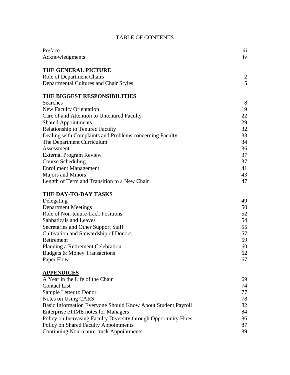# TABLE OF CONTENTS

| Preface                                                          | 111 |
|------------------------------------------------------------------|-----|
| Acknowledgments                                                  | iv  |
|                                                                  |     |
| <b>THE GENERAL PICTURE</b>                                       |     |
| <b>Role of Department Chairs</b>                                 | 2   |
| Departmental Cultures and Chair Styles                           | 5   |
|                                                                  |     |
| <b>THE BIGGEST RESPONSIBILITIES</b>                              |     |
| Searches                                                         | 8   |
| <b>New Faculty Orientation</b>                                   | 19  |
| Care of and Attention to Untenured Faculty                       | 22  |
| <b>Shared Appointments</b>                                       | 29  |
| <b>Relationship to Tenured Faculty</b>                           | 32  |
| Dealing with Complaints and Problems concerning Faculty          | 33  |
| The Department Curriculum                                        | 34  |
| Assessment                                                       | 36  |
| <b>External Program Review</b>                                   | 37  |
| <b>Course Scheduling</b>                                         | 37  |
| <b>Enrollment Management</b>                                     | 41  |
| Majors and Minors                                                | 43  |
| Length of Term and Transition to a New Chair                     | 47  |
|                                                                  |     |
| <b>THE DAY-TO-DAY TASKS</b>                                      | 49  |
| Delegating                                                       |     |
| <b>Department Meetings</b>                                       | 50  |
| Role of Non-tenure-track Positions                               | 52  |
| Sabbaticals and Leaves                                           | 54  |
| Secretaries and Other Support Staff                              | 55  |
| <b>Cultivation and Stewardship of Donors</b>                     | 57  |
| Retirement                                                       | 59  |
| Planning a Retirement Celebration                                | 60  |
| <b>Budgets &amp; Money Transactions</b>                          | 62  |
| Paper Flow                                                       | 67  |
| <b>APPENDICES</b>                                                |     |
| A Year in the Life of the Chair                                  | 69  |
| <b>Contact List</b>                                              | 74  |
| Sample Letter to Donor                                           | 77  |
|                                                                  |     |
| Notes on Using CARS                                              | 78  |
| Basic Information Everyone Should Know About Student Payroll     | 82  |
| <b>Enterprise eTIME</b> notes for Managers                       | 84  |
| Policy on Increasing Faculty Diversity through Opportunity Hires | 86  |
| Policy on Shared Faculty Appointments                            | 87  |
| Continuing Non-tenure-track Appointments                         | 89  |
|                                                                  |     |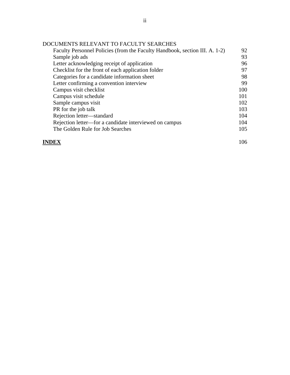| Faculty Personnel Policies (from the Faculty Handbook, section III. A. 1-2) | 92  |
|-----------------------------------------------------------------------------|-----|
| Sample job ads                                                              | 93  |
| Letter acknowledging receipt of application                                 | 96  |
| Checklist for the front of each application folder                          | 97  |
| Categories for a candidate information sheet                                | 98  |
| Letter confirming a convention interview                                    | 99  |
| Campus visit checklist                                                      | 100 |
| Campus visit schedule                                                       | 101 |
| Sample campus visit                                                         | 102 |
| PR for the job talk                                                         | 103 |
| Rejection letter-standard                                                   | 104 |
| Rejection letter—for a candidate interviewed on campus                      |     |
| The Golden Rule for Job Searches                                            | 105 |
|                                                                             |     |

#### **INDEX** 106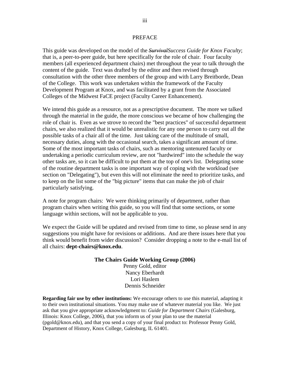#### PREFACE

This guide was developed on the model of the *SurvivalSuccess Guide for Knox Faculty*; that is, a peer-to-peer guide, but here specifically for the role of chair. Four faculty members (all experienced department chairs) met throughout the year to talk through the content of the guide. Text was drafted by the editor and then revised through consultation with the other three members of the group and with Larry Breitborde, Dean of the College. This work was undertaken within the framework of the Faculty Development Program at Knox, and was facilitated by a grant from the Associated Colleges of the Midwest FaCE project (Faculty Career Enhancement).

We intend this guide as a resource, not as a prescriptive document. The more we talked through the material in the guide, the more conscious we became of how challenging the role of chair is. Even as we strove to record the "best practices" of successful department chairs, we also realized that it would be unrealistic for any one person to carry out all the possible tasks of a chair all of the time. Just taking care of the multitude of small, necessary duties, along with the occasional search, takes a significant amount of time. Some of the most important tasks of chairs, such as mentoring untenured faculty or undertaking a periodic curriculum review, are not "hardwired" into the schedule the way other tasks are, so it can be difficult to put them at the top of one's list. Delegating some of the routine department tasks is one important way of coping with the workload (see section on "Delegating"), but even this will not eliminate the need to prioritize tasks, and to keep on the list some of the "big picture" items that can make the job of chair particularly satisfying.

A note for program chairs: We were thinking primarily of department, rather than program chairs when writing this guide, so you will find that some sections, or some language within sections, will not be applicable to you.

We expect the Guide will be updated and revised from time to time, so please send in any suggestions you might have for revisions or additions. And are there issues here that you think would benefit from wider discussion? Consider dropping a note to the e-mail list of all chairs: **dept-chairs@knox.edu**.

#### **The Chairs Guide Working Group (2006)**

Penny Gold, editor Nancy Eberhardt Lori Haslem Dennis Schneider

**Regarding fair use by other institutions:** We encourage others to use this material, adapting it to their own institutional situations. You may make use of whatever material you like. We just ask that you give appropriate acknowledgment to: *Guide for Department Chairs* (Galesburg, Illinois: Knox College, 2006), that you inform us of your plan to use the material (pgold@knox.edu), and that you send a copy of your final product to: Professor Penny Gold, Department of History, Knox College, Galesburg, IL 61401.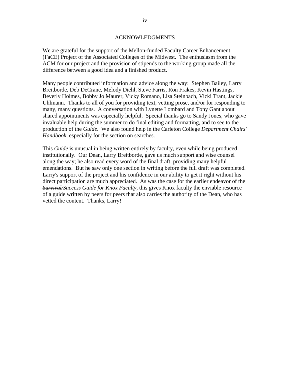#### ACKNOWLEDGMENTS

We are grateful for the support of the Mellon-funded Faculty Career Enhancement (FaCE) Project of the Associated Colleges of the Midwest. The enthusiasm from the ACM for our project and the provision of stipends to the working group made all the difference between a good idea and a finished product.

Many people contributed information and advice along the way: Stephen Bailey, Larry Breitborde, Deb DeCrane, Melody Diehl, Steve Farris, Ron Frakes, Kevin Hastings, Beverly Holmes, Bobby Jo Maurer, Vicky Romano, Lisa Steinbach, Vicki Trant, Jackie Uhlmann. Thanks to all of you for providing text, vetting prose, and/or for responding to many, many questions. A conversation with Lynette Lombard and Tony Gant about shared appointments was especially helpful. Special thanks go to Sandy Jones, who gave invaluable help during the summer to do final editing and formatting, and to see to the production of the *Guide*. We also found help in the Carleton College *Department Chairs' Handbook*, especially for the section on searches.

This *Guide* is unusual in being written entirely by faculty, even while being produced institutionally. Our Dean, Larry Breitborde, gave us much support and wise counsel along the way; he also read every word of the final draft, providing many helpful emendations. But he saw only one section in writing before the full draft was completed. Larry's support of the project and his confidence in our ability to get it right without his direct participation are much appreciated. As was the case for the earlier endeavor of the *Survival/Success Guide for Knox Faculty*, this gives Knox faculty the enviable resource of a guide written by peers for peers that also carries the authority of the Dean, who has vetted the content. Thanks, Larry!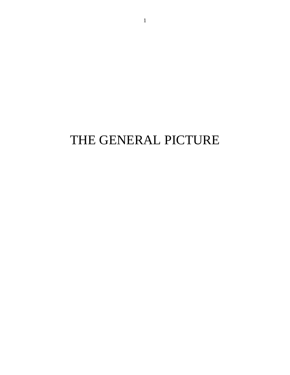# THE GENERAL PICTURE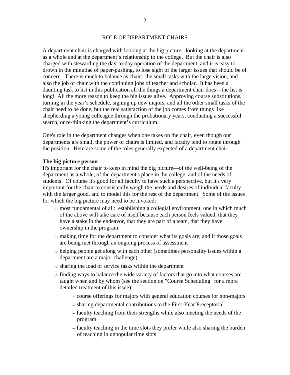A department chair is charged with looking at the big picture: looking at the department as a whole and at the department's relationship to the college. But the chair is also charged with stewarding the day-to-day operation of the department, and it is easy to drown in the minutiae of paper-pushing, to lose sight of the larger issues that should be of concern. There is much to balance as chair: the small tasks with the large vision, and also the job of chair with the continuing jobs of teacher and scholar. It has been a daunting task to list in this publication all the things a department chair does—the list is long! All the more reason to keep the big issues alive. Approving course substitutions, turning in the year's schedule, signing up new majors, and all the other small tasks of the chair need to be done, but the real satisfaction of the job comes from things like shepherding a young colleague through the probationary years, conducting a successful search, or re-thinking the department's curriculum.

One's role in the department changes when one takes on the chair, even though our departments are small, the power of chairs is limited, and faculty tend to rotate through the position. Here are some of the roles generally expected of a department chair:

#### **The big picture person**

It's important for the chair to keep in mind the big picture—of the well-being of the department as a whole, of the department's place in the college, and of the needs of students. Of course it's good for all faculty to have such a perspective, but it's very important for the chair to consistently weigh the needs and desires of individual faculty with the larger good, and to model this for the rest of the department. Some of the issues for which the big picture may need to be invoked:

- <sup>o</sup> most fundamental of all: establishing a collegial environment, one in which much of the above will take care of itself because each person feels valued, that they have a stake in the endeavor, that they are part of a team, that they have ownership in the program
- <sup>o</sup> making time for the department to consider what its goals are, and if those goals are being met through an ongoing process of assessment
- <sup>o</sup> helping people get along with each other (sometimes personality issues within a department are a major challenge)
- <sup>o</sup> sharing the load of service tasks within the department
- <sup>o</sup> finding ways to balance the wide variety of factors that go into what courses are taught when and by whom (see the section on "Course Scheduling" for a more detailed treatment of this issue):
	- course offerings for majors with general education courses for non-majors
	- sharing departmental contributions to the First-Year Preceptorial
	- faculty teaching from their strengths while also meeting the needs of the program
	- faculty teaching in the time slots they prefer while also sharing the burden of teaching in unpopular time slots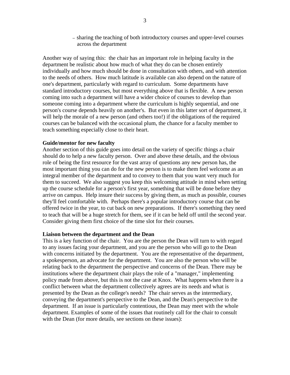— sharing the teaching of both introductory courses and upper-level courses across the department

Another way of saying this: the chair has an important role in helping faculty in the department be realistic about how much of what they do can be chosen entirely individually and how much should be done in consultation with others, and with attention to the needs of others. How much latitude is available can also depend on the nature of one's department, particularly with regard to curriculum. Some departments have standard introductory courses, but most everything above that is flexible. A new person coming into such a department will have a wider choice of courses to develop than someone coming into a department where the curriculum is highly sequential, and one person's course depends heavily on another's. But even in this latter sort of department, it will help the morale of a new person (and others too!) if the obligations of the required courses can be balanced with the occasional plum, the chance for a faculty member to teach something especially close to their heart.

#### **Guide/mentor for new faculty**

Another section of this guide goes into detail on the variety of specific things a chair should do to help a new faculty person. Over and above these details, and the obvious role of being the first resource for the vast array of questions any new person has, the most important thing you can do for the new person is to make them feel welcome as an integral member of the department and to convey to them that you want very much for them to succeed. We also suggest you keep this welcoming attitude in mind when setting up the course schedule for a person's first year, something that will be done before they arrive on campus. Help insure their success by giving them, as much as possible, courses they'll feel comfortable with. Perhaps there's a popular introductory course that can be offered twice in the year, to cut back on new preparations. If there's something they need to teach that will be a huge stretch for them, see if it can be held off until the second year. Consider giving them first choice of the time slot for their courses.

#### **Liaison between the department and the Dean**

This is a key function of the chair. You are the person the Dean will turn to with regard to any issues facing your department, and you are the person who will go to the Dean with concerns initiated by the department. You are the representative of the department, a spokesperson, an advocate for the department. You are also the person who will be relating back to the department the perspective and concerns of the Dean. There may be institutions where the department chair plays the role of a "manager," implementing policy made from above, but this is not the case at Knox. What happens when there is a conflict between what the department collectively agrees are its needs and what is presented by the Dean as the college's needs? The chair serves as the intermediary, conveying the department's perspective to the Dean, and the Dean's perspective to the department. If an issue is particularly contentious, the Dean may meet with the whole department. Examples of some of the issues that routinely call for the chair to consult with the Dean (for more details, see sections on these issues):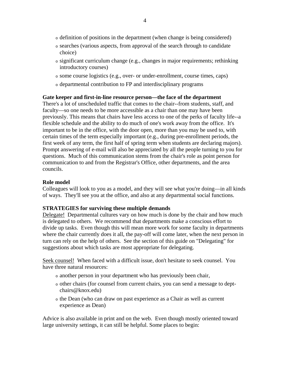- <sup>o</sup> definition of positions in the department (when change is being considered)
- <sup>o</sup> searches (various aspects, from approval of the search through to candidate choice)
- $\circ$  significant curriculum change (e.g., changes in major requirements; rethinking introductory courses)
- <sup>o</sup> some course logistics (e.g., over- or under-enrollment, course times, caps)
- <sup>o</sup> departmental contribution to FP and interdisciplinary programs

#### **Gate keeper and first-in-line resource person—the face of the department**

There's a lot of unscheduled traffic that comes to the chair--from students, staff, and faculty—so one needs to be more accessible as a chair than one may have been previously. This means that chairs have less access to one of the perks of faculty life--a flexible schedule and the ability to do much of one's work away from the office. It's important to be in the office, with the door open, more than you may be used to, with certain times of the term especially important (e.g., during pre-enrollment periods, the first week of any term, the first half of spring term when students are declaring majors). Prompt answering of e-mail will also be appreciated by all the people turning to you for questions. Much of this communication stems from the chair's role as point person for communication to and from the Registrar's Office, other departments, and the area councils.

#### **Role model**

Colleagues will look to you as a model, and they will see what you're doing—in all kinds of ways. They'll see you at the office, and also at any departmental social functions.

#### **STRATEGIES for surviving these multiple demands**

Delegate! Departmental cultures vary on how much is done by the chair and how much is delegated to others. We recommend that departments make a conscious effort to divide up tasks. Even though this will mean more work for some faculty in departments where the chair currently does it all, the pay-off will come later, when the next person in turn can rely on the help of others. See the section of this guide on "Delegating" for suggestions about which tasks are most appropriate for delegating.

Seek counsel! When faced with a difficult issue, don't hesitate to seek counsel. You have three natural resources:

- <sup>o</sup> another person in your department who has previously been chair,
- <sup>o</sup> other chairs (for counsel from current chairs, you can send a message to deptchairs@knox.edu)
- <sup>o</sup> the Dean (who can draw on past experience as a Chair as well as current experience as Dean)

Advice is also available in print and on the web. Even though mostly oriented toward large university settings, it can still be helpful. Some places to begin: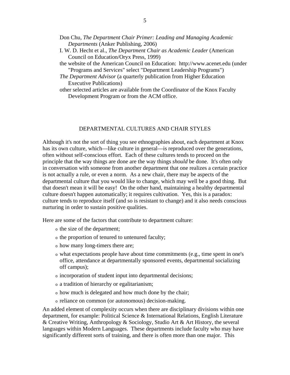- Don Chu, *The Department Chair Primer: Leading and Managing Academic Departments* (Anker Publishing, 2006)
- I. W. D. Hecht et al., *The Department Chair as Academic Leader* (American Council on Education/Oryx Press, 1999)
- the website of the American Council on Education: http://www.acenet.edu (under "Programs and Services" select "Department Leadership Programs")
- *The Department Advisor* (a quarterly publication from Higher Education Executive Publications)
- other selected articles are available from the Coordinator of the Knox Faculty Development Program or from the ACM office.

#### DEPARTMENTAL CULTURES AND CHAIR STYLES

Although it's not the sort of thing you see ethnographies about, each department at Knox has its own culture, which—like culture in general—is reproduced over the generations, often without self-conscious effort. Each of these cultures tends to proceed on the principle that the way things are done are the way things *should* be done. It's often only in conversation with someone from another department that one realizes a certain practice is not actually a rule, or even a norm. As a new chair, there may be aspects of the departmental culture that you would like to change, which may well be a good thing. But that doesn't mean it will be easy! On the other hand, maintaining a healthy departmental culture doesn't happen automatically; it requires cultivation. Yes, this is a paradox: culture tends to reproduce itself (and so is resistant to change) and it also needs conscious nurturing in order to sustain positive qualities.

Here are some of the factors that contribute to department culture:

- <sup>o</sup> the size of the department;
- <sup>o</sup> the proportion of tenured to untenured faculty;
- <sup>o</sup> how many long-timers there are;
- <sup>o</sup> what expectations people have about time commitments (e.g., time spent in one's office, attendance at departmentally sponsored events, departmental socializing off campus);
- <sup>o</sup> incorporation of student input into departmental decisions;
- <sup>o</sup> a tradition of hierarchy or egalitarianism;
- <sup>o</sup> how much is delegated and how much done by the chair;
- <sup>o</sup> reliance on common (or autonomous) decision-making.

An added element of complexity occurs when there are disciplinary divisions within one department, for example: Political Science & International Relations, English Literature & Creative Writing, Anthropology & Sociology, Studio Art & Art History, the several languages within Modern Languages. These departments include faculty who may have significantly different sorts of training, and there is often more than one major. This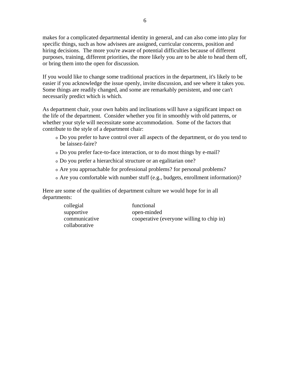makes for a complicated departmental identity in general, and can also come into play for specific things, such as how advisees are assigned, curricular concerns, position and hiring decisions. The more you're aware of potential difficulties because of different purposes, training, different priorities, the more likely you are to be able to head them off, or bring them into the open for discussion.

If you would like to change some traditional practices in the department, it's likely to be easier if you acknowledge the issue openly, invite discussion, and see where it takes you. Some things are readily changed, and some are remarkably persistent, and one can't necessarily predict which is which.

As department chair, your own habits and inclinations will have a significant impact on the life of the department. Consider whether you fit in smoothly with old patterns, or whether your style will necessitate some accommodation. Some of the factors that contribute to the style of a department chair:

- <sup>o</sup> Do you prefer to have control over all aspects of the department, or do you tend to be laissez-faire?
- <sup>o</sup> Do you prefer face-to-face interaction, or to do most things by e-mail?
- <sup>o</sup> Do you prefer a hierarchical structure or an egalitarian one?
- <sup>o</sup> Are you approachable for professional problems? for personal problems?
- <sup>o</sup> Are you comfortable with number stuff (e.g., budgets, enrollment information)?

Here are some of the qualities of department culture we would hope for in all departments:

| collegial     | functional                                |
|---------------|-------------------------------------------|
| supportive    | open-minded                               |
| communicative | cooperative (everyone willing to chip in) |
| collaborative |                                           |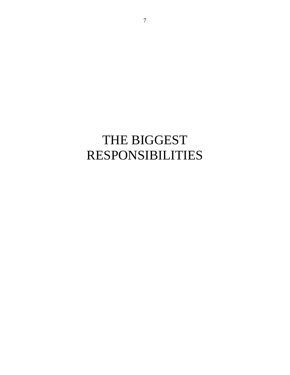# THE BIGGEST RESPONSIBILITIES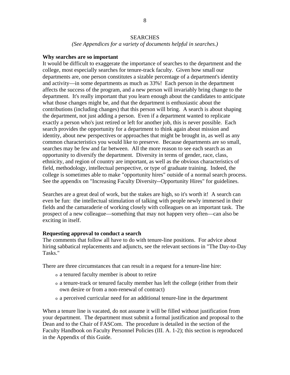#### SEARCHES

*(See Appendices for a variety of documents helpful in searches.)* 

#### **Why searches are so important**

It would be difficult to exaggerate the importance of searches to the department and the college, most especially searches for tenure-track faculty. Given how small our departments are, one person constitutes a sizable percentage of a department's identity and activity—in some departments as much as 33%! Each person in the department affects the success of the program, and a new person will invariably bring change to the department. It's really important that you learn enough about the candidates to anticipate what those changes might be, and that the department is enthusiastic about the contributions (including changes) that this person will bring. A search is about shaping the department, not just adding a person. Even if a department wanted to replicate exactly a person who's just retired or left for another job, this is never possible. Each search provides the opportunity for a department to think again about mission and identity, about new perspectives or approaches that might be brought in, as well as any common characteristics you would like to preserve. Because departments are so small, searches may be few and far between. All the more reason to see each search as an opportunity to diversify the department. Diversity in terms of gender, race, class, ethnicity, and region of country are important, as well as the obvious characteristics of field, methodology, intellectual perspective, or type of graduate training. Indeed, the college is sometimes able to make "opportunity hires" outside of a normal search process. See the appendix on "Increasing Faculty Diversity--Opportunity Hires" for guidelines.

Searches are a great deal of work, but the stakes are high, so it's worth it! A search can even be fun: the intellectual stimulation of talking with people newly immersed in their fields and the camaraderie of working closely with colleagues on an important task. The prospect of a new colleague—something that may not happen very often—can also be exciting in itself.

#### **Requesting approval to conduct a search**

The comments that follow all have to do with tenure-line positions. For advice about hiring sabbatical replacements and adjuncts, see the relevant sections in "The Day-to-Day Tasks."

There are three circumstances that can result in a request for a tenure-line hire:

- <sup>o</sup> a tenured faculty member is about to retire
- <sup>o</sup> a tenure-track or tenured faculty member has left the college (either from their own desire or from a non-renewal of contract)
- <sup>o</sup> a perceived curricular need for an additional tenure-line in the department

When a tenure line is vacated, do not assume it will be filled without justification from your department. The department must submit a formal justification and proposal to the Dean and to the Chair of FASCom. The procedure is detailed in the section of the Faculty Handbook on Faculty Personnel Policies (III. A. 1-2); this section is reproduced in the Appendix of this Guide.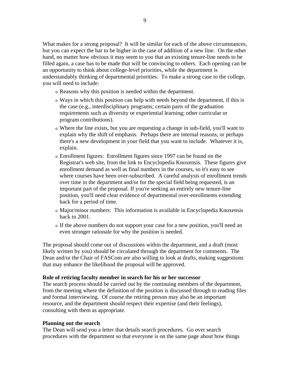What makes for a strong proposal? It will be similar for each of the above circumstances, but you can expect the bar to be higher in the case of addition of a new line. On the other hand, no matter how obvious it may seem to you that an existing tenure-line needs to be filled again, a case has to be made that will be convincing to others. Each opening can be an opportunity to think about college-level priorities, while the department is understandably thinking of departmental priorities. To make a strong case to the college, you will need to include:

- <sup>o</sup> Reasons why this position is needed within the department.
- <sup>o</sup> Ways in which this position can help with needs beyond the department, if this is the case (e.g., interdisciplinary programs; certain parts of the graduation requirements such as diversity or experiential learning; other curricular or program contributions).
- <sup>o</sup> Where the line exists, but you are requesting a change in sub-field, you'll want to explain why the shift of emphasis. Perhaps there are internal reasons, or perhaps there's a new development in your field that you want to include. Whatever it is, explain.
- <sup>o</sup> Enrollment figures: Enrollment figures since 1997 can be found on the Registrar's web site, from the link to Encyclopedia Knoxensis. These figures give enrollment demand as well as final numbers in the courses, so it's easy to see where courses have been over-subscribed. A careful analysis of enrollment trends over time in the department and/or for the special field being requested, is an important part of the proposal. If you're seeking an entirely new tenure-line position, you'll need clear evidence of departmental over-enrollments extending back for a period of time.
- <sup>o</sup> Major/minor numbers: This information is available in Encyclopedia Knoxensis back to 2001.
- <sup>o</sup> If the above numbers do not support your case for a new position, you'll need an even stronger rationale for why the position is needed.

The proposal should come out of discussions within the department, and a draft (most likely written by you) should be circulated through the department for comments. The Dean and/or the Chair of FASCom are also willing to look at drafts, making suggestions that may enhance the likelihood the proposal will be approved.

#### **Role of retiring faculty member in search for his or her successor**

The search process should be carried out by the continuing members of the department, from the meeting where the definition of the position is discussed through to reading files and formal interviewing. Of course the retiring person may also be an important resource, and the department should respect their expertise (and their feelings), consulting with them as appropriate.

#### **Planning out the search**

The Dean will send you a letter that details search procedures. Go over search procedures with the department so that everyone is on the same page about how things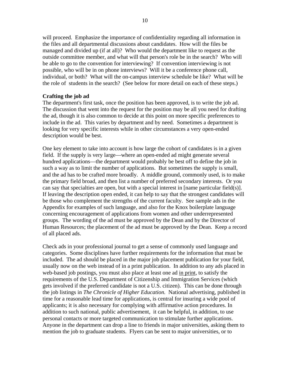will proceed. Emphasize the importance of confidentiality regarding all information in the files and all departmental discussions about candidates. How will the files be managed and divided up (if at all)? Who would the department like to request as the outside committee member, and what will that person's role be in the search? Who will be able to go to the convention for interviewing? If convention interviewing is not possible, who will be in on phone interviews? Will it be a conference phone call, individual, or both? What will the on-campus interview schedule be like? What will be the role of students in the search? (See below for more detail on each of these steps.)

#### **Crafting the job ad**

The department's first task, once the position has been approved, is to write the job ad. The discussion that went into the request for the position may be all you need for drafting the ad, though it is also common to decide at this point on more specific preferences to include in the ad. This varies by department and by need. Sometimes a department is looking for very specific interests while in other circumstances a very open-ended description would be best.

One key element to take into account is how large the cohort of candidates is in a given field. If the supply is very large—where an open-ended ad might generate several hundred applications—the department would probably be best off to define the job in such a way as to limit the number of applications. But sometimes the supply is small, and the ad has to be crafted more broadly. A middle ground, commonly used, is to make the primary field broad, and then list a number of preferred secondary interests. Or you can say that specialties are open, but with a special interest in [name particular field(s)]. If leaving the description open ended, it can help to say that the strongest candidates will be those who complement the strengths of the current faculty. See sample ads in the Appendix for examples of such language, and also for the Knox boilerplate language concerning encouragement of applications from women and other underrepresented groups. The wording of the ad must be approved by the Dean and by the Director of Human Resources; the placement of the ad must be approved by the Dean. Keep a record of all placed ads.

Check ads in your professional journal to get a sense of commonly used language and categories. Some disciplines have further requirements for the information that must be included. The ad should be placed in the major job placement publication for your field, usually now on the web instead of in a print publication. In addition to any ads placed in web-based job postings, you must also place at least one ad in print, to satisfy the requirements of the U.S. Department of Citizenship and Immigration Services (which gets involved if the preferred candidate is not a U.S. citizen). This can be done through the job listings in *The Chronicle of Higher Education.* National advertising, published in time for a reasonable lead time for applications, is central for insuring a wide pool of applicants; it is also necessary for complying with affirmative action procedures. In addition to such national, public advertisement, it can be helpful, in addition, to use personal contacts or more targeted communication to stimulate further applications. Anyone in the department can drop a line to friends in major universities, asking them to mention the job to graduate students. Flyers can be sent to major universities, or to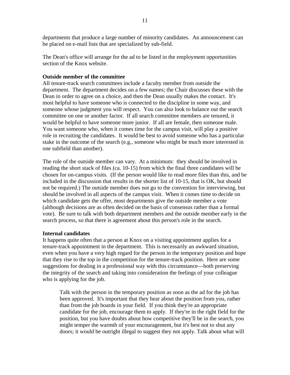departments that produce a large number of minority candidates. An announcement can be placed on e-mail lists that are specialized by sub-field.

The Dean's office will arrange for the ad to be listed in the employment opportunities section of the Knox website.

#### **Outside member of the committee**

All tenure-track search committees include a faculty member from outside the department. The department decides on a few names; the Chair discusses these with the Dean in order to agree on a choice, and then the Dean usually makes the contact. It's most helpful to have someone who is connected to the discipline in some way, and someone whose judgment you will respect. You can also look to balance out the search committee on one or another factor. If all search committee members are tenured, it would be helpful to have someone more junior. If all are female, then someone male. You want someone who, when it comes time for the campus visit, will play a positive role in recruiting the candidates. It would be best to avoid someone who has a particular stake in the outcome of the search (e.g., someone who might be much more interested in one subfield than another).

The role of the outside member can vary. At a minimum: they should be involved in reading the short stack of files (ca. 10-15) from which the final three candidates will be chosen for on-campus visits. (If the person would like to read more files than this, and be included in the discussion that results in the shorter list of 10-15, that is OK, but should not be required.) The outside member does not go to the convention for interviewing, but should be involved in all aspects of the campus visit. When it comes time to decide on which candidate gets the offer, most departments give the outside member a vote (although decisions are as often decided on the basis of consensus rather than a formal vote). Be sure to talk with both department members and the outside member early in the search process, so that there is agreement about this person's role in the search.

#### **Internal candidates**

It happens quite often that a person at Knox on a visiting appointment applies for a tenure-track appointment in the department. This is necessarily an awkward situation, even when you have a very high regard for the person in the temporary position and hope that they rise to the top in the competition for the tenure-track position. Here are some suggestions for dealing in a professional way with this circumstance—both preserving the integrity of the search and taking into consideration the feelings of your colleague who is applying for the job.

Talk with the person in the temporary position as soon as the ad for the job has been approved. It's important that they hear about the position from you, rather than from the job boards in your field. If you think they're an appropriate candidate for the job, encourage them to apply. If they're in the right field for the position, but you have doubts about how competitive they'll be in the search, you might temper the warmth of your encouragement, but it's best not to shut any doors; it would be outright illegal to suggest they not apply. Talk about what will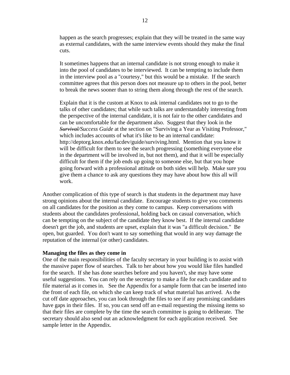happen as the search progresses; explain that they will be treated in the same way as external candidates, with the same interview events should they make the final cuts.

It sometimes happens that an internal candidate is not strong enough to make it into the pool of candidates to be interviewed. It can be tempting to include them in the interview pool as a "courtesy," but this would be a mistake. If the search committee agrees that this person does not measure up to others in the pool, better to break the news sooner than to string them along through the rest of the search.

Explain that it is the custom at Knox to ask internal candidates not to go to the talks of other candidates; that while such talks are understandably interesting from the perspective of the internal candidate, it is not fair to the other candidates and can be uncomfortable for the department also. Suggest that they look in the *Survival/Success Guide* at the section on "Surviving a Year as Visiting Professor," which includes accounts of what it's like to be an internal candidate: http://deptorg.knox.edu/facdev/guide/surviving.html. Mention that you know it will be difficult for them to see the search progressing (something everyone else in the department will be involved in, but not them), and that it will be especially difficult for them if the job ends up going to someone else, but that you hope going forward with a professional attitude on both sides will help. Make sure you give them a chance to ask any questions they may have about how this all will work.

Another complication of this type of search is that students in the department may have strong opinions about the internal candidate. Encourage students to give you comments on all candidates for the position as they come to campus. Keep conversations with students about the candidates professional, holding back on casual conversation, which can be tempting on the subject of the candidate they know best. If the internal candidate doesn't get the job, and students are upset, explain that it was "a difficult decision." Be open, but guarded. You don't want to say something that would in any way damage the reputation of the internal (or other) candidates.

#### **Managing the files as they come in**

One of the main responsibilities of the faculty secretary in your building is to assist with the massive paper flow of searches. Talk to her about how you would like files handled for the search. If she has done searches before and you haven't, she may have some useful suggestions. You can rely on the secretary to make a file for each candidate and to file material as it comes in. See the Appendix for a sample form that can be inserted into the front of each file, on which she can keep track of what material has arrived. As the cut off date approaches, you can look through the files to see if any promising candidates have gaps in their files. If so, you can send off an e-mail requesting the missing items so that their files are complete by the time the search committee is going to deliberate. The secretary should also send out an acknowledgment for each application received. See sample letter in the Appendix.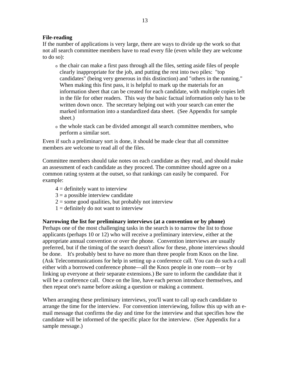#### **File-reading**

If the number of applications is very large, there are ways to divide up the work so that not all search committee members have to read every file (even while they are welcome to do so):

- <sup>o</sup> the chair can make a first pass through all the files, setting aside files of people clearly inappropriate for the job, and putting the rest into two piles: "top candidates" (being very generous in this distinction) and "others in the running." When making this first pass, it is helpful to mark up the materials for an information sheet that can be created for each candidate, with multiple copies left in the file for other readers. This way the basic factual information only has to be written down once. The secretary helping out with your search can enter the marked information into a standardized data sheet. (See Appendix for sample sheet.)
- <sup>o</sup> the whole stack can be divided amongst all search committee members, who perform a similar sort.

Even if such a preliminary sort is done, it should be made clear that all committee members are welcome to read all of the files.

Committee members should take notes on each candidate as they read, and should make an assessment of each candidate as they proceed. The committee should agree on a common rating system at the outset, so that rankings can easily be compared. For example:

- $4 =$  definitely want to interview
- $3 = a$  possible interview candidate
- $2 =$ some good qualities, but probably not interview
- $1 =$  definitely do not want to interview

#### **Narrowing the list for preliminary interviews (at a convention or by phone)**

Perhaps one of the most challenging tasks in the search is to narrow the list to those applicants (perhaps 10 or 12) who will receive a preliminary interview, either at the appropriate annual convention or over the phone. Convention interviews are usually preferred, but if the timing of the search doesn't allow for these, phone interviews should be done. It's probably best to have no more than three people from Knox on the line. (Ask Telecommunications for help in setting up a conference call. You can do such a call either with a borrowed conference phone—all the Knox people in one room—or by linking up everyone at their separate extensions.) Be sure to inform the candidate that it will be a conference call. Once on the line, have each person introduce themselves, and then repeat one's name before asking a question or making a comment.

When arranging these preliminary interviews*,* you'll want to call up each candidate to arrange the time for the interview. For convention interviewing, follow this up with an email message that confirms the day and time for the interview and that specifies how the candidate will be informed of the specific place for the interview. (See Appendix for a sample message.)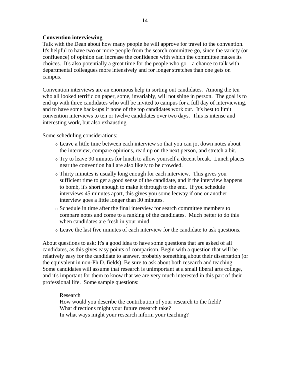#### **Convention interviewing**

Talk with the Dean about how many people he will approve for travel to the convention. It's helpful to have two or more people from the search committee go, since the variety (or confluence) of opinion can increase the confidence with which the committee makes its choices. It's also potentially a great time for the people who go—a chance to talk with departmental colleagues more intensively and for longer stretches than one gets on campus.

Convention interviews are an enormous help in sorting out candidates. Among the ten who all looked terrific on paper, some, invariably, will not shine in person. The goal is to end up with three candidates who will be invited to campus for a full day of interviewing, and to have some back-ups if none of the top candidates work out. It's best to limit convention interviews to ten or twelve candidates over two days. This is intense and interesting work, but also exhausting.

Some scheduling considerations:

- <sup>o</sup> Leave a little time between each interview so that you can jot down notes about the interview, compare opinions, read up on the next person, and stretch a bit.
- <sup>o</sup> Try to leave 90 minutes for lunch to allow yourself a decent break. Lunch places near the convention hall are also likely to be crowded.
- <sup>o</sup> Thirty minutes is usually long enough for each interview. This gives you sufficient time to get a good sense of the candidate, and if the interview happens to bomb, it's short enough to make it through to the end. If you schedule interviews 45 minutes apart, this gives you some leeway if one or another interview goes a little longer than 30 minutes.
- <sup>o</sup> Schedule in time after the final interview for search committee members to compare notes and come to a ranking of the candidates. Much better to do this when candidates are fresh in your mind.
- <sup>o</sup> Leave the last five minutes of each interview for the candidate to ask questions.

About questions to ask: It's a good idea to have some questions that are asked of all candidates, as this gives easy points of comparison. Begin with a question that will be relatively easy for the candidate to answer, probably something about their dissertation (or the equivalent in non-Ph.D. fields). Be sure to ask about both research and teaching. Some candidates will assume that research is unimportant at a small liberal arts college, and it's important for them to know that we are very much interested in this part of their professional life. Some sample questions:

#### Research

How would you describe the contribution of your research to the field? What directions might your future research take? In what ways might your research inform your teaching?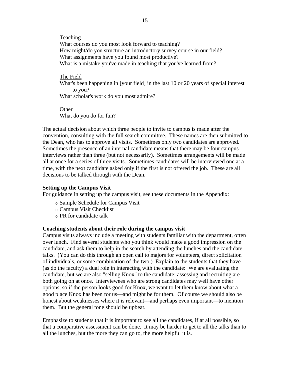Teaching What courses do you most look forward to teaching? How might/do you structure an introductory survey course in our field? What assignments have you found most productive? What is a mistake you've made in teaching that you've learned from?

#### The Field

What's been happening in [your field] in the last 10 or 20 years of special interest to you?

What scholar's work do you most admire?

## **Other**

What do you do for fun?

The actual decision about which three people to invite to campus is made after the convention, consulting with the full search committee. These names are then submitted to the Dean, who has to approve all visits. Sometimes only two candidates are approved. Sometimes the presence of an internal candidate means that there may be four campus interviews rather than three (but not necessarily). Sometimes arrangements will be made all at once for a series of three visits. Sometimes candidates will be interviewed one at a time, with the next candidate asked only if the first is not offered the job. These are all decisions to be talked through with the Dean.

#### **Setting up the Campus Visit**

For guidance in setting up the campus visit, see these documents in the Appendix:

- <sup>o</sup> Sample Schedule for Campus Visit
- <sup>o</sup> Campus Visit Checklist
- <sup>o</sup> PR for candidate talk

#### **Coaching students about their role during the campus visit**

Campus visits always include a meeting with students familiar with the department, often over lunch. Find several students who you think would make a good impression on the candidate, and ask them to help in the search by attending the lunches and the candidate talks. (You can do this through an open call to majors for volunteers, direct solicitation of individuals, or some combination of the two.) Explain to the students that they have (as do the faculty) a dual role in interacting with the candidate: We are evaluating the candidate, but we are also "selling Knox" to the candidate; assessing and recruiting are both going on at once. Interviewees who are strong candidates may well have other options, so if the person looks good for Knox, we want to let them know about what a good place Knox has been for us—and might be for them. Of course we should also be honest about weaknesses where it is relevant—and perhaps even important—to mention them. But the general tone should be upbeat.

Emphasize to students that it is important to see all the candidates, if at all possible, so that a comparative assessment can be done. It may be harder to get to all the talks than to all the lunches, but the more they can go to, the more helpful it is.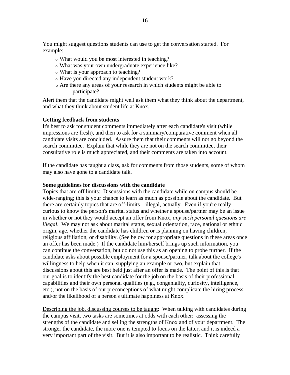You might suggest questions students can use to get the conversation started. For example:

- <sup>o</sup> What would you be most interested in teaching?
- <sup>o</sup> What was your own undergraduate experience like?
- <sup>o</sup> What is your approach to teaching?
- <sup>o</sup> Have you directed any independent student work?
- <sup>o</sup> Are there any areas of your research in which students might be able to participate?

Alert them that the candidate might well ask them what they think about the department, and what they think about student life at Knox.

#### **Getting feedback from students**

It's best to ask for student comments immediately after each candidate's visit (while impressions are fresh), and then to ask for a summary/comparative comment when all candidate visits are concluded. Assure them that their comments will not go beyond the search committee. Explain that while they are not on the search committee, their consultative role is much appreciated, and their comments are taken into account.

If the candidate has taught a class, ask for comments from those students, some of whom may also have gone to a candidate talk.

#### **Some guidelines for discussions with the candidate**

Topics that are off limits: Discussions with the candidate while on campus should be wide-ranging; this is your chance to learn as much as possible about the candidate. But there are certainly topics that are off-limits—illegal, actually. Even if you're really curious to know the person's marital status and whether a spouse/partner may be an issue in whether or not they would accept an offer from Knox, *any such personal questions are illegal*. We may not ask about marital status, sexual orientation, race, national or ethnic origin, age, whether the candidate has children or is planning on having children, religious affiliation, or disability. (See below for appropriate questions in these areas once an offer has been made.) If the candidate him/herself brings up such information, you can continue the conversation, but do not use this as an opening to probe further. If the candidate asks about possible employment for a spouse/partner, talk about the college's willingness to help when it can, supplying an example or two, but explain that discussions about this are best held just after an offer is made. The point of this is that our goal is to identify the best candidate for the job on the basis of their professional capabilities and their own personal qualities (e.g., congeniality, curiosity, intelligence, etc.), not on the basis of our preconceptions of what might complicate the hiring process and/or the likelihood of a person's ultimate happiness at Knox.

Describing the job, discussing courses to be taught:When talking with candidates during the campus visit, two tasks are sometimes at odds with each other: assessing the strengths of the candidate and selling the strengths of Knox and of your department. The stronger the candidate, the more one is tempted to focus on the latter, and it is indeed a very important part of the visit. But it is also important to be realistic. Think carefully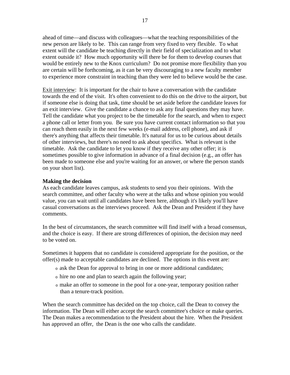ahead of time—and discuss with colleagues—what the teaching responsibilities of the new person are likely to be. This can range from very fixed to very flexible. To what extent will the candidate be teaching directly in their field of specialization and to what extent outside it? How much opportunity will there be for them to develop courses that would be entirely new to the Knox curriculum? Do not promise more flexibility than you are certain will be forthcoming, as it can be very discouraging to a new faculty member to experience more constraint in teaching than they were led to believe would be the case.

Exit interview: It is important for the chair to have a conversation with the candidate towards the end of the visit. It's often convenient to do this on the drive to the airport, but if someone else is doing that task, time should be set aside before the candidate leaves for an exit interview. Give the candidate a chance to ask any final questions they may have. Tell the candidate what you project to be the timetable for the search, and when to expect a phone call or letter from you. Be sure you have current contact information so that you can reach them easily in the next few weeks (e-mail address, cell phone), and ask if there's anything that affects their timetable. It's natural for us to be curious about details of other interviews, but there's no need to ask about specifics. What is relevant is the timetable. Ask the candidate to let you know if they receive any other offer; it is sometimes possible to give information in advance of a final decision (e.g., an offer has been made to someone else and you're waiting for an answer, or where the person stands on your short list).

#### **Making the decision**

As each candidate leaves campus, ask students to send you their opinions. With the search committee, and other faculty who were at the talks and whose opinion you would value, you can wait until all candidates have been here, although it's likely you'll have casual conversations as the interviews proceed. Ask the Dean and President if they have comments.

In the best of circumstances, the search committee will find itself with a broad consensus, and the choice is easy. If there are strong differences of opinion, the decision may need to be voted on.

Sometimes it happens that no candidate is considered appropriate for the position, or the offer(s) made to acceptable candidates are declined. The options in this event are:

- <sup>o</sup> ask the Dean for approval to bring in one or more additional candidates;
- <sup>o</sup> hire no one and plan to search again the following year;
- <sup>o</sup> make an offer to someone in the pool for a one-year, temporary position rather than a tenure-track position.

When the search committee has decided on the top choice, call the Dean to convey the information. The Dean will either accept the search committee's choice or make queries. The Dean makes a recommendation to the President about the hire. When the President has approved an offer, the Dean is the one who calls the candidate.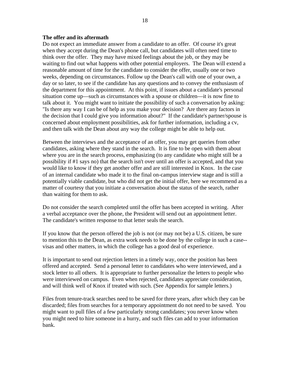#### **The offer and its aftermath**

Do not expect an immediate answer from a candidate to an offer. Of course it's great when they accept during the Dean's phone call, but candidates will often need time to think over the offer. They may have mixed feelings about the job, or they may be waiting to find out what happens with other potential employers. The Dean will extend a reasonable amount of time for the candidate to consider the offer, usually one or two weeks, depending on circumstances. Follow up the Dean's call with one of your own, a day or so later, to see if the candidate has any questions and to convey the enthusiasm of the department for this appointment. At this point, if issues about a candidate's personal situation come up—such as circumstances with a spouse or children—it is now fine to talk about it. You might want to initiate the possibility of such a conversation by asking: "Is there any way I can be of help as you make your decision? Are there any factors in the decision that I could give you information about?" If the candidate's partner/spouse is concerned about employment possibilities, ask for further information, including a cv, and then talk with the Dean about any way the college might be able to help out.

Between the interviews and the acceptance of an offer, you may get queries from other candidates, asking where they stand in the search. It is fine to be open with them about where you are in the search process, emphasizing (to any candidate who might still be a possibility if #1 says no) that the search isn't over until an offer is accepted, and that you would like to know if they get another offer and are still interested in Knox. In the case of an internal candidate who made it to the final on-campus interview stage and is still a potentially viable candidate, but who did not get the initial offer, here we recommend as a matter of courtesy that you initiate a conversation about the status of the search, rather than waiting for them to ask.

Do not consider the search completed until the offer has been accepted in writing. After a verbal acceptance over the phone, the President will send out an appointment letter. The candidate's written response to that letter seals the search.

If you know that the person offered the job is not (or may not be) a U.S. citizen, be sure to mention this to the Dean, as extra work needs to be done by the college in such a case- visas and other matters, in which the college has a good deal of experience.

It is important to send out rejection letters in a timely way, once the position has been offered and accepted. Send a personal letter to candidates who were interviewed, and a stock letter to all others. It is appropriate to further personalize the letters to people who were interviewed on campus. Even when rejected, candidates appreciate consideration, and will think well of Knox if treated with such. (See Appendix for sample letters.)

Files from tenure-track searches need to be saved for three years, after which they can be discarded; files from searches for a temporary appointment do not need to be saved. You might want to pull files of a few particularly strong candidates; you never know when you might need to hire someone in a hurry, and such files can add to your information bank.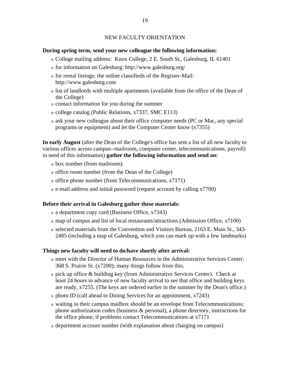#### NEW FACULTY ORIENTATION

#### **During spring term, send your new colleague the following information:**

- <sup>o</sup> College mailing address: Knox College, 2 E. South St., Galesburg, IL 61401
- <sup>o</sup> for information on Galesburg: http://www.galesburg.org/
- <sup>o</sup> for rental listings: the online classifieds of the Register-Mail: http://www.galesburg.com
- <sup>o</sup> list of landlords with multiple apartments (available from the office of the Dean of the College)
- <sup>o</sup> contact information for you during the summer
- <sup>o</sup> college catalog (Public Relations, x7337, SMC E113)
- <sup>o</sup> ask your new colleague about their office computer needs (PC or Mac, any special programs or equipment) and let the Computer Center know (x7355)

**In early August** (after the Dean of the College's office has sent a list of all new faculty to various offices across campus--mailroom, computer center, telecommunications, payroll) in need of this information) **gather the following information and send on:** 

- <sup>o</sup> box number (from mailroom)
- <sup>o</sup> office room number (from the Dean of the College)
- <sup>o</sup> office phone number (from Telecommunications, x7171)
- <sup>o</sup> e-mail address and initial password (request account by calling x7700)

#### **Before their arrival in Galesburg gather these materials:**

- <sup>o</sup> a department copy card (Business Office, x7343)
- <sup>o</sup> map of campus and list of local restaurants/attractions (Admission Office, x7100)
- <sup>o</sup> selected materials from the Convention and Visitors Bureau, 2163 E. Main St., 343- 2485 (including a map of Galesburg, which you can mark up with a few landmarks)

#### **Things new faculty will need to do/have shortly after arrival:**

- <sup>o</sup> meet with the Director of Human Resources in the Administrative Services Center, 368 S. Prairie St. (x7200); many things follow from this.
- <sup>o</sup> pick up office & building key (from Administrative Services Center). Check at least 24 hours in advance of new faculty arrival to see that office and building keys are ready, x7255. (The keys are ordered earlier in the summer by the Dean's office.)
- <sup>o</sup> photo ID (call ahead to Dining Services for an appointment, x7243)
- <sup>o</sup> waiting in their campus mailbox should be an envelope from Telecommunications: phone authorization codes (business & personal), a phone directory, instructions for the office phone; if problems contact Telecommunications at x7171
- <sup>o</sup> department account number (with explanation about charging on campus)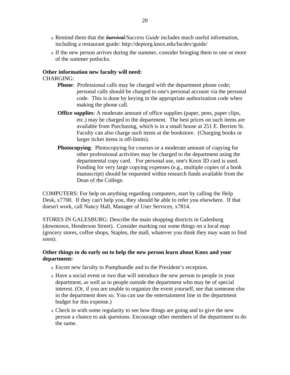- <sup>o</sup> Remind them that the *Survival/Success Guide* includes much useful information, including a restaurant guide: http://deptorg.knox.edu/facdev/guide/
- <sup>o</sup> If the new person arrives during the summer, consider bringing them to one or more of the summer potlucks.

#### **Other information new faculty will need:**

#### CHARGING:

- **Phone:** Professional calls may be charged with the department phone code; personal calls should be charged to one's personal account via the personal code. This is done by keying in the appropriate authorization code when making the phone call.
- **Office supplies**: A moderate amount of office supplies (paper, pens, paper clips, etc.) may be charged to the department. The best prices on such items are available from Purchasing, which is in a small house at 251 E. Berrien St. Faculty can also charge such items at the bookstore. (Charging books or larger ticket items is off-limits).
- **Photocopying**: Photocopying for courses or a moderate amount of copying for other professional activities may be charged to the department using the departmental copy card. For personal use, one's Knox ID card is used. Funding for very large copying expenses (e.g., multiple copies of a book manuscript) should be requested within research funds available from the Dean of the College.

COMPUTERS: For help on anything regarding computers, start by calling the Help Desk, x7700. If they can't help you, they should be able to refer you elsewhere. If that doesn't work, call Nancy Hall, Manager of User Services, x7814.

STORES IN GALESBURG: Describe the main shopping districts in Galesburg (downtown, Henderson Street). Consider marking out some things on a local map (grocery stores, coffee shops, Staples, the mall, whatever you think they may want to find soon).

#### **Other things to do early on to help the new person learn about Knox and your department:**

- <sup>o</sup> Escort new faculty to Pumphandle and to the President's reception.
- <sup>o</sup> Have a social event or two that will introduce the new person to people in your department, as well as to people outside the department who may be of special interest. (Or, if you are unable to organize the event yourself, see that someone else in the department does so. You can use the entertainment line in the department budget for this expense.)
- <sup>o</sup> Check in with some regularity to see how things are going and to give the new person a chance to ask questions. Encourage other members of the department to do the same.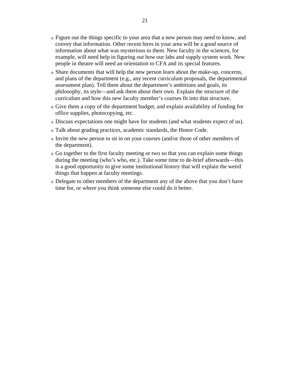- <sup>o</sup> Figure out the things specific to your area that a new person may need to know, and convey that information. Other recent hires in your area will be a good source of information about what was mysterious to them. New faculty in the sciences, for example, will need help in figuring out how our labs and supply system work. New people in theatre will need an orientation to CFA and its special features.
- <sup>o</sup> Share documents that will help the new person learn about the make-up, concerns, and plans of the department (e.g., any recent curriculum proposals, the departmental assessment plan). Tell them about the department's ambitions and goals, its philosophy, its style—and ask them about their own. Explain the structure of the curriculum and how this new faculty member's courses fit into that structure.
- <sup>o</sup> Give them a copy of the department budget, and explain availability of funding for office supplies, photocopying, etc.
- <sup>o</sup> Discuss expectations one might have for students (and what students expect of us).
- <sup>o</sup> Talk about grading practices, academic standards, the Honor Code.
- <sup>o</sup> Invite the new person to sit in on your courses (and/or those of other members of the department).
- <sup>o</sup> Go together to the first faculty meeting or two so that you can explain some things during the meeting (who's who, etc.). Take some time to de-brief afterwards—this is a good opportunity to give some institutional history that will explain the weird things that happen at faculty meetings.
- <sup>o</sup> Delegate to other members of the department any of the above that you don't have time for, or where you think someone else could do it better.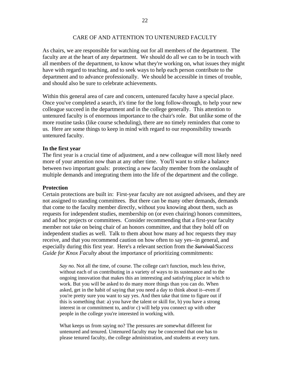#### CARE OF AND ATTENTION TO UNTENURED FACULTY

As chairs, we are responsible for watching out for all members of the department. The faculty are at the heart of any department. We should do all we can to be in touch with all members of the department, to know what they're working on, what issues they might have with regard to teaching, and to seek ways to help each person contribute to the department and to advance professionally. We should be accessible in times of trouble, and should also be sure to celebrate achievements.

Within this general area of care and concern, untenured faculty have a special place. Once you've completed a search, it's time for the long follow-through, to help your new colleague succeed in the department and in the college generally. This attention to untenured faculty is of enormous importance to the chair's role. But unlike some of the more routine tasks (like course scheduling), there are no timely reminders that come to us. Here are some things to keep in mind with regard to our responsibility towards untenured faculty.

#### **In the first year**

The first year is a crucial time of adjustment, and a new colleague will most likely need more of your attention now than at any other time. You'll want to strike a balance between two important goals: protecting a new faculty member from the onslaught of multiple demands and integrating them into the life of the department and the college.

#### **Protection**

Certain protections are built in: First-year faculty are not assigned advisees, and they are not assigned to standing committees. But there can be many other demands, demands that come to the faculty member directly, without you knowing about them, such as requests for independent studies, membership on (or even chairing) honors committees, and ad hoc projects or committees. Consider recommending that a first-year faculty member not take on being chair of an honors committee, and that they hold off on independent studies as well. Talk to them about how many ad hoc requests they may receive, and that you recommend caution on how often to say yes--in general, and especially during this first year. Here's a relevant section from the *Survival/Success Guide for Knox Faculty* about the importance of prioritizing commitments:

*Say no.* Not all the time, of course. The college can't function, much less thrive, without each of us contributing in a variety of ways to its sustenance and to the ongoing innovation that makes this an interesting and satisfying place in which to work. But you will be asked to do many more things than you can do. When asked, get in the habit of saying that you need a day to think about it--even if you're pretty sure you want to say yes. And then take that time to figure out if this is something that: a) you have the talent or skill for, b) you have a strong interest in or commitment to, and/or c) will help you connect up with other people in the college you're interested in working with.

What keeps us from saying no? The pressures are somewhat different for untenured and tenured. Untenured faculty may be concerned that one has to please tenured faculty, the college administration, and students at every turn.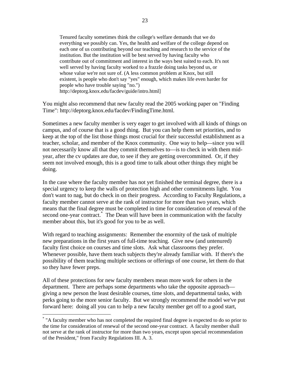Tenured faculty sometimes think the college's welfare demands that we do everything we possibly can. Yes, the health and welfare of the college depend on each one of us contributing beyond our teaching and research to the service of the institution. But the institution will be best served by having faculty who contribute out of commitment and interest in the ways best suited to each. It's not well served by having faculty worked to a frazzle doing tasks beyond us, or whose value we're not sure of. (A less common problem at Knox, but still existent, is people who don't say "yes" enough, which makes life even harder for people who have trouble saying "no.") http://deptorg.knox.edu/facdev/guide/intro.html]

You might also recommend that new faculty read the 2005 working paper on "Finding Time": http://deptorg.knox.edu/facdev/FindingTime.html.

Sometimes a new faculty member is very eager to get involved with all kinds of things on campus, and of course that is a good thing. But you can help them set priorities, and to keep at the top of the list those things most crucial for their successful establishment as a teacher, scholar, and member of the Knox community. One way to help—since you will not necessarily know all that they commit themselves to—is to check in with them midyear, after the cv updates are due, to see if they are getting overcommitted. Or, if they seem not involved enough, this is a good time to talk about other things they might be doing.

In the case where the faculty member has not yet finished the terminal degree, there is a special urgency to keep the walls of protection high and other commitments light. You don't want to nag, but do check in on their progress. According to Faculty Regulations, a faculty member cannot serve at the rank of instructor for more than two years, which means that the final degree must be completed in time for consideration of renewal of the second one-year contract.<sup>\*</sup> The Dean will have been in communication with the faculty member about this, but it's good for you to be as well.

With regard to teaching assignments: Remember the enormity of the task of multiple new preparations in the first years of full-time teaching. Give new (and untenured) faculty first choice on courses and time slots. Ask what classrooms they prefer. Whenever possible, have them teach subjects they're already familiar with. If there's the possibility of them teaching multiple sections or offerings of one course, let them do that so they have fewer preps.

All of these protections for new faculty members mean more work for others in the department. There are perhaps some departments who take the opposite approach giving a new person the least desirable courses, time slots, and departmental tasks, with perks going to the more senior faculty. But we strongly recommend the model we've put forward here: doing all you can to help a new faculty member get off to a good start,

 $\overline{a}$ 

<sup>\*</sup> "A faculty member who has not completed the required final degree is expected to do so prior to the time for consideration of renewal of the second one-year contract. A faculty member shall not serve at the rank of instructor for more than two years, except upon special recommendation of the President," from Faculty Regulations III. A. 3.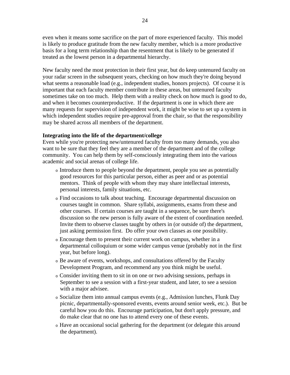even when it means some sacrifice on the part of more experienced faculty. This model is likely to produce gratitude from the new faculty member, which is a more productive basis for a long term relationship than the resentment that is likely to be generated if treated as the lowest person in a departmental hierarchy.

New faculty need the most protection in their first year, but do keep untenured faculty on your radar screen in the subsequent years, checking on how much they're doing beyond what seems a reasonable load (e.g., independent studies, honors projects). Of course it is important that each faculty member contribute in these areas, but untenured faculty sometimes take on too much. Help them with a reality check on how much is good to do, and when it becomes counterproductive. If the department is one in which there are many requests for supervision of independent work, it might be wise to set up a system in which independent studies require pre-approval from the chair, so that the responsibility may be shared across all members of the department.

#### **Integrating into the life of the department/college**

Even while you're protecting new/untenured faculty from too many demands, you also want to be sure that they feel they are a member of the department and of the college community. You can help them by self-consciously integrating them into the various academic and social arenas of college life.

- <sup>o</sup> Introduce them to people beyond the department, people you see as potentially good resources for this particular person, either as peer and or as potential mentors. Think of people with whom they may share intellectual interests, personal interests, family situations, etc.
- <sup>o</sup> Find occasions to talk about teaching. Encourage departmental discussion on courses taught in common. Share syllabi, assignments, exams from these and other courses. If certain courses are taught in a sequence, be sure there's discussion so the new person is fully aware of the extent of coordination needed. Invite them to observe classes taught by others in (or outside of) the department, just asking permission first. Do offer your own classes as one possibility.
- <sup>o</sup> Encourage them to present their current work on campus, whether in a departmental colloquium or some wider campus venue (probably not in the first year, but before long).
- <sup>o</sup> Be aware of events, workshops, and consultations offered by the Faculty Development Program, and recommend any you think might be useful.
- <sup>o</sup> Consider inviting them to sit in on one or two advising sessions, perhaps in September to see a session with a first-year student, and later, to see a session with a major advisee.
- <sup>o</sup> Socialize them into annual campus events (e.g., Admission lunches, Flunk Day picnic, departmentally-sponsored events, events around senior week, etc.). But be careful how you do this. Encourage participation, but don't apply pressure, and do make clear that no one has to attend every one of these events.
- <sup>o</sup> Have an occasional social gathering for the department (or delegate this around the department).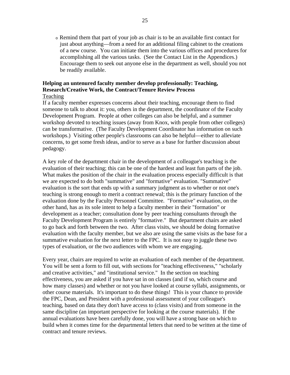<sup>o</sup> Remind them that part of your job as chair is to be an available first contact for just about anything—from a need for an additional filing cabinet to the creations of a new course. You can initiate them into the various offices and procedures for accomplishing all the various tasks. (See the Contact List in the Appendices.) Encourage them to seek out anyone else in the department as well, should you not be readily available.

#### **Helping an untenured faculty member develop professionally: Teaching, Research/Creative Work, the Contract/Tenure Review Process**  Teaching

If a faculty member expresses concerns about their teaching, encourage them to find someone to talk to about it: you, others in the department, the coordinator of the Faculty Development Program. People at other colleges can also be helpful, and a summer workshop devoted to teaching issues (away from Knox, with people from other colleges) can be transformative. (The Faculty Development Coordinator has information on such workshops.) Visiting other people's classrooms can also be helpful—either to alleviate concerns, to get some fresh ideas, and/or to serve as a base for further discussion about pedagogy.

A key role of the department chair in the development of a colleague's teaching is the evaluation of their teaching; this can be one of the hardest and least fun parts of the job. What makes the position of the chair in the evaluation process especially difficult is that we are expected to do both "summative" and "formative" evaluation. "Summative" evaluation is the sort that ends up with a summary judgment as to whether or not one's teaching is strong enough to merit a contract renewal; this is the primary function of the evaluation done by the Faculty Personnel Committee. "Formative" evaluation, on the other hand, has as its sole intent to help a faculty member in their "formation" or development as a teacher; consultation done by peer teaching consultants through the Faculty Development Program is entirely "formative." But department chairs are asked to go back and forth between the two. After class visits, we should be doing formative evaluation with the faculty member, but we also are using the same visits as the base for a summative evaluation for the next letter to the FPC. It is not easy to juggle these two types of evaluation, or the two audiences with whom we are engaging.

Every year, chairs are required to write an evaluation of each member of the department. You will be sent a form to fill out, with sections for "teaching effectiveness," "scholarly and creative activities," and "institutional service." In the section on teaching effectiveness, you are asked if you have sat in on classes (and if so, which course and how many classes) and whether or not you have looked at course syllabi, assignments, or other course materials. It's important to do these things! This is your chance to provide the FPC, Dean, and President with a professional assessment of your colleague's teaching, based on data they don't have access to (class visits) and from someone in the same discipline (an important perspective for looking at the course materials). If the annual evaluations have been carefully done, you will have a strong base on which to build when it comes time for the departmental letters that need to be written at the time of contract and tenure reviews.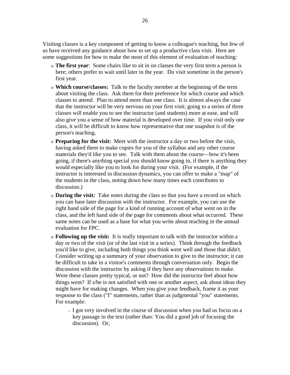Visiting classes is a key component of getting to know a colleague's teaching, but few of us have received any guidance about how to set up a productive class visit. Here are some suggestions for how to make the most of this element of evaluation of teaching:

- <sup>o</sup> **The first year**: Some chairs like to sit in on classes the very first term a person is here; others prefer to wait until later in the year. Do visit sometime in the person's first year.
- <sup>o</sup> **Which course/classes:** Talk to the faculty member at the beginning of the term about visiting the class. Ask them for their preference for which course and which classes to attend. Plan to attend more than one class. It is almost always the case that the instructor will be very nervous on your first visit; going to a series of three classes will enable you to see the instructor (and students) more at ease, and will also give you a sense of how material is developed over time. If you visit only one class, it will be difficult to know how representative that one snapshot is of the person's teaching.
- <sup>o</sup> **Preparing for the visit:** Meet with the instructor a day or two before the visit, having asked them to make copies for you of the syllabus and any other course materials they'd like you to see. Talk with them about the course—how it's been going, if there's anything special you should know going in, if there is anything they would especially like you to look for during your visit. (For example, if the instructor is interested in discussion dynamics, you can offer to make a "map" of the students in the class, noting down how many times each contributes to discussion.)
- <sup>o</sup> **During the visit:** Take notes during the class so that you have a record on which you can base later discussion with the instructor. For example, you can use the right hand side of the page for a kind of running account of what went on in the class, and the left hand side of the page for comments about what occurred. These same notes can be used as a base for what you write about teaching in the annual evaluation for FPC.
- <sup>o</sup> **Following up the visit:** It is really important to talk with the instructor within a day or two of the visit (or of the last visit in a series). Think through the feedback you'd like to give, including both things you think went well and those that didn't. Consider writing up a summary of your observation to give to the instructor; it can be difficult to take in a visitor's comments through conversation only. Begin the discussion with the instructor by asking if they have any observations to make. Were these classes pretty typical, or not? How did the instructor feel about how things went? If s/he is not satisfied with one or another aspect, ask about ideas they might have for making changes. When you give your feedback, frame it as your response to the class ("I" statements, rather than as judgmental "you" statements. For example:
	- I got very involved in the course of discussion when you had us focus on a key passage in the text (rather than: You did a good job of focusing the discussion). Or,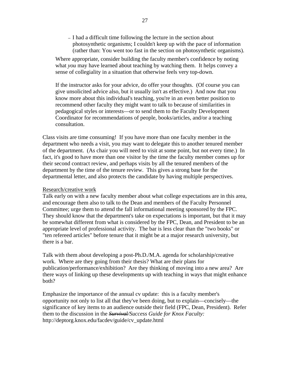— I had a difficult time following the lecture in the section about photosynthetic organisms; I couldn't keep up with the pace of information (rather than: You went too fast in the section on photosynthetic organisms).

 Where appropriate, consider building the faculty member's confidence by noting what *you* may have learned about teaching by watching them. It helps convey a sense of collegiality in a situation that otherwise feels very top-down.

If the instructor asks for your advice, do offer your thoughts. (Of course you can give unsolicited advice also, but it usually isn't as effective.) And now that you know more about this individual's teaching, you're in an even better position to recommend other faculty they might want to talk to because of similarities in pedagogical styles or interests—or to send them to the Faculty Development Coordinator for recommendations of people, books/articles, and/or a teaching consultation.

Class visits are time consuming! If you have more than one faculty member in the department who needs a visit, you may want to delegate this to another tenured member of the department. (As chair you will need to visit at some point, but not every time.) In fact, it's good to have more than one visitor by the time the faculty member comes up for their second contract review, and perhaps visits by all the tenured members of the department by the time of the tenure review. This gives a strong base for the departmental letter, and also protects the candidate by having multiple perspectives.

#### Research/creative work

Talk early on with a new faculty member about what college expectations are in this area, and encourage them also to talk to the Dean and members of the Faculty Personnel Committee; urge them to attend the fall informational meeting sponsored by the FPC. They should know that the department's take on expectations is important, but that it may be somewhat different from what is considered by the FPC, Dean, and President to be an appropriate level of professional activity. The bar is less clear than the "two books" or "ten refereed articles" before tenure that it might be at a major research university, but there is a bar.

Talk with them about developing a post-Ph.D./M.A. agenda for scholarship/creative work. Where are they going from their thesis? What are their plans for publication/performance/exhibition? Are they thinking of moving into a new area? Are there ways of linking up these developments up with teaching in ways that might enhance both?

Emphasize the importance of the annual cv update: this is a faculty member's opportunity not only to list all that they've been doing, but to explain—concisely—the significance of key items to an audience outside their field (FPC, Dean, President). Refer them to the discussion in the *Survival/Success Guide for Knox Faculty:*  http://deptorg.knox.edu/facdev/guide/cv\_update.html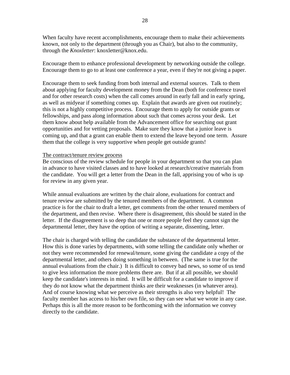When faculty have recent accomplishments, encourage them to make their achievements known, not only to the department (through you as Chair), but also to the community, through the *Knoxletter*: knoxletter@knox.edu.

Encourage them to enhance professional development by networking outside the college. Encourage them to go to at least one conference a year, even if they're not giving a paper.

Encourage them to seek funding from both internal and external sources. Talk to them about applying for faculty development money from the Dean (both for conference travel and for other research costs) when the call comes around in early fall and in early spring, as well as midyear if something comes up. Explain that awards are given out routinely; this is not a highly competitive process. Encourage them to apply for outside grants or fellowships, and pass along information about such that comes across your desk. Let them know about help available from the Advancement office for searching out grant opportunities and for vetting proposals. Make sure they know that a junior leave is coming up, and that a grant can enable them to extend the leave beyond one term. Assure them that the college is very supportive when people get outside grants!

#### The contract/tenure review process

Be conscious of the review schedule for people in your department so that you can plan in advance to have visited classes and to have looked at research/creative materials from the candidate. You will get a letter from the Dean in the fall, apprising you of who is up for review in any given year.

While annual evaluations are written by the chair alone, evaluations for contract and tenure review are submitted by the tenured members of the department. A common practice is for the chair to draft a letter, get comments from the other tenured members of the department, and then revise. Where there is disagreement, this should be stated in the letter. If the disagreement is so deep that one or more people feel they cannot sign the departmental letter, they have the option of writing a separate, dissenting, letter.

The chair is charged with telling the candidate the substance of the departmental letter. How this is done varies by departments, with some telling the candidate only whether or not they were recommended for renewal/tenure, some giving the candidate a copy of the departmental letter, and others doing something in between. (The same is true for the annual evaluations from the chair.) It is difficult to convey bad news, so some of us tend to give less information the more problems there are. But if at all possible, we should keep the candidate's interests in mind. It will be difficult for a candidate to improve if they do not know what the department thinks are their weaknesses (in whatever area). And of course knowing what we perceive as their strengths is also very helpful! The faculty member has access to his/her own file, so they can see what we wrote in any case. Perhaps this is all the more reason to be forthcoming with the information we convey directly to the candidate.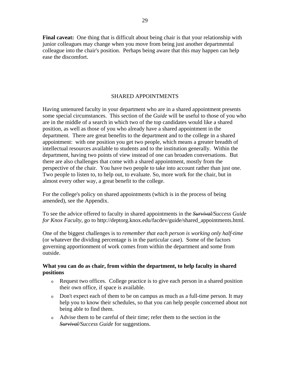**Final caveat:** One thing that is difficult about being chair is that your relationship with junior colleagues may change when you move from being just another departmental colleague into the chair's position. Perhaps being aware that this may happen can help ease the discomfort.

#### SHARED APPOINTMENTS

Having untenured faculty in your department who are in a shared appointment presents some special circumstances. This section of the *Guide* will be useful to those of you who are in the middle of a search in which two of the top candidates would like a shared position, as well as those of you who already have a shared appointment in the department. There are great benefits to the department and to the college in a shared appointment: with one position you get two people, which means a greater breadth of intellectual resources available to students and to the institution generally. Within the department, having two points of view instead of one can broaden conversations. But there are also challenges that come with a shared appointment, mostly from the perspective of the chair. You have two people to take into account rather than just one. Two people to listen to, to help out, to evaluate. So, more work for the chair, but in almost every other way, a great benefit to the college.

For the college's policy on shared appointments (which is in the process of being amended), see the Appendix.

To see the advice offered to faculty in shared appointments in the *Survival/Success Guide for Knox Faculty*, go to http://deptorg.knox.edu/facdev/guide/shared\_appointments.html.

One of the biggest challenges is to *remember that each person is working only half-time* (or whatever the dividing percentage is in the particular case). Some of the factors governing apportionment of work comes from within the department and some from outside.

### **What you can do as chair, from within the department, to help faculty in shared positions**

- <sup>o</sup> Request two offices. College practice is to give each person in a shared position their own office, if space is available.
- <sup>o</sup> Don't expect each of them to be on campus as much as a full-time person. It may help you to know their schedules, so that you can help people concerned about not being able to find them.
- <sup>o</sup> Advise them to be careful of their time; refer them to the section in the *Survival/Success Guide* for suggestions.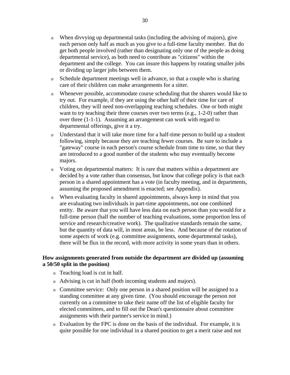- <sup>o</sup> When divvying up departmental tasks (including the advising of majors), give each person only half as much as you give to a full-time faculty member. But do get both people involved (rather than designating only one of the people as doing departmental service), as both need to contribute as "citizens" within the department and the college. You can insure this happens by rotating smaller jobs or dividing up larger jobs between them.
- <sup>o</sup> Schedule department meetings well in advance, so that a couple who is sharing care of their children can make arrangements for a sitter.
- <sup>o</sup> Whenever possible, accommodate course scheduling that the sharers would like to try out. For example, if they are using the other half of their time for care of children, they will need non-overlapping teaching schedules. One or both might want to try teaching their three courses over two terms (e.g., 1-2-0) rather than over three (1-1-1). Assuming an arrangement can work with regard to departmental offerings, give it a try.
- <sup>o</sup> Understand that it will take more time for a half-time person to build up a student following, simply because they are teaching fewer courses. Be sure to include a "gateway" course in each person's course schedule from time to time, so that they are introduced to a good number of the students who may eventually become majors.
- <sup>o</sup> Voting on departmental matters: It is rare that matters within a department are decided by a vote rather than consensus, but know that college policy is that each person in a shared appointment has a vote (in faculty meeting, and in departments, assuming the proposed amendment is enacted; see Appendix).
- <sup>o</sup> When evaluating faculty in shared appointments, always keep in mind that you are evaluating two individuals in part-time appointments, not one combined entity. Be aware that you will have less data on each person than you would for a full-time person (half the number of teaching evaluations, some proportion less of service and research/creative work). The qualitative standards remain the same, but the quantity of data will, in most areas, be less. And because of the rotation of some aspects of work (e.g. committee assignments, some departmental tasks), there will be flux in the record, with more activity in some years than in others.

### **How assignments generated from outside the department are divided up (assuming a 50/50 split in the position)**

- <sup>o</sup> Teaching load is cut in half.
- <sup>o</sup> Advising is cut in half (both incoming students and majors).
- <sup>o</sup> Committee service: Only one person in a shared position will be assigned to a standing committee at any given time. (You should encourage the person not currently on a committee to take their name off the list of eligible faculty for elected committees, and to fill out the Dean's questionnaire about committee assignments with their partner's service in mind.)
- <sup>o</sup> Evaluation by the FPC is done on the basis of the individual. For example, it is quite possible for one individual in a shared position to get a merit raise and not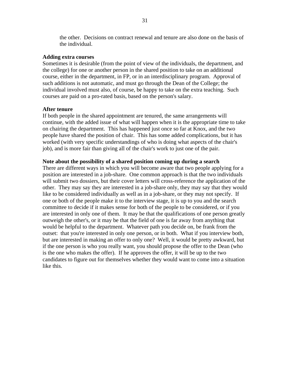the other. Decisions on contract renewal and tenure are also done on the basis of the individual.

#### **Adding extra courses**

Sometimes it is desirable (from the point of view of the individuals, the department, and the college) for one or another person in the shared position to take on an additional course, either in the department, in FP, or in an interdisciplinary program. Approval of such additions is not automatic, and must go through the Dean of the College; the individual involved must also, of course, be happy to take on the extra teaching. Such courses are paid on a pro-rated basis, based on the person's salary.

#### **After tenure**

If both people in the shared appointment are tenured, the same arrangements will continue, with the added issue of what will happen when it is the appropriate time to take on chairing the department. This has happened just once so far at Knox, and the two people have shared the position of chair. This has some added complications, but it has worked (with very specific understandings of who is doing what aspects of the chair's job), and is more fair than giving all of the chair's work to just one of the pair.

#### **Note about the possibility of a shared position coming up during a search**

There are different ways in which you will become aware that two people applying for a position are interested in a job-share. One common approach is that the two individuals will submit two dossiers, but their cover letters will cross-reference the application of the other. They may say they are interested in a job-share only, they may say that they would like to be considered individually as well as in a job-share, or they may not specify. If one or both of the people make it to the interview stage, it is up to you and the search committee to decide if it makes sense for both of the people to be considered, or if you are interested in only one of them. It may be that the qualifications of one person greatly outweigh the other's, or it may be that the field of one is far away from anything that would be helpful to the department. Whatever path you decide on, be frank from the outset: that you're interested in only one person, or in both. What if you interview both, but are interested in making an offer to only one? Well, it would be pretty awkward, but if the one person is who you really want, you should propose the offer to the Dean (who is the one who makes the offer). If he approves the offer, it will be up to the two candidates to figure out for themselves whether they would want to come into a situation like this.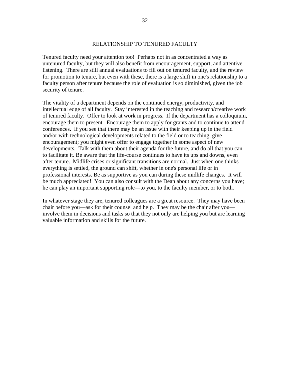# RELATIONSHIP TO TENURED FACULTY

Tenured faculty need your attention too! Perhaps not in as concentrated a way as untenured faculty, but they will also benefit from encouragement, support, and attentive listening. There are still annual evaluations to fill out on tenured faculty, and the review for promotion to tenure, but even with these, there is a large shift in one's relationship to a faculty person after tenure because the role of evaluation is so diminished, given the job security of tenure.

The vitality of a department depends on the continued energy, productivity, and intellectual edge of all faculty. Stay interested in the teaching and research/creative work of tenured faculty. Offer to look at work in progress. If the department has a colloquium, encourage them to present. Encourage them to apply for grants and to continue to attend conferences. If you see that there may be an issue with their keeping up in the field and/or with technological developments related to the field or to teaching, give encouragement; you might even offer to engage together in some aspect of new developments. Talk with them about their agenda for the future, and do all that you can to facilitate it. Be aware that the life-course continues to have its ups and downs, even after tenure. Midlife crises or significant transitions are normal. Just when one thinks everything is settled, the ground can shift, whether in one's personal life or in professional interests. Be as supportive as you can during these midlife changes. It will be much appreciated! You can also consult with the Dean about any concerns you have; he can play an important supporting role—to you, to the faculty member, or to both.

In whatever stage they are, tenured colleagues are a great resource. They may have been chair before you—ask for their counsel and help. They may be the chair after you involve them in decisions and tasks so that they not only are helping you but are learning valuable information and skills for the future.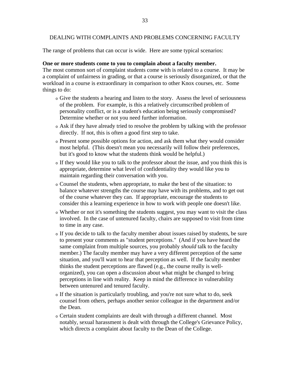# DEALING WITH COMPLAINTS AND PROBLEMS CONCERNING FACULTY

The range of problems that can occur is wide. Here are some typical scenarios:

# **One or more students come to you to complain about a faculty member.**

The most common sort of complaint students come with is related to a course. It may be a complaint of unfairness in grading, or that a course is seriously disorganized, or that the workload in a course is extraordinary in comparison to other Knox courses, etc. Some things to do:

- <sup>o</sup> Give the students a hearing and listen to the story. Assess the level of seriousness of the problem. For example, is this a relatively circumscribed problem of personality conflict, or is a student's education being seriously compromised? Determine whether or not you need further information.
- <sup>o</sup> Ask if they have already tried to resolve the problem by talking with the professor directly. If not, this is often a good first step to take.
- <sup>o</sup> Present some possible options for action, and ask them what they would consider most helpful. (This doesn't mean you necessarily will follow their preferences, but it's good to know what the students think would be helpful.)
- <sup>o</sup> If they would like you to talk to the professor about the issue, and you think this is appropriate, determine what level of confidentiality they would like you to maintain regarding their conversation with you.
- <sup>o</sup> Counsel the students, when appropriate, to make the best of the situation: to balance whatever strengths the course may have with its problems, and to get out of the course whatever they can. If appropriate, encourage the students to consider this a learning experience in how to work with people one doesn't like.
- <sup>o</sup> Whether or not it's something the students suggest, you may want to visit the class involved. In the case of untenured faculty, chairs are supposed to visit from time to time in any case.
- <sup>o</sup> If you decide to talk to the faculty member about issues raised by students, be sure to present your comments as "student perceptions." (And if you have heard the same complaint from multiple sources, you probably *should* talk to the faculty member.) The faculty member may have a very different perception of the same situation, and you'll want to hear that perception as well. If the faculty member thinks the student perceptions are flawed (e.g., the course really is wellorganized), you can open a discussion about what might be changed to bring perceptions in line with reality. Keep in mind the difference in vulnerability between untenured and tenured faculty.
- <sup>o</sup> If the situation is particularly troubling, and you're not sure what to do, seek counsel from others, perhaps another senior colleague in the department and/or the Dean.
- <sup>o</sup> Certain student complaints are dealt with through a different channel. Most notably, sexual harassment is dealt with through the College's Grievance Policy, which directs a complaint about faculty to the Dean of the College.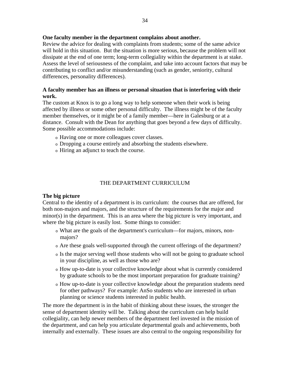Review the advice for dealing with complaints from students; some of the same advice will hold in this situation. But the situation is more serious, because the problem will not dissipate at the end of one term; long-term collegiality within the department is at stake. Assess the level of seriousness of the complaint, and take into account factors that may be contributing to conflict and/or misunderstanding (such as gender, seniority, cultural differences, personality differences).

# **A faculty member has an illness or personal situation that is interfering with their work.**

The custom at Knox is to go a long way to help someone when their work is being affected by illness or some other personal difficulty. The illness might be of the faculty member themselves, or it might be of a family member—here in Galesburg or at a distance. Consult with the Dean for anything that goes beyond a few days of difficulty. Some possible accommodations include:

- <sup>o</sup> Having one or more colleagues cover classes.
- <sup>o</sup> Dropping a course entirely and absorbing the students elsewhere.
- <sup>o</sup> Hiring an adjunct to teach the course.

# THE DEPARTMENT CURRICULUM

# **The big picture**

Central to the identity of a department is its curriculum: the courses that are offered, for both non-majors and majors, and the structure of the requirements for the major and minor(s) in the department. This is an area where the big picture is very important, and where the big picture is easily lost. Some things to consider:

- <sup>o</sup> What are the goals of the department's curriculum—for majors, minors, nonmajors?
- <sup>o</sup> Are these goals well-supported through the current offerings of the department?
- <sup>o</sup> Is the major serving well those students who will not be going to graduate school in your discipline, as well as those who are?
- <sup>o</sup> How up-to-date is your collective knowledge about what is currently considered by graduate schools to be the most important preparation for graduate training?
- <sup>o</sup> How up-to-date is your collective knowledge about the preparation students need for other pathways? For example: AnSo students who are interested in urban planning or science students interested in public health.

The more the department is in the habit of thinking about these issues, the stronger the sense of department identity will be. Talking about the curriculum can help build collegiality, can help newer members of the department feel invested in the mission of the department, and can help you articulate departmental goals and achievements, both internally and externally. These issues are also central to the ongoing responsibility for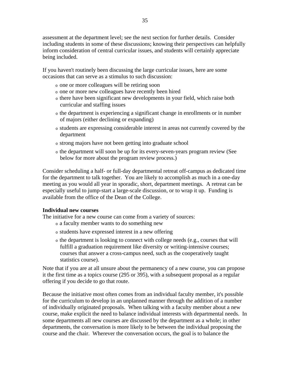assessment at the department level; see the next section for further details. Consider including students in some of these discussions; knowing their perspectives can helpfully inform consideration of central curricular issues, and students will certainly appreciate being included.

If you haven't routinely been discussing the large curricular issues, here are some occasions that can serve as a stimulus to such discussion:

- <sup>o</sup> one or more colleagues will be retiring soon
- <sup>o</sup> one or more new colleagues have recently been hired
- <sup>o</sup> there have been significant new developments in your field, which raise both curricular and staffing issues
- <sup>o</sup> the department is experiencing a significant change in enrollments or in number of majors (either declining or expanding)
- <sup>o</sup> students are expressing considerable interest in areas not currently covered by the department
- <sup>o</sup> strong majors have not been getting into graduate school
- <sup>o</sup> the department will soon be up for its every-seven-years program review (See below for more about the program review process.)

Consider scheduling a half- or full-day departmental retreat off-campus as dedicated time for the department to talk together. You are likely to accomplish as much in a one-day meeting as you would all year in sporadic, short, department meetings. A retreat can be especially useful to jump-start a large-scale discussion, or to wrap it up. Funding is available from the office of the Dean of the College.

# **Individual new courses**

The initiative for a new course can come from a variety of sources:

- <sup>o</sup> a faculty member wants to do something new
- <sup>o</sup> students have expressed interest in a new offering
- <sup>o</sup> the department is looking to connect with college needs (e.g., courses that will fulfill a graduation requirement like diversity or writing-intensive courses; courses that answer a cross-campus need, such as the cooperatively taught statistics course).

Note that if you are at all unsure about the permanency of a new course, you can propose it the first time as a topics course (295 or 395), with a subsequent proposal as a regular offering if you decide to go that route.

Because the initiative most often comes from an individual faculty member, it's possible for the curriculum to develop in an unplanned manner through the addition of a number of individually originated proposals. When talking with a faculty member about a new course, make explicit the need to balance individual interests with departmental needs. In some departments all new courses are discussed by the department as a whole; in other departments, the conversation is more likely to be between the individual proposing the course and the chair. Wherever the conversation occurs, the goal is to balance the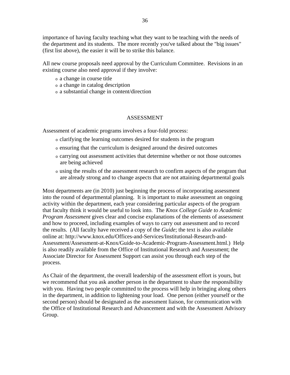importance of having faculty teaching what they want to be teaching with the needs of the department and its students. The more recently you've talked about the "big issues" (first list above), the easier it will be to strike this balance.

All new course proposals need approval by the Curriculum Committee. Revisions in an existing course also need approval if they involve:

- <sup>o</sup> a change in course title
- <sup>o</sup> a change in catalog description
- <sup>o</sup> a substantial change in content/direction

## ASSESSMENT

Assessment of academic programs involves a four-fold process:

- <sup>o</sup> clarifying the learning outcomes desired for students in the program
- <sup>o</sup> ensuring that the curriculum is designed around the desired outcomes
- <sup>o</sup> carrying out assessment activities that determine whether or not those outcomes are being achieved
- <sup>o</sup> using the results of the assessment research to confirm aspects of the program that are already strong and to change aspects that are not attaining departmental goals

Most departments are (in 2010) just beginning the process of incorporating assessment into the round of departmental planning. It is important to make assessment an ongoing activity within the department, each year considering particular aspects of the program that faculty think it would be useful to look into. The *Knox College Guide to Academic Program Assessment* gives clear and concise explanations of the elements of assessment and how to proceed, including examples of ways to carry out assessment and to record the results. (All faculty have received a copy of the *Guide*; the text is also available online at: http://www.knox.edu/Offices-and-Services/Institutional-Research-and-Assessment/Assessment-at-Knox/Guide-to-Academic-Program-Assessment.html.) Help is also readily available from the Office of Institutional Research and Assessment; the Associate Director for Assessment Support can assist you through each step of the process.

As Chair of the department, the overall leadership of the assessment effort is yours, but we recommend that you ask another person in the department to share the responsibility with you. Having two people committed to the process will help in bringing along others in the department, in addition to lightening your load. One person (either yourself or the second person) should be designated as the assessment liaison, for communication with the Office of Institutional Research and Advancement and with the Assessment Advisory Group.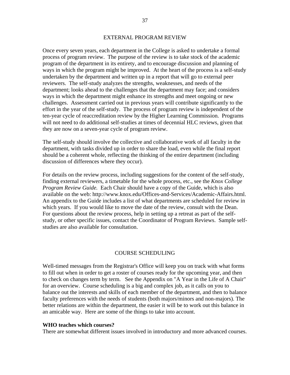#### EXTERNAL PROGRAM REVIEW

Once every seven years, each department in the College is asked to undertake a formal process of program review. The purpose of the review is to take stock of the academic program of the department in its entirety, and to encourage discussion and planning of ways in which the program might be improved. At the heart of the process is a self-study undertaken by the department and written up in a report that will go to external peer reviewers. The self-study analyzes the strengths, weaknesses, and needs of the department; looks ahead to the challenges that the department may face; and considers ways in which the department might enhance its strengths and meet ongoing or new challenges. Assessment carried out in previous years will contribute significantly to the effort in the year of the self-study. The process of program review is independent of the ten-year cycle of reaccreditation review by the Higher Learning Commission. Programs will not need to do additional self-studies at times of decennial HLC reviews, given that they are now on a seven-year cycle of program review.

The self-study should involve the collective and collaborative work of all faculty in the department, with tasks divided up in order to share the load, even while the final report should be a coherent whole, reflecting the thinking of the entire department (including discussion of differences where they occur).

For details on the review process, including suggestions for the content of the self-study, finding external reviewers, a timetable for the whole process, etc., see the *Knox College Program Review Guide.* Each Chair should have a copy of the Guide, which is also available on the web: http://www.knox.edu/Offices-and-Services/Academic-Affairs.html. An appendix to the Guide includes a list of what departments are scheduled for review in which years. If you would like to move the date of the review, consult with the Dean. For questions about the review process, help in setting up a retreat as part of the selfstudy, or other specific issues, contact the Coordinator of Program Reviews. Sample selfstudies are also available for consultation.

#### COURSE SCHEDULING

Well-timed messages from the Registrar's Office will keep you on track with what forms to fill out when in order to get a roster of courses ready for the upcoming year, and then to check on changes term by term. See the Appendix on "A Year in the Life of A Chair" for an overview. Course scheduling is a big and complex job, as it calls on you to balance out the interests and skills of each member of the department, and then to balance faculty preferences with the needs of students (both majors/minors and non-majors). The better relations are within the department, the easier it will be to work out this balance in an amicable way. Here are some of the things to take into account.

#### **WHO teaches which courses?**

There are somewhat different issues involved in introductory and more advanced courses.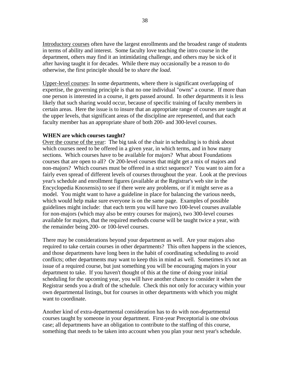Introductory courses often have the largest enrollments and the broadest range of students in terms of ability and interest. Some faculty love teaching the intro course in the department, others may find it an intimidating challenge, and others may be sick of it after having taught it for decades. While there may occasionally be a reason to do otherwise, the first principle should be to *share the load*.

Upper-level courses: In some departments, where there is significant overlapping of expertise, the governing principle is that no one individual "owns" a course. If more than one person is interested in a course, it gets passed around. In other departments it is less likely that such sharing would occur, because of specific training of faculty members in certain areas. Here the issue is to insure that an appropriate range of courses are taught at the upper levels, that significant areas of the discipline are represented, and that each faculty member has an appropriate share of both 200- and 300-level courses.

# **WHEN are which courses taught?**

Over the course of the year: The big task of the chair in scheduling is to think about which courses need to be offered in a given year, in which terms, and in how many sections. Which courses have to be available for majors? What about Foundations courses that are open to all? Or 200-level courses that might get a mix of majors and non-majors? Which courses must be offered in a strict sequence? You want to aim for a fairly even spread of different levels of courses throughout the year. Look at the previous year's schedule and enrollment figures (available at the Registrar's web site in the Encyclopedia Knoxensis) to see if there were any problems, or if it might serve as a model. You might want to have a guideline in place for balancing the various needs, which would help make sure everyone is on the same page. Examples of possible guidelines might include: that each term you will have two 100-level courses available for non-majors (which may also be entry courses for majors), two 300-level courses available for majors, that the required methods course will be taught twice a year, with the remainder being 200- or 100-level courses.

There may be considerations beyond your department as well. Are your majors also required to take certain courses in other departments? This often happens in the sciences, and those departments have long been in the habit of coordinating scheduling to avoid conflicts; other departments may want to keep this in mind as well. Sometimes it's not an issue of a required course, but just something you will be encouraging majors in your department to take. If you haven't thought of this at the time of doing your initial scheduling for the upcoming year, you will have another chance to consider it when the Registrar sends you a draft of the schedule. Check this not only for accuracy within your own departmental listings, but for courses in other departments with which you might want to coordinate.

Another kind of extra-departmental consideration has to do with non-departmental courses taught by someone in your department. First-year Preceptorial is one obvious case; all departments have an obligation to contribute to the staffing of this course, something that needs to be taken into account when you plan your next year's schedule.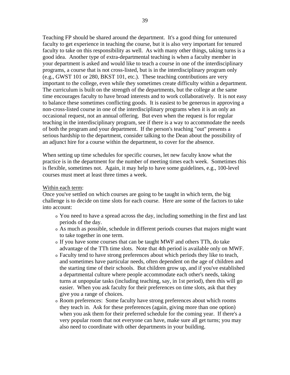Teaching FP should be shared around the department. It's a good thing for untenured faculty to get experience in teaching the course, but it is also very important for tenured faculty to take on this responsibility as well. As with many other things, taking turns is a good idea. Another type of extra-departmental teaching is when a faculty member in your department is asked and would like to teach a course in one of the interdisciplinary programs, a course that is not cross-listed, but is in the interdisciplinary program only (e.g., GWST 101 or 280, BKST 101, etc.). These teaching contributions are very important to the college, even while they sometimes create difficulty within a department. The curriculum is built on the strength of the departments, but the college at the same time encourages faculty to have broad interests and to work collaboratively. It is not easy to balance these sometimes conflicting goods. It is easiest to be generous in approving a non-cross-listed course in one of the interdisciplinary programs when it is an only an occasional request, not an annual offering. But even when the request is for regular teaching in the interdisciplinary program, see if there is a way to accommodate the needs of both the program and your department. If the person's teaching "out" presents a serious hardship to the department, consider talking to the Dean about the possibility of an adjunct hire for a course within the department, to cover for the absence.

When setting up time schedules for specific courses, let new faculty know what the practice is in the department for the number of meeting times each week. Sometimes this is flexible, sometimes not. Again, it may help to have some guidelines, e.g., 100-level courses must meet at least three times a week.

#### Within each term:

Once you've settled on which courses are going to be taught in which term, the big challenge is to decide on time slots for each course. Here are some of the factors to take into account:

- <sup>o</sup> You need to have a spread across the day, including something in the first and last periods of the day.
- <sup>o</sup> As much as possible, schedule in different periods courses that majors might want to take together in one term.
- <sup>o</sup> If you have some courses that can be taught MWF and others TTh, do take advantage of the TTh time slots. Note that 4th period is available only on MWF.
- <sup>o</sup> Faculty tend to have strong preferences about which periods they like to teach, and sometimes have particular needs, often dependent on the age of children and the starting time of their schools. But children grow up, and if you've established a departmental culture where people accommodate each other's needs, taking turns at unpopular tasks (including teaching, say, in 1st period), then this will go easier. When you ask faculty for their preferences on time slots, ask that they give you a range of choices.
- <sup>o</sup> Room preferences: Some faculty have strong preferences about which rooms they teach in. Ask for these preferences (again, giving more than one option) when you ask them for their preferred schedule for the coming year. If there's a very popular room that not everyone can have, make sure all get turns; you may also need to coordinate with other departments in your building.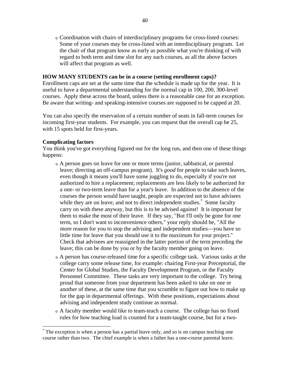<sup>o</sup> Coordination with chairs of interdisciplinary programs for cross-listed courses: Some of your courses may be cross-listed with an interdisciplinary program. Let the chair of that program know as early as possible what you're thinking of with regard to both term and time slot for any such courses, as all the above factors will affect that program as well.

# **HOW MANY STUDENTS can be in a course (setting enrollment caps)?**

Enrollment caps are set at the same time that the schedule is made up for the year. It is useful to have a departmental understanding for the normal cap in 100, 200, 300-level courses. Apply these across the board, unless there is a reasonable case for an exception. Be aware that writing- and speaking-intensive courses are supposed to be capped at 20.

You can also specify the reservation of a certain number of seats in fall-term courses for incoming first-year students. For example, you can request that the overall cap be 25, with 15 spots held for first-years.

#### **Complicating factors**

 $\overline{a}$ 

You think you've got everything figured out for the long run, and then one of these things happens:

- <sup>o</sup> A person goes on leave for one or more terms (junior, sabbatical, or parental leave; directing an off-campus program). It's *good* for people to take such leaves, even though it means you'll have some juggling to do, especially if you're not authorized to hire a replacement; replacements are less likely to be authorized for a one- or two-term leave than for a year's leave. In addition to the absence of the courses the person would have taught, people are expected not to have advisees while they are on leave, and not to direct independent studies.<sup>\*</sup> Some faculty carry on with these anyway, but this is to be advised against! It is important for them to make the most of their leave. If they say, "But I'll only be gone for one term, so I don't want to inconvenience others," your reply should be, "All the more reason for you to stop the advising and independent studies—you have so little time for leave that you should use it to the maximum for your project." Check that advisees are reassigned in the latter portion of the term preceding the leave; this can be done by you or by the faculty member going on leave.
- <sup>o</sup> A person has course-released time for a specific college task. Various tasks at the college carry some release time, for example: chairing First-year Preceptorial, the Center for Global Studies, the Faculty Development Program, or the Faculty Personnel Committee. These tasks are very important to the college. Try being proud that someone from your department has been asked to take on one or another of these, at the same time that you scramble to figure out how to make up for the gap in departmental offerings. With these positions, expectations about advising and independent study continue as normal.
- <sup>o</sup> A faculty member would like to team-teach a course. The college has no fixed rules for how teaching load is counted for a team-taught course, but for a two-

<sup>\*</sup> The exception is when a person has a partial leave only, and so is on campus teaching one course rather than two. The chief example is when a father has a one-course parental leave.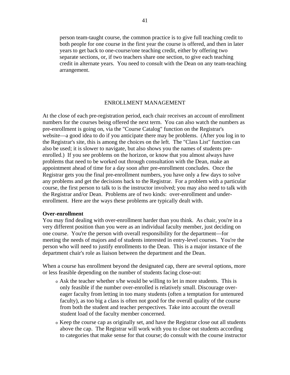person team-taught course, the common practice is to give full teaching credit to both people for one course in the first year the course is offered, and then in later years to get back to one-course/one teaching credit, either by offering two separate sections, or, if two teachers share one section, to give each teaching credit in alternate years. You need to consult with the Dean on any team-teaching arrangement.

#### ENROLLMENT MANAGEMENT

At the close of each pre-registration period, each chair receives an account of enrollment numbers for the courses being offered the next term. You can also watch the numbers as pre-enrollment is going on, via the "Course Catalog" function on the Registrar's website—a good idea to do if you anticipate there may be problems. (After you log in to the Registrar's site, this is among the choices on the left. The "Class List" function can also be used; it is slower to navigate, but also shows you the names of students preenrolled.) If you see problems on the horizon, or know that you almost always have problems that need to be worked out through consultation with the Dean, make an appointment ahead of time for a day soon after pre-enrollment concludes. Once the Registrar gets you the final pre-enrollment numbers, you have only a few days to solve any problems and get the decisions back to the Registrar. For a problem with a particular course, the first person to talk to is the instructor involved; you may also need to talk with the Registrar and/or Dean. Problems are of two kinds: over-enrollment and underenrollment. Here are the ways these problems are typically dealt with.

#### **Over-enrollment**

You may find dealing with over-enrollment harder than you think. As chair, you're in a very different position than you were as an individual faculty member, just deciding on one course. You're the person with overall responsibility for the department—for meeting the needs of majors and of students interested in entry-level courses. You're the person who will need to justify enrollments to the Dean. This is a major instance of the department chair's role as liaison between the department and the Dean.

When a course has enrollment beyond the designated cap, there are several options, more or less feasible depending on the number of students facing close-out:

- <sup>o</sup> Ask the teacher whether s/he would be willing to let in more students. This is only feasible if the number over-enrolled is relatively small. Discourage overeager faculty from letting in too many students (often a temptation for untenured faculty), as too big a class is often not good for the overall quality of the course from both the student and teacher perspectives. Take into account the overall student load of the faculty member concerned.
- <sup>o</sup> Keep the course cap as originally set, and have the Registrar close out all students above the cap. The Registrar will work with you to close out students according to categories that make sense for that course; do consult with the course instructor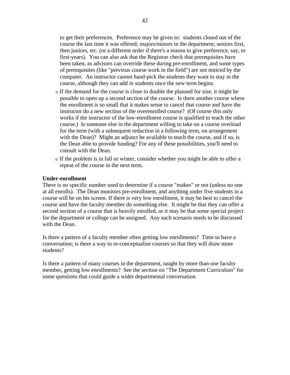to get their preferences. Preference may be given to: students closed out of the course the last time it was offered; majors/minors in the department; seniors first, then juniors, etc. (or a different order if there's a reason to give preference, say, to first-years). You can also ask that the Registrar check that prerequisites have been taken, as advisors can override these during pre-enrollment, and some types of prerequisites (like "previous course work in the field") are not noticed by the computer. An instructor cannot hand-pick the students they want to stay in the course, although they can add in students once the new term begins.

- <sup>o</sup> If the demand for the course is close to double the planned for size, it might be possible to open up a second section of the course. Is there another course where the enrollment is so small that it makes sense to cancel that course and have the instructor do a new section of the overenrolled course? (Of course this only works if the instructor of the low-enrollment course is qualified to teach the other course.) Is someone else in the department willing to take on a course overload for the term (with a subsequent reduction in a following term, on arrangement with the Dean)? Might an adjunct be available to teach the course, and if so, is the Dean able to provide funding? For any of these possibilities, you'll need to consult with the Dean.
- <sup>o</sup> If the problem is in fall or winter, consider whether you might be able to offer a repeat of the course in the next term.

#### **Under-enrollment**

There is no specific number used to determine if a course "makes" or not (unless no one at all enrolls). The Dean monitors pre-enrollment, and anything under five students in a course will be on his screen. If there is very low enrollment, it may be best to cancel the course and have the faculty member do something else. It might be that they can offer a second section of a course that is heavily enrolled, or it may be that some special project for the department or college can be assigned. Any such scenario needs to be discussed with the Dean.

Is there a pattern of a faculty member often getting low enrollments? Time to have a conversation; is there a way to re-conceptualize courses so that they will draw more students?

Is there a pattern of many courses in the department, taught by more than one faculty member, getting low enrollments? See the section on "The Department Curriculum" for some questions that could guide a wider departmental conversation.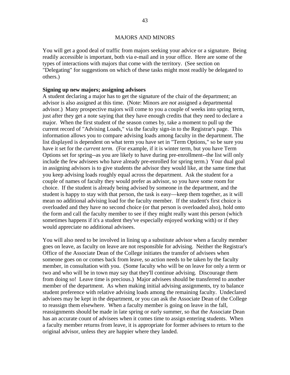# MAJORS AND MINORS

You will get a good deal of traffic from majors seeking your advice or a signature. Being readily accessible is important, both via e-mail and in your office. Here are some of the types of interactions with majors that come with the territory. (See section on "Delegating" for suggestions on which of these tasks might most readily be delegated to others.)

# **Signing up new majors; assigning advisors**

A student declaring a major has to get the signature of the chair of the department; an advisor is also assigned at this time. (Note: Minors are *not* assigned a departmental advisor.) Many prospective majors will come to you a couple of weeks into spring term, just after they get a note saying that they have enough credits that they need to declare a major. When the first student of the season comes by, take a moment to pull up the current record of "Advising Loads," via the faculty sign-in to the Registrar's page. This information allows you to compare advising loads among faculty in the department. The list displayed is dependent on what term you have set in "Term Options," so be sure you have it set for the *current term*. (For example, if it is winter term, but you have Term Options set for spring--as you are likely to have during pre-enrollment--the list will only include the few advisees who have already pre-enrolled for spring term.) Your dual goal in assigning advisors is to give students the advisor they would like, at the same time that you keep advising loads roughly equal across the department. Ask the student for a couple of names of faculty they would prefer as advisor, so you have some room for choice. If the student is already being advised by someone in the department, and the student is happy to stay with that person, the task is easy—keep them together, as it will mean no additional advising load for the faculty member. If the student's first choice is overloaded and they have no second choice (or that person is overloaded also), hold onto the form and call the faculty member to see if they might really want this person (which sometimes happens if it's a student they've especially enjoyed working with) or if they would appreciate no additional advisees.

You will also need to be involved in lining up a substitute advisor when a faculty member goes on leave, as faculty on leave are not responsible for advising. Neither the Registrar's Office of the Associate Dean of the College initiates the transfer of advisees when someone goes on or comes back from leave, so action needs to be taken by the faculty member, in consultation with you. (Some faculty who will be on leave for only a term or two and who will be in town may say that they'll continue advising. Discourage them from doing so! Leave time is precious.) Major advisees should be transferred to another member of the department. As when making initial advising assignments, try to balance student preference with relative advising loads among the remaining faculty. Undeclared advisees may be kept in the department, or you can ask the Associate Dean of the College to reassign them elsewhere. When a faculty member is going on leave in the fall, reassignments should be made in late spring or early summer, so that the Associate Dean has an accurate count of advisees when it comes time to assign entering students. When a faculty member returns from leave, it is appropriate for former advisees to return to the original advisor, unless they are happier where they landed.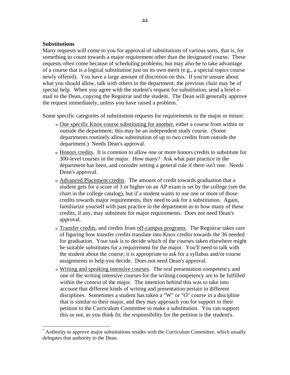# **Substitutions**

 $\overline{a}$ 

Many requests will come to you for approval of substitutions of various sorts, that is, for something to count towards a major requirement other than the designated course. These requests often come because of scheduling problems, but may also be to take advantage of a course that is a logical substitution just on its own merit (e.g., a special topics course newly offered). You have a large amount of discretion on this. If you're unsure about what you should allow, talk with others in the department; the previous chair may be of special help. When you agree with the student's request for substitution, send a brief email to the Dean, copying the Registrar and the student. The Dean will generally approve the request immediately, unless you have raised a problem.\*

Some specific categories of substitution requests for requirements in the major or minor:

- <sup>o</sup> One specific Knox course substituting for another, either a course from within or outside the department; this may be an independent study course. (Some departments routinely allow substitution of up to two credits from outside the department.) Needs Dean's approval.
- <sup>o</sup> Honors credits. It is common to allow one or more honors credits to substitute for 300-level courses in the major. How many? Ask what past practice in the department has been, and consider setting a general rule if there isn't one. Needs Dean's approval.
- <sup>o</sup> Advanced Placement credits. The amount of credit towards graduation that a student gets for a score of 3 or higher on an AP exam is set by the college (see the chart in the college catalog), but if a student wants to use one or more of those credits towards major requirements, they need to ask for a substitution. Again, familiarize yourself with past practice in the department as to how many of these credits, if any, may substitute for major requirements. Does not need Dean's approval.
- <sup>o</sup> Transfer credits, and credits from off-campus programs. The Registrar takes care of figuring how transfer credits translate into Knox credits towards the 36 needed for graduation. Your task is to decide which of the courses taken elsewhere might be suitable substitutes for a requirement for the major. You'll need to talk with the student about the course; it is appropriate to ask for a syllabus and/or course assignments to help you decide. Does not need Dean's approval.
- <sup>o</sup> Writing and speaking intensive courses. The oral presentation competency and one of the writing intensive courses for the writing competency are to be fulfilled within the context of the major. The intention behind this was to take into account that different kinds of writing and presentation pertain in different disciplines. Sometimes a student has taken a "W" or "O" course in a discipline that is similar to their major, and they may approach you for support in their petition to the Curriculum Committee to make a substitution. You can support this or not, as you think fit; the responsibility for the petition is the student's.

<sup>\*</sup> Authority to approve major substitutions resides with the Curriculum Committee, which usually delegates that authority to the Dean.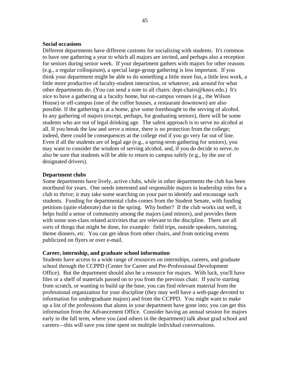#### **Social occasions**

Different departments have different customs for socializing with students. It's common to have one gathering a year to which all majors are invited, and perhaps also a reception for seniors during senior week. If your department gathers with majors for other reasons (e.g., a regular colloquium), a special large-group gathering is less important. If you think your department might be able to do something a little more fun, a little less work, a little more productive of faculty-student interaction, or whatever, ask around for what other departments do. (You can send a note to all chairs: dept-chairs@knox.edu.) It's nice to have a gathering at a faculty home, but on-campus venues (e.g., the Wilson House) or off-campus (one of the coffee houses, a restaurant downtown) are also possible. If the gathering is at a home, give some forethought to the serving of alcohol. In any gathering of majors (except, perhaps, for graduating seniors), there will be some students who are not of legal drinking age. The safest approach is to serve no alcohol at all. If you break the law and serve a minor, there is no protection from the college; indeed, there could be consequences at the college end if you go very far out of line. Even if all the students are of legal age (e.g., a spring-term gathering for seniors), you may want to consider the wisdom of serving alcohol, and, if you do decide to serve, to also be sure that students will be able to return to campus safely (e.g., by the use of designated drivers).

#### **Department clubs**

Some departments have lively, active clubs, while in other departments the club has been moribund for years. One needs interested and responsible majors in leadership roles for a club to thrive; it may take some searching on your part to identify and encourage such students. Funding for departmental clubs comes from the Student Senate, with funding petitions (quite elaborate) due in the spring. Why bother? If the club works out well, it helps build a sense of community among the majors (and minors), and provides them with some non-class related activities that are relevant to the discipline. There are all sorts of things that might be done, for example: field trips, outside speakers, tutoring, theme dinners, etc. You can get ideas from other chairs, and from noticing events publicized on flyers or over e-mail.

#### **Career, internship, and graduate school information**

Students have access to a wide range of resources on internships, careers, and graduate school through the CCPPD (Center for Career and Pre-Professional Development Office). But the department should also be a resource for majors. With luck, you'll have files or a shelf of materials passed on to you from the previous chair. If you're starting from scratch, or wanting to build up the base, you can find relevant material from the professional organization for your discipline (they may well have a web-page devoted to information for undergraduate majors) and from the CCPPD. You might want to make up a list of the professions that alums in your department have gone into; you can get this information from the Advancement Office. Consider having an annual session for majors early in the fall term, where you (and others in the department) talk about grad school and careers—this will save you time spent on multiple individual conversations.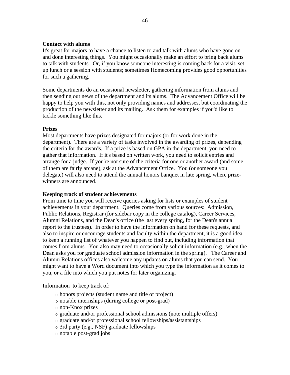# **Contact with alums**

It's great for majors to have a chance to listen to and talk with alums who have gone on and done interesting things. You might occasionally make an effort to bring back alums to talk with students. Or, if you know someone interesting is coming back for a visit, set up lunch or a session with students; sometimes Homecoming provides good opportunities for such a gathering.

Some departments do an occasional newsletter, gathering information from alums and then sending out news of the department and its alums. The Advancement Office will be happy to help you with this, not only providing names and addresses, but coordinating the production of the newsletter and its mailing. Ask them for examples if you'd like to tackle something like this.

# **Prizes**

Most departments have prizes designated for majors (or for work done in the department). There are a variety of tasks involved in the awarding of prizes, depending the criteria for the awards. If a prize is based on GPA in the department, you need to gather that information. If it's based on written work, you need to solicit entries and arrange for a judge. If you're not sure of the criteria for one or another award (and some of them are fairly arcane), ask at the Advancement Office. You (or someone you delegate) will also need to attend the annual honors banquet in late spring, where prizewinners are announced.

# **Keeping track of student achievements**

From time to time you will receive queries asking for lists or examples of student achievements in your department. Queries come from various sources: Admission, Public Relations, Registrar (for sidebar copy in the college catalog), Career Services, Alumni Relations, and the Dean's office (the last every spring, for the Dean's annual report to the trustees). In order to have the information on hand for these requests, and also to inspire or encourage students and faculty within the department, it is a good idea to keep a running list of whatever you happen to find out, including information that comes from alums. You also may need to occasionally solicit information (e.g., when the Dean asks you for graduate school admission information in the spring). The Career and Alumni Relations offices also welcome any updates on alums that you can send. You might want to have a Word document into which you type the information as it comes to you, or a file into which you put notes for later organizing.

Information to keep track of:

- <sup>o</sup> honors projects (student name and title of project)
- <sup>o</sup> notable internships (during college or post-grad)
- <sup>o</sup> non-Knox prizes
- <sup>o</sup> graduate and/or professional school admissions (note multiple offers)
- <sup>o</sup> graduate and/or professional school fellowships/assistantships
- <sup>o</sup> 3rd party (e.g., NSF) graduate fellowships
- <sup>o</sup> notable post-grad jobs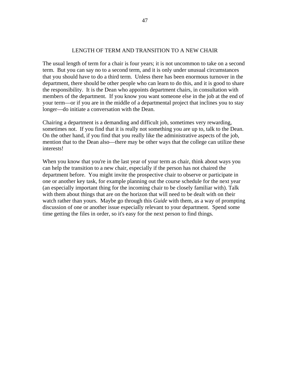#### LENGTH OF TERM AND TRANSITION TO A NEW CHAIR

The usual length of term for a chair is four years; it is not uncommon to take on a second term. But you can say no to a second term, and it is only under unusual circumstances that you should have to do a third term. Unless there has been enormous turnover in the department, there should be other people who can learn to do this, and it is good to share the responsibility. It is the Dean who appoints department chairs, in consultation with members of the department. If you know you want someone else in the job at the end of your term—or if you are in the middle of a departmental project that inclines you to stay longer—do initiate a conversation with the Dean.

Chairing a department is a demanding and difficult job, sometimes very rewarding, sometimes not. If you find that it is really not something you are up to, talk to the Dean. On the other hand, if you find that you really like the administrative aspects of the job, mention that to the Dean also—there may be other ways that the college can utilize these interests!

When you know that you're in the last year of your term as chair, think about ways you can help the transition to a new chair, especially if the person has not chaired the department before. You might invite the prospective chair to observe or participate in one or another key task, for example planning out the course schedule for the next year (an especially important thing for the incoming chair to be closely familiar with). Talk with them about things that are on the horizon that will need to be dealt with on their watch rather than yours. Maybe go through this *Guide* with them, as a way of prompting discussion of one or another issue especially relevant to your department. Spend some time getting the files in order, so it's easy for the next person to find things.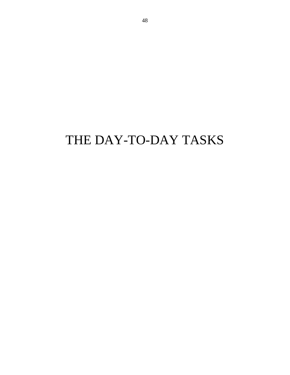# THE DAY-TO-DAY TASKS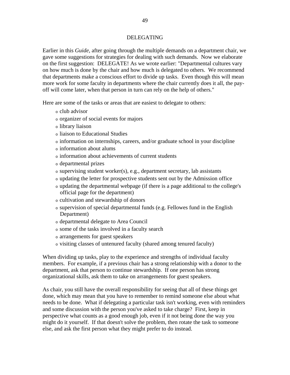# DELEGATING

Earlier in this *Guide*, after going through the multiple demands on a department chair, we gave some suggestions for strategies for dealing with such demands. Now we elaborate on the first suggestion: DELEGATE! As we wrote earlier: "Departmental cultures vary on how much is done by the chair and how much is delegated to others. We recommend that departments make a conscious effort to divide up tasks. Even though this will mean more work for some faculty in departments where the chair currently does it all, the payoff will come later, when that person in turn can rely on the help of others."

Here are some of the tasks or areas that are easiest to delegate to others:

- <sup>o</sup> club advisor
- <sup>o</sup> organizer of social events for majors
- <sup>o</sup> library liaison
- <sup>o</sup> liaison to Educational Studies
- <sup>o</sup> information on internships, careers, and/or graduate school in your discipline
- <sup>o</sup> information about alums
- <sup>o</sup> information about achievements of current students
- <sup>o</sup> departmental prizes
- <sup>o</sup> supervising student worker(s), e.g., department secretary, lab assistants
- <sup>o</sup> updating the letter for prospective students sent out by the Admission office
- <sup>o</sup> updating the departmental webpage (if there is a page additional to the college's official page for the department)
- <sup>o</sup> cultivation and stewardship of donors
- <sup>o</sup> supervision of special departmental funds (e.g. Fellowes fund in the English Department)
- <sup>o</sup> departmental delegate to Area Council
- <sup>o</sup> some of the tasks involved in a faculty search
- <sup>o</sup> arrangements for guest speakers
- <sup>o</sup> visiting classes of untenured faculty (shared among tenured faculty)

When dividing up tasks, play to the experience and strengths of individual faculty members. For example, if a previous chair has a strong relationship with a donor to the department, ask that person to continue stewardship. If one person has strong organizational skills, ask them to take on arrangements for guest speakers.

As chair, you still have the overall responsibility for seeing that all of these things get done, which may mean that you have to remember to remind someone else about what needs to be done. What if delegating a particular task isn't working, even with reminders and some discussion with the person you've asked to take charge? First, keep in perspective what counts as a good enough job, even if it not being done the way you might do it yourself. If that doesn't solve the problem, then rotate the task to someone else, and ask the first person what they might prefer to do instead.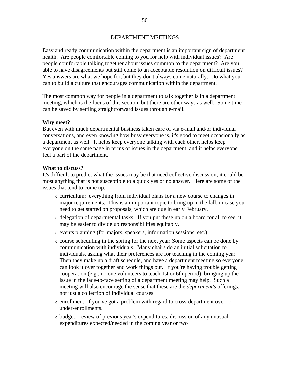# DEPARTMENT MEETINGS

Easy and ready communication within the department is an important sign of department health. Are people comfortable coming to you for help with individual issues? Are people comfortable talking together about issues common to the department? Are you able to have disagreements but still come to an acceptable resolution on difficult issues? Yes answers are what we hope for, but they don't always come naturally. Do what you can to build a culture that encourages communication within the department.

The most common way for people in a department to talk together is in a department meeting, which is the focus of this section, but there are other ways as well. Some time can be saved by settling straightforward issues through e-mail.

# **Why meet?**

But even with much departmental business taken care of via e-mail and/or individual conversations, and even knowing how busy everyone is, it's good to meet occasionally as a department as well. It helps keep everyone talking with each other, helps keep everyone on the same page in terms of issues in the department, and it helps everyone feel a part of the department.

#### **What to discuss?**

It's difficult to predict what the issues may be that need collective discussion; it could be most anything that is not susceptible to a quick yes or no answer. Here are some of the issues that tend to come up:

- <sup>o</sup> curriculum: everything from individual plans for a new course to changes in major requirements. This is an important topic to bring up in the fall, in case you need to get started on proposals, which are due in early February.
- <sup>o</sup> delegation of departmental tasks: If you put these up on a board for all to see, it may be easier to divide up responsibilities equitably.
- <sup>o</sup> events planning (for majors, speakers, information sessions, etc.)
- <sup>o</sup> course scheduling in the spring for the next year: Some aspects can be done by communication with individuals. Many chairs do an initial solicitation to individuals, asking what their preferences are for teaching in the coming year. Then they make up a draft schedule, and have a department meeting so everyone can look it over together and work things out. If you're having trouble getting cooperation (e.g., no one volunteers to teach 1st or 6th period), bringing up the issue in the face-to-face setting of a department meeting may help. Such a meeting will also encourage the sense that these are the *department's* offerings, not just a collection of individual courses.
- <sup>o</sup> enrollment: if you've got a problem with regard to cross-department over- or under-enrollments.
- <sup>o</sup> budget: review of previous year's expenditures; discussion of any unusual expenditures expected/needed in the coming year or two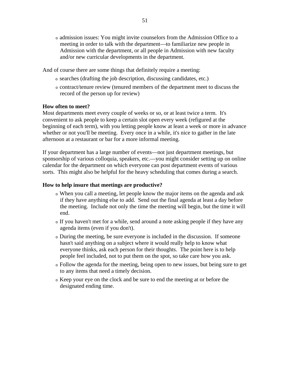<sup>o</sup> admission issues: You might invite counselors from the Admission Office to a meeting in order to talk with the department—to familiarize new people in Admission with the department, or all people in Admission with new faculty and/or new curricular developments in the department.

And of course there are some things that definitely require a meeting:

- <sup>o</sup> searches (drafting the job description, discussing candidates, etc.)
- <sup>o</sup> contract/tenure review (tenured members of the department meet to discuss the record of the person up for review)

# **How often to meet?**

Most departments meet every couple of weeks or so, or at least twice a term. It's convenient to ask people to keep a certain slot open every week (refigured at the beginning of each term), with you letting people know at least a week or more in advance whether or not you'll be meeting. Every once in a while, it's nice to gather in the late afternoon at a restaurant or bar for a more informal meeting.

If your department has a large number of events—not just department meetings, but sponsorship of various colloquia, speakers, etc.—you might consider setting up on online calendar for the department on which everyone can post department events of various sorts. This might also be helpful for the heavy scheduling that comes during a search.

# **How to help insure that meetings are productive?**

- <sup>o</sup> When you call a meeting, let people know the major items on the agenda and ask if they have anything else to add. Send out the final agenda at least a day before the meeting. Include not only the time the meeting will begin, but the time it will end.
- <sup>o</sup> If you haven't met for a while, send around a note asking people if they have any agenda items (even if you don't).
- <sup>o</sup> During the meeting, be sure everyone is included in the discussion. If someone hasn't said anything on a subject where it would really help to know what everyone thinks, ask each person for their thoughts. The point here is to help people feel included, not to put them on the spot, so take care how you ask.
- <sup>o</sup> Follow the agenda for the meeting, being open to new issues, but being sure to get to any items that need a timely decision.
- <sup>o</sup> Keep your eye on the clock and be sure to end the meeting at or before the designated ending time.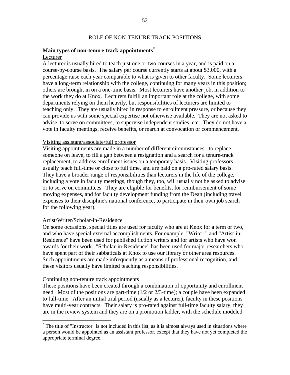#### ROLE OF NON-TENURE TRACK POSITIONS

# **Main types of non-tenure track appointments\***

# Lecturer

A lecturer is usually hired to teach just one or two courses in a year, and is paid on a course-by-course basis. The salary per course currently starts at about \$3,000, with a percentage raise each year comparable to what is given to other faculty. Some lecturers have a long-term relationship with the college, continuing for many years in this position; others are brought in on a one-time basis. Most lecturers have another job, in addition to the work they do at Knox. Lecturers fulfill an important role at the college, with some departments relying on them heavily, but responsibilities of lecturers are limited to teaching only. They are usually hired in response to enrollment pressure, or because they can provide us with some special expertise not otherwise available. They are not asked to advise, to serve on committees, to supervise independent studies, etc. They do not have a vote in faculty meetings, receive benefits, or march at convocation or commencement.

# Visiting assistant/associate/full professor

Visiting appointments are made in a number of different circumstances: to replace someone on leave, to fill a gap between a resignation and a search for a tenure-track replacement, to address enrollment issues on a temporary basis. Visiting professors usually teach full-time or close to full time, and are paid on a pro-rated salary basis. They have a broader range of responsibilities than lecturers in the life of the college, including a vote in faculty meetings, though they, too, will usually not be asked to advise or to serve on committees. They are eligible for benefits, for reimbursement of some moving expenses, and for faculty development funding from the Dean (including travel expenses to their discipline's national conference, to participate in their own job search for the following year).

#### Artist/Writer/Scholar-in-Residence

On some occasions, special titles are used for faculty who are at Knox for a term or two, and who have special external accomplishments. For example, "Writer-" and "Artist-in-Residence" have been used for published fiction writers and for artists who have won awards for their work. "Scholar-in-Residence" has been used for major researchers who have spent part of their sabbaticals at Knox to use our library or other area resources. Such appointments are made infrequently as a means of professional recognition, and these visitors usually have limited teaching responsibilities.

#### Continuing non-tenure track appointments

 $\overline{a}$ 

These positions have been created through a combination of opportunity and enrollment need. Most of the positions are part-time (1/2 or 2/3-time); a couple have been expanded to full-time. After an initial trial period (usually as a lecturer), faculty in these positions have multi-year contracts. Their salary is pro-rated against full-time faculty salary, they are in the review system and they are on a promotion ladder, with the schedule modeled

<sup>\*</sup> The title of "Instructor" is not included in this list, as it is almost always used in situations where a person would be appointed as an assistant professor, except that they have not yet completed the appropriate terminal degree.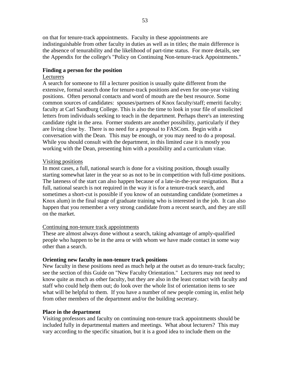on that for tenure-track appointments. Faculty in these appointments are indistinguishable from other faculty in duties as well as in titles; the main difference is the absence of tenurability and the likelihood of part-time status. For more details, see the Appendix for the college's "Policy on Continuing Non-tenure-track Appointments."

# **Finding a person for the position**

# Lecturers

A search for someone to fill a lecturer position is usually quite different from the extensive, formal search done for tenure-track positions and even for one-year visiting positions. Often personal contacts and word of mouth are the best resource. Some common sources of candidates: spouses/partners of Knox faculty/staff; emeriti faculty; faculty at Carl Sandburg College. This is also the time to look in your file of unsolicited letters from individuals seeking to teach in the department. Perhaps there's an interesting candidate right in the area. Former students are another possibility, particularly if they are living close by. There is no need for a proposal to FASCom. Begin with a conversation with the Dean. This may be enough, or you may need to do a proposal. While you should consult with the department, in this limited case it is mostly you working with the Dean, presenting him with a possibility and a curriculum vitae.

# Visiting positions

In most cases, a full, national search is done for a visiting position, though usually starting somewhat later in the year so as not to be in competition with full-time positions. The lateness of the start can also happen because of a late-in-the-year resignation. But a full, national search is not required in the way it is for a tenure-track search, and sometimes a short-cut is possible if you know of an outstanding candidate (sometimes a Knox alum) in the final stage of graduate training who is interested in the job. It can also happen that you remember a very strong candidate from a recent search, and they are still on the market.

#### Continuing non-tenure track appointments

These are almost always done without a search, taking advantage of amply-qualified people who happen to be in the area or with whom we have made contact in some way other than a search.

# **Orienting new faculty in non-tenure track positions**

New faculty in these positions need as much help at the outset as do tenure-track faculty; see the section of this Guide on "New Faculty Orientation." Lecturers may not need to know quite as much as other faculty, but they are also in the least contact with faculty and staff who could help them out; do look over the whole list of orientation items to see what will be helpful to them. If you have a number of new people coming in, enlist help from other members of the department and/or the building secretary.

# **Place in the department**

Visiting professors and faculty on continuing non-tenure track appointments should be included fully in departmental matters and meetings. What about lecturers? This may vary according to the specific situation, but it is a good idea to include them on the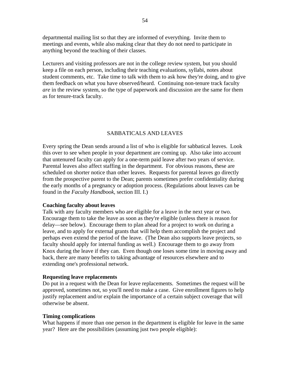departmental mailing list so that they are informed of everything. Invite them to meetings and events, while also making clear that they do not need to participate in anything beyond the teaching of their classes.

Lecturers and visiting professors are not in the college review system, but you should keep a file on each person, including their teaching evaluations, syllabi, notes about student comments, etc. Take time to talk with them to ask how they're doing, and to give them feedback on what you have observed/heard. Continuing non-tenure track faculty *are* in the review system, so the type of paperwork and discussion are the same for them as for tenure-track faculty.

# SABBATICALS AND LEAVES

Every spring the Dean sends around a list of who is eligible for sabbatical leaves. Look this over to see when people in your department are coming up. Also take into account that untenured faculty can apply for a one-term paid leave after two years of service. Parental leaves also affect staffing in the department. For obvious reasons, these are scheduled on shorter notice than other leaves. Requests for parental leaves go directly from the prospective parent to the Dean; parents sometimes prefer confidentiality during the early months of a pregnancy or adoption process. (Regulations about leaves can be found in the *Faculty Handbook*, section III. I.)

#### **Coaching faculty about leaves**

Talk with any faculty members who are eligible for a leave in the next year or two. Encourage them to take the leave as soon as they're eligible (unless there is reason for delay—see below). Encourage them to plan ahead for a project to work on during a leave, and to apply for external grants that will help them accomplish the project and perhaps even extend the period of the leave. (The Dean also supports leave projects, so faculty should apply for internal funding as well.) Encourage them to go away from Knox during the leave if they can. Even though one loses some time in moving away and back, there are many benefits to taking advantage of resources elsewhere and to extending one's professional network.

#### **Requesting leave replacements**

Do put in a request with the Dean for leave replacements. Sometimes the request will be approved, sometimes not, so you'll need to make a case. Give enrollment figures to help justify replacement and/or explain the importance of a certain subject coverage that will otherwise be absent.

#### **Timing complications**

What happens if more than one person in the department is eligible for leave in the same year? Here are the possibilities (assuming just two people eligible):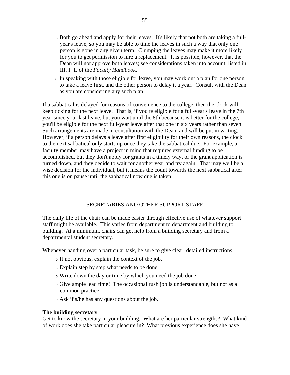- <sup>o</sup> Both go ahead and apply for their leaves. It's likely that not both are taking a fullyear's leave, so you may be able to time the leaves in such a way that only one person is gone in any given term. Clumping the leaves may make it more likely for you to get permission to hire a replacement. It is possible, however, that the Dean will not approve both leaves; see considerations taken into account, listed in III. I. 1. of the *Faculty Handbook*.
- <sup>o</sup> In speaking with those eligible for leave, you may work out a plan for one person to take a leave first, and the other person to delay it a year. Consult with the Dean as you are considering any such plan.

If a sabbatical is delayed for reasons of convenience to the college, then the clock will keep ticking for the next leave. That is, if you're eligible for a full-year's leave in the 7th year since your last leave, but you wait until the 8th because it is better for the college, you'll be eligible for the next full-year leave after that one in six years rather than seven. Such arrangements are made in consultation with the Dean, and will be put in writing. However, if a person delays a leave after first eligibility for their own reasons, the clock to the next sabbatical only starts up once they take the sabbatical due. For example, a faculty member may have a project in mind that requires external funding to be accomplished, but they don't apply for grants in a timely way, or the grant application is turned down, and they decide to wait for another year and try again. That may well be a wise decision for the individual, but it means the count towards the next sabbatical after this one is on pause until the sabbatical now due is taken.

#### SECRETARIES AND OTHER SUPPORT STAFF

The daily life of the chair can be made easier through effective use of whatever support staff might be available. This varies from department to department and building to building. At a minimum, chairs can get help from a building secretary and from a departmental student secretary.

Whenever handing over a particular task, be sure to give clear, detailed instructions:

- <sup>o</sup> If not obvious, explain the context of the job.
- <sup>o</sup> Explain step by step what needs to be done.
- <sup>o</sup> Write down the day or time by which you need the job done.
- <sup>o</sup> Give ample lead time! The occasional rush job is understandable, but not as a common practice.
- <sup>o</sup> Ask if s/he has any questions about the job.

#### **The building secretary**

Get to know the secretary in your building. What are her particular strengths? What kind of work does she take particular pleasure in? What previous experience does she have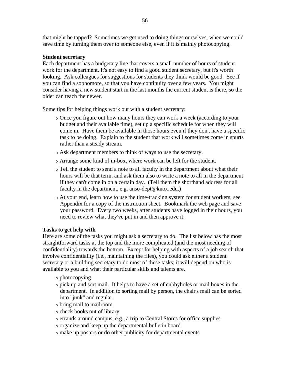that might be tapped? Sometimes we get used to doing things ourselves, when we could save time by turning them over to someone else, even if it is mainly photocopying.

# **Student secretary**

Each department has a budgetary line that covers a small number of hours of student work for the department. It's not easy to find a good student secretary, but it's worth looking. Ask colleagues for suggestions for students they think would be good. See if you can find a sophomore, so that you have continuity over a few years. You might consider having a new student start in the last months the current student is there, so the older can teach the newer.

Some tips for helping things work out with a student secretary:

- <sup>o</sup> Once you figure out how many hours they can work a week (according to your budget and their available time), set up a specific schedule for when they will come in. Have them be available in those hours even if they don't have a specific task to be doing. Explain to the student that work will sometimes come in spurts rather than a steady stream.
- <sup>o</sup> Ask department members to think of ways to use the secretary.
- <sup>o</sup> Arrange some kind of in-box, where work can be left for the student.
- <sup>o</sup> Tell the student to send a note to all faculty in the department about what their hours will be that term, and ask them also to write a note to all in the department if they can't come in on a certain day. (Tell them the shorthand address for all faculty in the department, e.g. anso-dept@knox.edu.)
- <sup>o</sup> At your end, learn how to use the time-tracking system for student workers; see Appendix for a copy of the instruction sheet. Bookmark the web page and save your password. Every two weeks, after students have logged in their hours, you need to review what they've put in and then approve it.

# **Tasks to get help with**

Here are some of the tasks you might ask a secretary to do. The list below has the most straightforward tasks at the top and the more complicated (and the most needing of confidentiality) towards the bottom. Except for helping with aspects of a job search that involve confidentiality (i.e., maintaining the files), you could ask either a student secretary or a building secretary to do most of these tasks; it will depend on who is available to you and what their particular skills and talents are.

- <sup>o</sup> photocopying
- <sup>o</sup> pick up and sort mail. It helps to have a set of cubbyholes or mail boxes in the department. In addition to sorting mail by person, the chair's mail can be sorted into "junk" and regular.
- <sup>o</sup> bring mail to mailroom
- <sup>o</sup> check books out of library
- <sup>o</sup> errands around campus, e.g., a trip to Central Stores for office supplies
- <sup>o</sup> organize and keep up the departmental bulletin board
- <sup>o</sup> make up posters or do other publicity for departmental events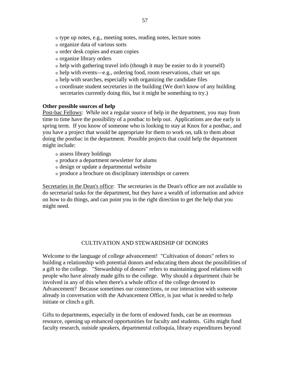- <sup>o</sup> type up notes, e.g., meeting notes, reading notes, lecture notes
- <sup>o</sup> organize data of various sorts
- <sup>o</sup> order desk copies and exam copies
- <sup>o</sup> organize library orders
- <sup>o</sup> help with gathering travel info (though it may be easier to do it yourself)
- <sup>o</sup> help with events—e.g., ordering food, room reservations, chair set ups
- <sup>o</sup> help with searches, especially with organizing the candidate files
- <sup>o</sup> coordinate student secretaries in the building (We don't know of any building secretaries currently doing this, but it might be something to try.)

# **Other possible sources of help**

Post-bac Fellows: While not a regular source of help in the department, you may from time to time have the possibility of a postbac to help out. Applications are due early in spring term. If you know of someone who is looking to stay at Knox for a postbac, and you have a project that would be appropriate for them to work on, talk to them about doing the postbac in the department. Possible projects that could help the department might include:

- <sup>o</sup> assess library holdings
- <sup>o</sup> produce a department newsletter for alums
- <sup>o</sup> design or update a departmental website
- <sup>o</sup> produce a brochure on disciplinary internships or careers

Secretaries in the Dean's office: The secretaries in the Dean's office are not available to do secretarial tasks for the department, but they have a wealth of information and advice on how to do things, and can point you in the right direction to get the help that you might need.

# CULTIVATION AND STEWARDSHIP OF DONORS

Welcome to the language of college advancement! "Cultivation of donors" refers to building a relationship with potential donors and educating them about the possibilities of a gift to the college. "Stewardship of donors" refers to maintaining good relations with people who have already made gifts to the college. Why should a department chair be involved in any of this when there's a whole office of the college devoted to Advancement? Because sometimes our connections, or our interaction with someone already in conversation with the Advancement Office, is just what is needed to help initiate or clinch a gift.

Gifts to departments, especially in the form of endowed funds, can be an enormous resource, opening up enhanced opportunities for faculty and students. Gifts might fund faculty research, outside speakers, departmental colloquia, library expenditures beyond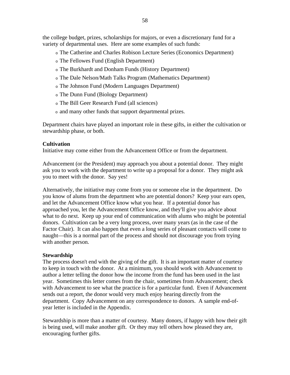the college budget, prizes, scholarships for majors, or even a discretionary fund for a variety of departmental uses. Here are some examples of such funds:

- <sup>o</sup> The Catherine and Charles Robison Lecture Series (Economics Department)
- <sup>o</sup> The Fellowes Fund (English Department)
- <sup>o</sup> The Burkhardt and Donham Funds (History Department)
- <sup>o</sup> The Dale Nelson/Math Talks Program (Mathematics Department)
- <sup>o</sup> The Johnson Fund (Modern Languages Department)
- <sup>o</sup> The Dunn Fund (Biology Department)
- <sup>o</sup> The Bill Geer Research Fund (all sciences)
- <sup>o</sup> and many other funds that support departmental prizes.

Department chairs have played an important role in these gifts, in either the cultivation or stewardship phase, or both.

# **Cultivation**

Initiative may come either from the Advancement Office or from the department.

Advancement (or the President) may approach you about a potential donor. They might ask you to work with the department to write up a proposal for a donor. They might ask you to meet with the donor. Say yes!

Alternatively, the initiative may come from you or someone else in the department. Do you know of alums from the department who are potential donors? Keep your ears open, and let the Advancement Office know what you hear. If a potential donor has approached you, let the Advancement Office know, and they'll give you advice about what to do next. Keep up your end of communication with alums who might be potential donors. Cultivation can be a very long process, over many years (as in the case of the Factor Chair). It can also happen that even a long series of pleasant contacts will come to naught—this is a normal part of the process and should not discourage you from trying with another person.

# **Stewardship**

The process doesn't end with the giving of the gift. It is an important matter of courtesy to keep in touch with the donor. At a minimum, you should work with Advancement to author a letter telling the donor how the income from the fund has been used in the last year. Sometimes this letter comes from the chair, sometimes from Advancement; check with Advancement to see what the practice is for a particular fund. Even if Advancement sends out a report, the donor would very much enjoy hearing directly from the department. Copy Advancement on any correspondence to donors. A sample end-ofyear letter is included in the Appendix.

Stewardship is more than a matter of courtesy. Many donors, if happy with how their gift is being used, will make another gift. Or they may tell others how pleased they are, encouraging further gifts.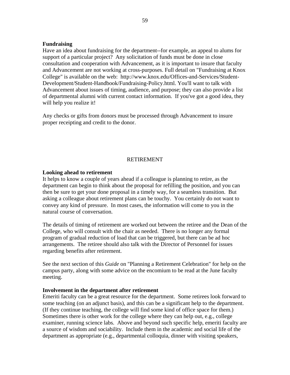# **Fundraising**

Have an idea about fundraising for the department--for example, an appeal to alums for support of a particular project? Any solicitation of funds must be done in close consultation and cooperation with Advancement, as it is important to insure that faculty and Advancement are not working at cross-purposes. Full detail on "Fundraising at Knox College" is available on the web: http://www.knox.edu/Offices-and-Services/Student-Development/Student-Handbook/Fundraising-Policy.html. You'll want to talk with Advancement about issues of timing, audience, and purpose; they can also provide a list of departmental alumni with current contact information. If you've got a good idea, they will help you realize it!

Any checks or gifts from donors must be processed through Advancement to insure proper receipting and credit to the donor.

#### RETIREMENT

# **Looking ahead to retirement**

It helps to know a couple of years ahead if a colleague is planning to retire, as the department can begin to think about the proposal for refilling the position, and you can then be sure to get your done proposal in a timely way, for a seamless transition. But asking a colleague about retirement plans can be touchy. You certainly do not want to convey any kind of pressure. In most cases, the information will come to you in the natural course of conversation.

The details of timing of retirement are worked out between the retiree and the Dean of the College, who will consult with the chair as needed. There is no longer any formal program of gradual reduction of load that can be triggered, but there can be ad hoc arrangements. The retiree should also talk with the Director of Personnel for issues regarding benefits after retirement.

See the next section of this *Guide* on "Planning a Retirement Celebration" for help on the campus party, along with some advice on the encomium to be read at the June faculty meeting.

#### **Involvement in the department after retirement**

Emeriti faculty can be a great resource for the department. Some retirees look forward to some teaching (on an adjunct basis), and this can be a significant help to the department. (If they continue teaching, the college will find some kind of office space for them.) Sometimes there is other work for the college where they can help out, e.g., college examiner, running science labs. Above and beyond such specific help, emeriti faculty are a source of wisdom and sociability. Include them in the academic and social life of the department as appropriate (e.g., departmental colloquia, dinner with visiting speakers,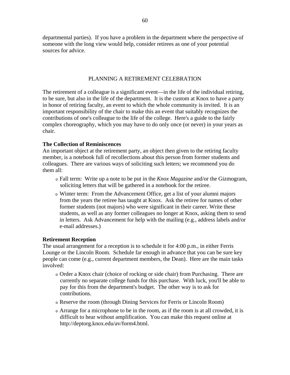departmental parties). If you have a problem in the department where the perspective of someone with the long view would help, consider retirees as one of your potential sources for advice.

# PLANNING A RETIREMENT CELEBRATION

The retirement of a colleague is a significant event—in the life of the individual retiring, to be sure, but also in the life of the department. It is the custom at Knox to have a party in honor of retiring faculty, an event to which the whole community is invited. It is an important responsibility of the chair to make this an event that suitably recognizes the contributions of one's colleague to the life of the college. Here's a guide to the fairly complex choreography, which you may have to do only once (or never) in your years as chair.

# **The Collection of Reminiscences**

An important object at the retirement party, an object then given to the retiring faculty member, is a notebook full of recollections about this person from former students and colleagues. There are various ways of soliciting such letters; we recommend you do them all:

- <sup>o</sup> Fall term: Write up a note to be put in the *Knox Magazine* and/or the Gizmogram, soliciting letters that will be gathered in a notebook for the retiree.
- <sup>o</sup> Winter term: From the Advancement Office, get a list of your alumni majors from the years the retiree has taught at Knox. Ask the retiree for names of other former students (not majors) who were significant in their career. Write these students, as well as any former colleagues no longer at Knox, asking them to send in letters. Ask Advancement for help with the mailing (e.g., address labels and/or e-mail addresses.)

# **Retirement Reception**

The usual arrangement for a reception is to schedule it for 4:00 p.m., in either Ferris Lounge or the Lincoln Room. Schedule far enough in advance that you can be sure key people can come (e.g., current department members, the Dean). Here are the main tasks involved:

- <sup>o</sup> Order a Knox chair (choice of rocking or side chair) from Purchasing. There are currently no separate college funds for this purchase. With luck, you'll be able to pay for this from the department's budget. The other way is to ask for contributions.
- <sup>o</sup> Reserve the room (through Dining Services for Ferris or Lincoln Room)
- <sup>o</sup> Arrange for a microphone to be in the room, as if the room is at all crowded, it is difficult to hear without amplification. You can make this request online at http://deptorg.knox.edu/av/form4.html.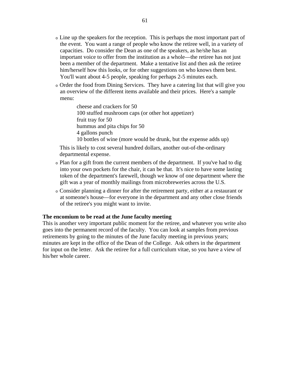- <sup>o</sup> Line up the speakers for the reception. This is perhaps the most important part of the event. You want a range of people who know the retiree well, in a variety of capacities. Do consider the Dean as one of the speakers, as he/she has an important voice to offer from the institution as a whole—the retiree has not just been a member of the department. Make a tentative list and then ask the retiree him/herself how this looks, or for other suggestions on who knows them best. You'll want about 4-5 people, speaking for perhaps 2-5 minutes each.
- <sup>o</sup> Order the food from Dining Services. They have a catering list that will give you an overview of the different items available and their prices. Here's a sample menu:

cheese and crackers for 50 100 stuffed mushroom caps (or other hot appetizer) fruit tray for 50 hummus and pita chips for 50 4 gallons punch 10 bottles of wine (more would be drunk, but the expense adds up)

This is likely to cost several hundred dollars, another out-of-the-ordinary departmental expense.

- <sup>o</sup> Plan for a gift from the current members of the department. If you've had to dig into your own pockets for the chair, it can be that. It's nice to have some lasting token of the department's farewell, though we know of one department where the gift was a year of monthly mailings from microbreweries across the U.S.
- <sup>o</sup> Consider planning a dinner for after the retirement party, either at a restaurant or at someone's house—for everyone in the department and any other close friends of the retiree's you might want to invite.

#### **The encomium to be read at the June faculty meeting**

This is another very important public moment for the retiree, and whatever you write also goes into the permanent record of the faculty. You can look at samples from previous retirements by going to the minutes of the June faculty meeting in previous years; minutes are kept in the office of the Dean of the College. Ask others in the department for input on the letter. Ask the retiree for a full curriculum vitae, so you have a view of his/her whole career.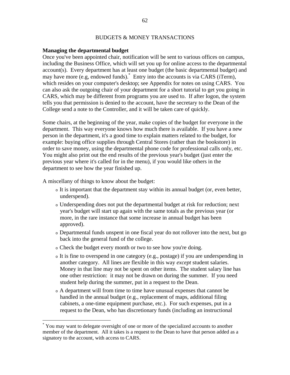# BUDGETS & MONEY TRANSACTIONS

#### **Managing the departmental budget**

Once you've been appointed chair, notification will be sent to various offices on campus, including the Business Office, which will set you up for online access to the departmental account(s). Every department has at least one budget (the basic departmental budget) and may have more (e.g, endowed funds).\* Entry into the accounts is via CARS (iTerm), which resides on your computer's desktop; see Appendix for notes on using CARS. You can also ask the outgoing chair of your department for a short tutorial to get you going in CARS, which may be different from programs you are used to. If after logon, the system tells you that permission is denied to the account, have the secretary to the Dean of the College send a note to the Controller, and it will be taken care of quickly.

Some chairs, at the beginning of the year, make copies of the budget for everyone in the department. This way everyone knows how much there is available. If you have a new person in the department, it's a good time to explain matters related to the budget, for example: buying office supplies through Central Stores (rather than the bookstore) in order to save money, using the departmental phone code for professional calls only, etc. You might also print out the end results of the previous year's budget (just enter the previous year where it's called for in the menu), if you would like others in the department to see how the year finished up.

A miscellany of things to know about the budget:

 $\overline{a}$ 

- <sup>o</sup> It is important that the department stay within its annual budget (or, even better, underspend).
- <sup>o</sup> Underspending does not put the departmental budget at risk for reduction; next year's budget will start up again with the same totals as the previous year (or more, in the rare instance that some increase in annual budget has been approved).
- <sup>o</sup> Departmental funds unspent in one fiscal year do not rollover into the next, but go back into the general fund of the college.
- <sup>o</sup> Check the budget every month or two to see how you're doing.
- <sup>o</sup> It is fine to overspend in one category (e.g., postage) if you are underspending in another category. All lines are flexible in this way *except* student salaries. Money in that line may not be spent on other items. The student salary line has one other restriction: it may not be drawn on during the summer. If you need student help during the summer, put in a request to the Dean.
- <sup>o</sup> A department will from time to time have unusual expenses that cannot be handled in the annual budget (e.g., replacement of maps, additional filing cabinets, a one-time equipment purchase, etc.). For such expenses, put in a request to the Dean, who has discretionary funds (including an instructional

<sup>\*</sup> You may want to delegate oversight of one or more of the specialized accounts to another member of the department. All it takes is a request to the Dean to have that person added as a signatory to the account, with access to CARS.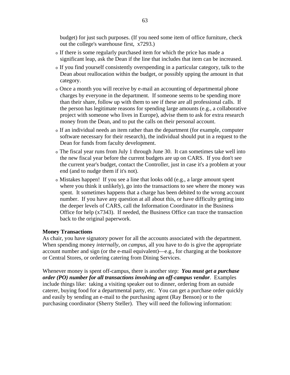budget) for just such purposes. (If you need some item of office furniture, check out the college's warehouse first, x7293.)

- <sup>o</sup> If there is some regularly purchased item for which the price has made a significant leap, ask the Dean if the line that includes that item can be increased.
- <sup>o</sup> If you find yourself consistently overspending in a particular category, talk to the Dean about reallocation within the budget, or possibly upping the amount in that category.
- <sup>o</sup> Once a month you will receive by e-mail an accounting of departmental phone charges by everyone in the department. If someone seems to be spending more than their share, follow up with them to see if these are all professional calls. If the person has legitimate reasons for spending large amounts (e.g., a collaborative project with someone who lives in Europe), advise them to ask for extra research money from the Dean, and to put the calls on their personal account.
- <sup>o</sup> If an individual needs an item rather than the department (for example, computer software necessary for their research), the individual should put in a request to the Dean for funds from faculty development.
- <sup>o</sup> The fiscal year runs from July 1 through June 30. It can sometimes take well into the new fiscal year before the current budgets are up on CARS. If you don't see the current year's budget, contact the Controller, just in case it's a problem at your end (and to nudge them if it's not).
- <sup>o</sup> Mistakes happen! If you see a line that looks odd (e.g., a large amount spent where you think it unlikely), go into the transactions to see where the money was spent. It sometimes happens that a charge has been debited to the wrong account number. If you have any question at all about this, or have difficulty getting into the deeper levels of CARS, call the Information Coordinator in the Business Office for help (x7343). If needed, the Business Office can trace the transaction back to the original paperwork.

#### **Money Transactions**

As chair, you have signatory power for all the accounts associated with the department. When spending money *internally, on campus*, all you have to do is give the appropriate account number and sign (or the e-mail equivalent)—e.g., for charging at the bookstore or Central Stores, or ordering catering from Dining Services.

Whenever money is spent off-campus, there is another step: *You must get a purchase order (PO) number for all transactions involving an off-campus vendor*. Examples include things like: taking a visiting speaker out to dinner, ordering from an outside caterer, buying food for a departmental party, etc. You can get a purchase order quickly and easily by sending an e-mail to the purchasing agent (Ray Benson) or to the purchasing coordinator (Sherry Steller). They will need the following information: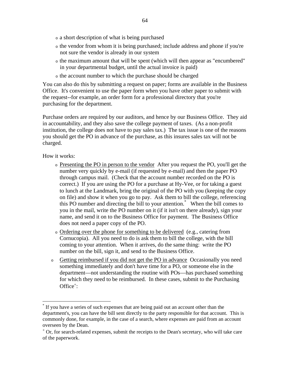- <sup>o</sup> a short description of what is being purchased
- <sup>o</sup> the vendor from whom it is being purchased; include address and phone if you're not sure the vendor is already in our system
- <sup>o</sup> the maximum amount that will be spent (which will then appear as "encumbered" in your departmental budget, until the actual invoice is paid)
- <sup>o</sup> the account number to which the purchase should be charged

You can also do this by submitting a request on paper; forms are available in the Business Office. It's convenient to use the paper form when you have other paper to submit with the request--for example, an order form for a professional directory that you're purchasing for the department.

Purchase orders are required by our auditors, and hence by our Business Office. They aid in accountability, and they also save the college payment of taxes. (As a non-profit institution, the college does not have to pay sales tax.) The tax issue is one of the reasons you should get the PO in advance of the purchase, as this insures sales tax will not be charged.

How it works:

<u>.</u>

- <sup>o</sup> Presenting the PO in person to the vendor After you request the PO, you'll get the number very quickly by e-mail (if requested by e-mail) and then the paper PO through campus mail. (Check that the account number recorded on the PO is correct.) If you are using the PO for a purchase at Hy-Vee, or for taking a guest to lunch at the Landmark, bring the original of the PO with you (keeping the copy on file) and show it when you go to pay. Ask them to bill the college, referencing this PO number and directing the bill to your attention.\* When the bill comes to you in the mail, write the PO number on it (if it isn't on there already), sign your name, and send it on to the Business Office for payment. The Business Office does not need a paper copy of the PO.
- <sup>o</sup> Ordering over the phone for something to be delivered (e.g., catering from Cornucopia). All you need to do is ask them to bill the college, with the bill coming to your attention. When it arrives, do the same thing: write the PO number on the bill, sign it, and send to the Business Office.
- <sup>o</sup> Getting reimbursed if you did not get the PO in advance Occasionally you need something immediately and don't have time for a PO, or someone else in the department—not understanding the routine with POs—has purchased something for which they need to be reimbursed. In these cases, submit to the Purchasing Office $\dot{ }$ :

<sup>\*</sup> If you have a series of such expenses that are being paid out an account other than the department's, you can have the bill sent directly to the party responsible for that account. This is commonly done, for example, in the case of a search, where expenses are paid from an account overseen by the Dean.

<sup>+</sup> Or, for search-related expenses, submit the receipts to the Dean's secretary, who will take care of the paperwork.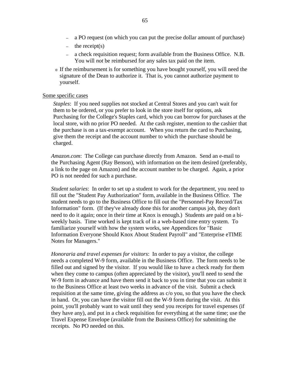- a PO request (on which you can put the precise dollar amount of purchase)
- the receipt(s)
- a check requisition request; form available from the Business Office. N.B. You will *not* be reimbursed for any sales tax paid on the item.
- <sup>o</sup> If the reimbursement is for something you have bought yourself, you will need the signature of the Dean to authorize it. That is, you cannot authorize payment to yourself.

#### Some specific cases

*Staples*: If you need supplies not stocked at Central Stores and you can't wait for them to be ordered, or you prefer to look in the store itself for options, ask Purchasing for the College's Staples card, which you can borrow for purchases at the local store, with no prior PO needed. At the cash register, mention to the cashier that the purchase is on a tax-exempt account. When you return the card to Purchasing, give them the receipt and the account number to which the purchase should be charged.

*Amazon.com*: The College can purchase directly from Amazon. Send an e-mail to the Purchasing Agent (Ray Benson), with information on the item desired (preferably, a link to the page on Amazon) and the account number to be charged. Again, a prior PO is not needed for such a purchase.

*Student salaries*: In order to set up a student to work for the department, you need to fill out the "Student Pay Authorization" form, available in the Business Office. The student needs to go to the Business Office to fill out the "Personnel-Pay Record/Tax Information" form. (If they've already done this for another campus job, they don't need to do it again; once in their time at Knox is enough.) Students are paid on a biweekly basis. Time worked is kept track of in a web-based time entry system. To familiarize yourself with how the system works, see Appendices for "Basic Information Everyone Should Knox About Student Payroll" and "Enterprise eTIME Notes for Managers."

*Honoraria and travel expenses for visitors*: In order to pay a visitor, the college needs a completed W-9 form, available in the Business Office. The form needs to be filled out and signed by the visitor. If you would like to have a check ready for them when they come to campus (often appreciated by the visitor), you'll need to send the W-9 form in advance and have them send it back to you in time that you can submit it to the Business Office at least two weeks in advance of the visit. Submit a check requisition at the same time, giving the address as c/o you, so that you have the check in hand. Or, you can have the visitor fill out the W-9 form during the visit. At this point, you'll probably want to wait until they send you receipts for travel expenses (if they have any), and put in a check requisition for everything at the same time; use the Travel Expense Envelope (available from the Business Office) for submitting the receipts. No PO needed on this.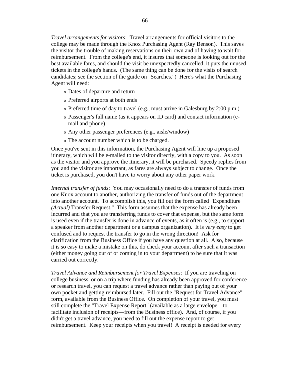*Travel arrangements for visitors*: Travel arrangements for official visitors to the college may be made through the Knox Purchasing Agent (Ray Benson). This saves the visitor the trouble of making reservations on their own and of having to wait for reimbursement. From the college's end, it insures that someone is looking out for the best available fares, and should the visit be unexpectedly cancelled, it puts the unused tickets in the college's hands. (The same thing can be done for the visits of search candidates; see the section of the guide on "Searches.") Here's what the Purchasing Agent will need:

- <sup>o</sup> Dates of departure and return
- <sup>o</sup> Preferred airports at both ends
- <sup>o</sup> Preferred time of day to travel (e.g., must arrive in Galesburg by 2:00 p.m.)
- <sup>o</sup> Passenger's full name (as it appears on ID card) and contact information (email and phone)
- <sup>o</sup> Any other passenger preferences (e.g., aisle/window)
- <sup>o</sup> The account number which is to be charged.

Once you've sent in this information, the Purchasing Agent will line up a proposed itinerary, which will be e-mailed to the visitor directly, with a copy to you. As soon as the visitor and you approve the itinerary, it will be purchased. Speedy replies from you and the visitor are important, as fares are always subject to change. Once the ticket is purchased, you don't have to worry about any other paper work.

*Internal transfer of funds*: You may occasionally need to do a transfer of funds from one Knox account to another, authorizing the transfer of funds out of the department into another account. To accomplish this, you fill out the form called "Expenditure *(Actual)* Transfer Request." This form assumes that the expense has already been incurred and that you are transferring funds to cover that expense, but the same form is used even if the transfer is done in advance of events, as it often is (e.g., to support a speaker from another department or a campus organization). It is *very easy* to get confused and to request the transfer to go in the wrong direction! Ask for clarification from the Business Office if you have any question at all. Also, because it is so easy to make a mistake on this, do check your account after such a transaction (either money going out of or coming in to your department) to be sure that it was carried out correctly.

*Travel Advance and Reimbursement for Travel Expenses*: If you are traveling on college business, or on a trip where funding has already been approved for conference or research travel, you can request a travel advance rather than paying out of your own pocket and getting reimbursed later. Fill out the "Request for Travel Advance" form, available from the Business Office. On completion of your travel, you must still complete the "Travel Expense Report" (available as a large envelope—to facilitate inclusion of receipts—from the Business office). And, of course, if you didn't get a travel advance, you need to fill out the expense report to get reimbursement. Keep your receipts when you travel! A receipt is needed for every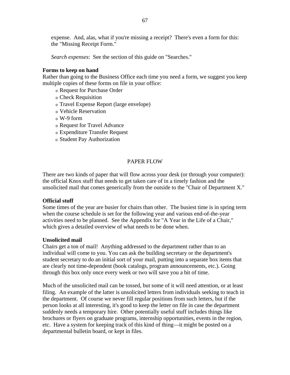expense. And, alas, what if you're missing a receipt? There's even a form for this: the "Missing Receipt Form."

*Search expenses*: See the section of this guide on "Searches."

#### **Forms to keep on hand**

Rather than going to the Business Office each time you need a form, we suggest you keep multiple copies of these forms on file in your office:

- <sup>o</sup> Request for Purchase Order
- <sup>o</sup> Check Requisition
- <sup>o</sup> Travel Expense Report (large envelope)
- <sup>o</sup> Vehicle Reservation
- $\alpha$  W-9 form
- <sup>o</sup> Request for Travel Advance
- <sup>o</sup> Expenditure Transfer Request
- <sup>o</sup> Student Pay Authorization

# PAPER FLOW

There are two kinds of paper that will flow across your desk (or through your computer): the official Knox stuff that needs to get taken care of in a timely fashion and the unsolicited mail that comes generically from the outside to the "Chair of Department X."

#### **Official stuff**

Some times of the year are busier for chairs than other. The busiest time is in spring term when the course schedule is set for the following year and various end-of-the-year activities need to be planned. See the Appendix for "A Year in the Life of a Chair," which gives a detailed overview of what needs to be done when.

#### **Unsolicited mail**

Chairs get a ton of mail! Anything addressed to the department rather than to an individual will come to you. You can ask the building secretary or the department's student secretary to do an initial sort of your mail, putting into a separate box items that are clearly not time-dependent (book catalogs, program announcements, etc.). Going through this box only once every week or two will save you a bit of time.

Much of the unsolicited mail can be tossed, but some of it will need attention, or at least filing. An example of the latter is unsolicited letters from individuals seeking to teach in the department. Of course we never fill regular positions from such letters, but if the person looks at all interesting, it's good to keep the letter on file in case the department suddenly needs a temporary hire. Other potentially useful stuff includes things like brochures or flyers on graduate programs, internship opportunities, events in the region, etc. Have a system for keeping track of this kind of thing—it might be posted on a departmental bulletin board, or kept in files.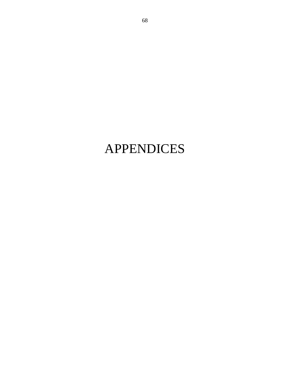# APPENDICES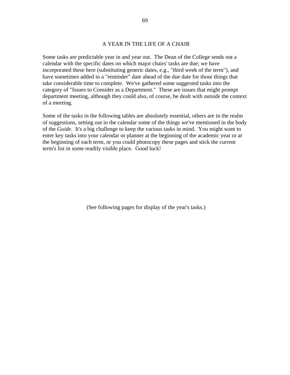#### A YEAR IN THE LIFE OF A CHAIR

Some tasks are predictable year in and year out. The Dean of the College sends out a calendar with the specific dates on which major chairs' tasks are due; we have incorporated these here (substituting generic dates, e.g., "third week of the term"), and have sometimes added in a "reminder" date ahead of the due date for those things that take considerable time to complete. We've gathered some suggested tasks into the category of "Issues to Consider as a Department." These are issues that might prompt department meeting, although they could also, of course, be dealt with outside the context of a meeting.

Some of the tasks in the following tables are absolutely essential, others are in the realm of suggestions, setting out in the calendar some of the things we've mentioned in the body of the *Guide*. It's a big challenge to keep the various tasks in mind. You might want to enter key tasks into your calendar or planner at the beginning of the academic year or at the beginning of each term, or you could photocopy these pages and stick the current term's list in some readily visible place. Good luck!

(See following pages for display of the year's tasks.)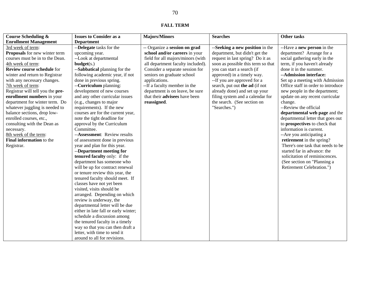#### **FALL TERM**

| <b>Course Scheduling &amp;</b>   | <b>Issues to Consider as a</b>       | <b>Majors/Minors</b>              | <b>Searches</b>                    | Other tasks                        |
|----------------------------------|--------------------------------------|-----------------------------------|------------------------------------|------------------------------------|
| <b>Enrollment Management</b>     | <b>Department</b>                    |                                   |                                    |                                    |
| 3rd week of term:                | --Delegate tasks for the             | -- Organize a session on grad     | --Seeking a new position in the    | --Have a new person in the         |
| Proposals for new winter term    | upcoming year.                       | school and/or careers in your     | department, but didn't get the     | department? Arrange for a          |
| courses must be in to the Dean.  | --Look at departmental               | field for all majors/minors (with | request in last spring? Do it as   | social gathering early in the      |
| 4th week of term:                | budget(s.)                           | all department faculty included). | soon as possible this term so that | term, if you haven't already       |
| Review course schedule for       | --Sabbatical planning for the        | Consider a separate session for   | you can start a search (if         | done it in the summer.             |
| winter and return to Registrar   | following academic year, if not      | seniors on graduate school        | approved) in a timely way.         | --Admission interface:             |
| with any necessary changes.      | done in previous spring.             | applications.                     | --If you are approved for a        | Set up a meeting with Admission    |
| 7th week of term:                | --Curriculum planning:               | --If a faculty member in the      | search, put out the ad (if not     | Office staff in order to introduce |
| Registrar will tell you the pre- | development of new courses           | department is on leave, be sure   | already done) and set up your      | new people in the department;      |
| enrollment numbers in your       | and any other curricular issues      | that their advisees have been     | filing system and a calendar for   | update on any recent curricular    |
| department for winter term. Do   | (e.g., changes to major              | reassigned.                       | the search. (See section on        | change.                            |
| whatever juggling is needed to   | requirements). If the new            |                                   | "Searches.")                       | --Review the official              |
| balance sections, drop low-      | courses are for the current year,    |                                   |                                    | departmental web page and the      |
| enrolled courses, etc.,          | note the tight deadline for          |                                   |                                    | departmental letter that goes out  |
| consulting with the Dean as      | approval by the Curriculum           |                                   |                                    | to prospectives to check that      |
| necessary.                       | Committee.                           |                                   |                                    | information is current.            |
| 8th week of the term:            | --Assessment: Review results         |                                   |                                    | --Are you anticipating a           |
| Final information to the         | of assessment done in previous       |                                   |                                    | retirement in the spring?          |
| Registrar.                       | year and plan for this year.         |                                   |                                    | There's one task that needs to be  |
|                                  | --Department meeting for             |                                   |                                    | started far in advance: the        |
|                                  | tenured faculty only: if the         |                                   |                                    | solicitation of reminiscences.     |
|                                  | department has someone who           |                                   |                                    | (See section on "Planning a        |
|                                  | will be up for contract renewal      |                                   |                                    | Retirement Celebration.")          |
|                                  | or tenure review this year, the      |                                   |                                    |                                    |
|                                  | tenured faculty should meet. If      |                                   |                                    |                                    |
|                                  | classes have not yet been            |                                   |                                    |                                    |
|                                  | visited, visits should be            |                                   |                                    |                                    |
|                                  | arranged. Depending on which         |                                   |                                    |                                    |
|                                  | review is underway, the              |                                   |                                    |                                    |
|                                  | departmental letter will be due      |                                   |                                    |                                    |
|                                  | either in late fall or early winter; |                                   |                                    |                                    |
|                                  | schedule a discussion among          |                                   |                                    |                                    |
|                                  | the tenured faculty in a timely      |                                   |                                    |                                    |
|                                  | way so that you can then draft a     |                                   |                                    |                                    |
|                                  | letter, with time to send it         |                                   |                                    |                                    |
|                                  | around to all for revisions.         |                                   |                                    |                                    |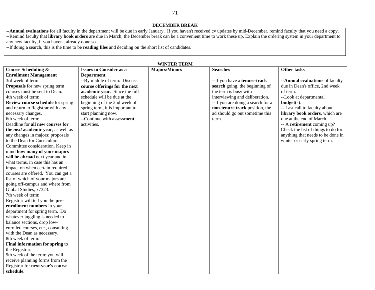**DECEMBER BREAK** 

--**Annual evaluations** for all faculty in the department will be due in early January. If you haven't received cv updates by mid-December, remind faculty that you need a copy. --Remind faculty that **library book orders** are due in March; the December break can be a convenient time to work these up. Explain the ordering system in your department to any new faculty, if you haven't already done so.

--If doing a search, this is the time to be **reading files** and deciding on the short list of candidates.

| <b>Course Scheduling &amp;</b>            | <b>Issues to Consider as a</b>  | WINIEK IEKM<br><b>Majors/Minors</b> | <b>Searches</b>                   | Other tasks                        |
|-------------------------------------------|---------------------------------|-------------------------------------|-----------------------------------|------------------------------------|
| <b>Enrollment Management</b>              | <b>Department</b>               |                                     |                                   |                                    |
| 3rd week of term:                         | --By middle of term: Discuss    |                                     | --If you have a tenure-track      | -- Annual evaluations of faculty   |
| Proposals for new spring term             | course offerings for the next   |                                     | search going, the beginning of    | due in Dean's office, 2nd week     |
| courses must be sent to Dean.             | academic year. Since the full   |                                     | the term is busy with             | of term.                           |
| 4th week of term:                         | schedule will be due at the     |                                     | interviewing and deliberation.    | --Look at departmental             |
| <b>Review course schedule</b> for spring  | beginning of the 2nd week of    |                                     | --If you are doing a search for a | $budget(s)$ .                      |
| and return to Registrar with any          | spring term, it is important to |                                     | non-tenure track position, the    | -- Last call to faculty about      |
| necessary changes.                        | start planning now.             |                                     | ad should go out sometime this    | library book orders, which are     |
| 6th week of term:                         | --Continue with assessment      |                                     | term.                             | due at the end of March.           |
| Deadline for all new courses for          | activities.                     |                                     |                                   | -- A retirement coming up?         |
| the <i>next</i> academic year, as well as |                                 |                                     |                                   | Check the list of things to do for |
| any changes in majors; proposals          |                                 |                                     |                                   | anything that needs to be done in  |
| to the Dean for Curriculum                |                                 |                                     |                                   | winter or early spring term.       |
| Committee consideration. Keep in          |                                 |                                     |                                   |                                    |
| mind how many of your majors              |                                 |                                     |                                   |                                    |
| will be abroad next year and in           |                                 |                                     |                                   |                                    |
| what terms, in case this has an           |                                 |                                     |                                   |                                    |
| impact on when certain required           |                                 |                                     |                                   |                                    |
| courses are offered. You can get a        |                                 |                                     |                                   |                                    |
| list of which of your majors are          |                                 |                                     |                                   |                                    |
| going off-campus and where from           |                                 |                                     |                                   |                                    |
| Global Studies, x7323.                    |                                 |                                     |                                   |                                    |
| 7th week of term:                         |                                 |                                     |                                   |                                    |
| Registrar will tell you the pre-          |                                 |                                     |                                   |                                    |
| enrollment numbers in your                |                                 |                                     |                                   |                                    |
| department for spring term. Do            |                                 |                                     |                                   |                                    |
| whatever juggling is needed to            |                                 |                                     |                                   |                                    |
| balance sections, drop low-               |                                 |                                     |                                   |                                    |
| enrolled courses, etc., consulting        |                                 |                                     |                                   |                                    |
| with the Dean as necessary.               |                                 |                                     |                                   |                                    |
| 8th week of term:                         |                                 |                                     |                                   |                                    |
| Final information for spring to           |                                 |                                     |                                   |                                    |
| the Registrar.                            |                                 |                                     |                                   |                                    |
| 9th week of the term: you will            |                                 |                                     |                                   |                                    |
| receive planning forms from the           |                                 |                                     |                                   |                                    |
| Registrar for next year's course          |                                 |                                     |                                   |                                    |
| schedule.                                 |                                 |                                     |                                   |                                    |

#### **WINTER TERM**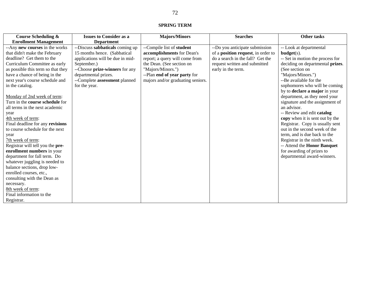#### **SPRING TERM**

| <b>Course Scheduling &amp;</b>     | <b>Issues to Consider as a</b>   | <b>Majors/Minors</b>              | <b>Searches</b>                    | <b>Other tasks</b>               |
|------------------------------------|----------------------------------|-----------------------------------|------------------------------------|----------------------------------|
| <b>Enrollment Management</b>       | <b>Department</b>                |                                   |                                    |                                  |
| -- Any new courses in the works    | --Discuss sabbaticals coming up  | --Compile list of student         | --Do you anticipate submission     | -- Look at departmental          |
| that didn't make the February      | 15 months hence. (Sabbatical     | accomplishments for Dean's        | of a position request, in order to | $budget(s)$ .                    |
| deadline? Get them to the          | applications will be due in mid- | report; a query will come from    | do a search in the fall? Get the   | -- Set in motion the process for |
| Curriculum Committee as early      | September.)                      | the Dean. (See section on         | request written and submitted      | deciding on departmental prizes. |
| as possible this term so that they | --Choose prize-winners for any   | "Majors/Minors.")                 | early in the term.                 | (See section on                  |
| have a chance of being in the      | departmental prizes.             | --Plan end of year party for      |                                    | "Majors/Minors.")                |
| next year's course schedule and    | --Complete assessment planned    | majors and/or graduating seniors. |                                    | --Be available for the           |
| in the catalog.                    | for the year.                    |                                   |                                    | sophomores who will be coming    |
|                                    |                                  |                                   |                                    | by to declare a major in your    |
| Monday of 2nd week of term:        |                                  |                                   |                                    | department, as they need your    |
| Turn in the course schedule for    |                                  |                                   |                                    | signature and the assignment of  |
| all terms in the next academic     |                                  |                                   |                                    | an advisor.                      |
| year                               |                                  |                                   |                                    | -- Review and edit catalog       |
| 4th week of term:                  |                                  |                                   |                                    | copy when it is sent out by the  |
| Final deadline for any revisions   |                                  |                                   |                                    | Registrar. Copy is usually sent  |
| to course schedule for the next    |                                  |                                   |                                    | out in the second week of the    |
| year                               |                                  |                                   |                                    | term, and is due back to the     |
| 7th week of term:                  |                                  |                                   |                                    | Registrar in the ninth week.     |
| Registrar will tell you the pre-   |                                  |                                   |                                    | -- Attend the Honor Banquet      |
| enrollment numbers in your         |                                  |                                   |                                    | for awarding of prizes to        |
| department for fall term. Do       |                                  |                                   |                                    | departmental award-winners.      |
| whatever juggling is needed to     |                                  |                                   |                                    |                                  |
| balance sections, drop low-        |                                  |                                   |                                    |                                  |
| enrolled courses, etc.,            |                                  |                                   |                                    |                                  |
| consulting with the Dean as        |                                  |                                   |                                    |                                  |
| necessary.                         |                                  |                                   |                                    |                                  |
| 8th week of term:                  |                                  |                                   |                                    |                                  |
| Final information to the           |                                  |                                   |                                    |                                  |
| Registrar.                         |                                  |                                   |                                    |                                  |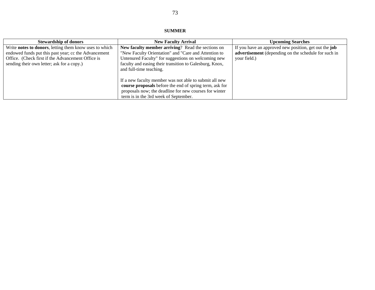#### **SUMMER**

| <b>Stewardship of donors</b>                                                                                                                                                                                      | <b>New Faculty Arrival</b>                                                                                                                                                                                                                             | <b>Upcoming Searches</b>                                                                                                             |
|-------------------------------------------------------------------------------------------------------------------------------------------------------------------------------------------------------------------|--------------------------------------------------------------------------------------------------------------------------------------------------------------------------------------------------------------------------------------------------------|--------------------------------------------------------------------------------------------------------------------------------------|
| Write notes to donors, letting them know uses to which<br>endowed funds put this past year; cc the Advancement<br>Office. (Check first if the Advancement Office is<br>sending their own letter; ask for a copy.) | New faculty member arriving? Read the sections on<br>"New Faculty Orientation" and "Care and Attention to<br>Untenured Faculty" for suggestions on welcoming new<br>faculty and easing their transition to Galesburg, Knox,<br>and full-time teaching. | If you have an approved new position, get out the <b>job</b><br>advertisement (depending on the schedule for such in<br>your field.) |
|                                                                                                                                                                                                                   | If a new faculty member was not able to submit all new<br>course proposals before the end of spring term, ask for<br>proposals now; the deadline for new courses for winter<br>term is in the 3rd week of September.                                   |                                                                                                                                      |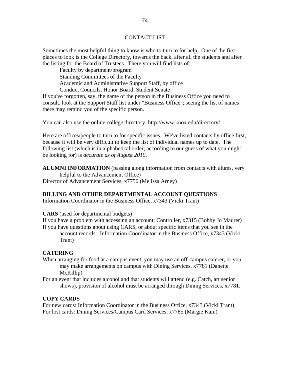#### CONTACT LIST

Sometimes the most helpful thing to know is who to turn to for help. One of the first places to look is the College Directory, towards the back, after all the students and after the listing for the Board of Trustees. There you will find lists of:

 Faculty by department/program Standing Committees of the Faculty Academic and Administrative Support Staff, by office Conduct Councils, Honor Board, Student Senate

If you've forgotten, say, the name of the person in the Business Office you need to consult, look at the Support Staff list under "Business Office"; seeing the list of names there may remind you of the specific person.

You can also use the online college directory: http://www.knox.edu/directory/

Here are offices/people to turn to for specific issues. We've listed contacts by office first, because it will be very difficult to keep the list of individual names up to date. The following list (which is in alphabetical order, according to our guess of what you might be looking for) is *accurate as of August 2010*.

**ALUMNI INFORMATION** (passing along information from contacts with alums, very helpful to the Advancement Office) Director of Advancement Services, x7756 (Melissa Arney)

#### **BILLING AND OTHER DEPARTMENTAL ACCOUNT QUESTIONS**

Information Coordinator in the Business Office, x7343 (Vicki Trant)

**CARS** (used for departmental budgets)

If you have a problem with accessing an account: Controller, x7315 (Bobby Jo Maurer) If you have questions about using CARS, or about specific items that you see in the account records: Information Coordinator in the Business Office, x7343 (Vicki Trant)

#### **CATERING**

- When arranging for food at a campus event, you may use an off-campus caterer, or you may make arrangements on campus with Dining Services, x7781 (Danette McKillip)
- For an event that includes alcohol and that students will attend (e.g. Catch, art senior shows), provision of alcohol must be arranged through Dining Services, x7781.

#### **COPY CARDS**

For new cards: Information Coordinator in the Business Office, x7343 (Vicki Trant) For lost cards: Dining Services/Campus Card Services, x7785 (Margie Kain)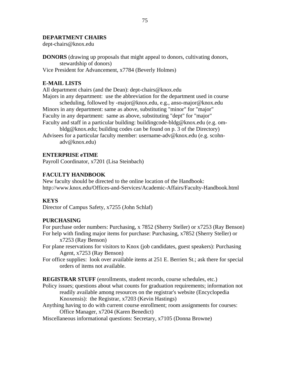#### **DEPARTMENT CHAIRS**

dept-chairs@knox.edu

**DONORS** (drawing up proposals that might appeal to donors, cultivating donors, stewardship of donors)

Vice President for Advancement, x7784 (Beverly Holmes)

## **E-MAIL LISTS**

All department chairs (and the Dean): dept-chairs@knox.edu

Majors in any department: use the abbreviation for the department used in course scheduling, followed by -major@knox.edu, e.g., anso-major@knox.edu Minors in any department: same as above, substituting "minor" for "major"

Faculty in any department: same as above, substituting "dept" for "major" Faculty and staff in a particular building: buildingcode-bldg@knox.edu (e.g. om-

bldg@knox.edu; building codes can be found on p. 3 of the Directory) Advisees for a particular faculty member: username-adv@knox.edu (e.g. scohn-

adv@knox.edu)

#### **ENTERPRISE eTIME**

Payroll Coordinator, x7201 (Lisa Steinbach)

#### **FACULTY HANDBOOK**

New faculty should be directed to the online location of the Handbook: http://www.knox.edu/Offices-and-Services/Academic-Affairs/Faculty-Handbook.html

#### **KEYS**

Director of Campus Safety, x7255 (John Schlaf)

#### **PURCHASING**

For purchase order numbers: Purchasing, x 7852 (Sherry Steller) or x7253 (Ray Benson) For help with finding major items for purchase: Purchasing, x7852 (Sherry Steller) or

x7253 (Ray Benson)

For plane reservations for visitors to Knox (job candidates, guest speakers): Purchasing Agent, x7253 (Ray Benson)

For office supplies: look over available items at 251 E. Berrien St.; ask there for special orders of items not available.

**REGISTRAR STUFF** (enrollments, student records, course schedules, etc.)

- Policy issues; questions about what counts for graduation requirements; information not readily available among resources on the registrar's website (Encyclopedia Knoxensis): the Registrar, x7203 (Kevin Hastings)
- Anything having to do with current course enrollment; room assignments for courses: Office Manager, x7204 (Karen Benedict)

Miscellaneous informational questions: Secretary, x7105 (Donna Browne)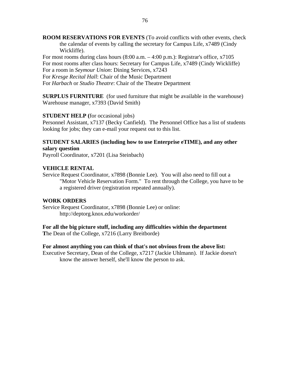**ROOM RESERVATIONS FOR EVENTS** (To avoid conflicts with other events, check the calendar of events by calling the secretary for Campus Life, x7489 (Cindy Wickliffe).

For most rooms during class hours  $(8:00 \text{ a.m.} - 4:00 \text{ p.m.})$ : Registrar's office, x7105 For most rooms after class hours: Secretary for Campus Life, x7489 (Cindy Wickliffe) For a room in *Seymour Union*: Dining Services, x7243

For *Kresge Recital Hall*: Chair of the Music Department

For *Harbach* or *Studio Theatre*: Chair of the Theatre Department

**SURPLUS FURNITURE** (for used furniture that might be available in the warehouse) Warehouse manager, x7393 (David Smith)

#### **STUDENT HELP (**for occasional jobs)

Personnel Assistant, x7137 (Becky Canfield). The Personnel Office has a list of students looking for jobs; they can e-mail your request out to this list.

#### **STUDENT SALARIES (including how to use Enterprise eTIME), and any other salary question**

Payroll Coordinator, x7201 (Lisa Steinbach)

#### **VEHICLE RENTAL**

Service Request Coordinator, x7898 (Bonnie Lee). You will also need to fill out a "Motor Vehicle Reservation Form." To rent through the College, you have to be a registered driver (registration repeated annually).

#### **WORK ORDERS**

Service Request Coordinator, x7898 (Bonnie Lee) or online: http://deptorg.knox.edu/workorder/

**For all the big picture stuff, including any difficulties within the department T**he Dean of the College, x7216 (Larry Breitborde)

#### **For almost anything you can think of that's not obvious from the above list:**

Executive Secretary, Dean of the College, x7217 (Jackie Uhlmann). If Jackie doesn't know the answer herself, she'll know the person to ask.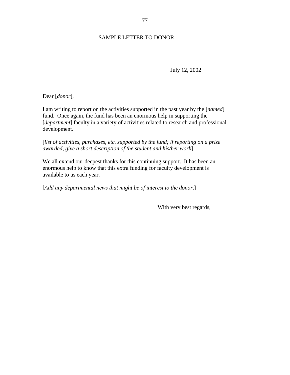# SAMPLE LETTER TO DONOR

July 12, 2002

Dear [*donor*],

I am writing to report on the activities supported in the past year by the [*named*] fund. Once again, the fund has been an enormous help in supporting the [*department*] faculty in a variety of activities related to research and professional development.

[*list of activities, purchases, etc. supported by the fund; if reporting on a prize awarded, give a short description of the student and his/her work*]

We all extend our deepest thanks for this continuing support. It has been an enormous help to know that this extra funding for faculty development is available to us each year.

[*Add any departmental news that might be of interest to the donor*.]

With very best regards,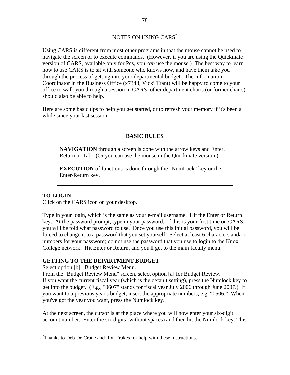Using CARS is different from most other programs in that the mouse cannot be used to navigate the screen or to execute commands. (However, if you are using the Quickmate version of CARS, available only for Pcs, you *can* use the mouse.) The best way to learn how to use CARS is to sit with someone who knows how, and have them take you through the process of getting into your departmental budget. The Information Coordinator in the Business Office (x7343, Vicki Trant) will be happy to come to your office to walk you through a session in CARS; other department chairs (or former chairs) should also be able to help.

Here are some basic tips to help you get started, or to refresh your memory if it's been a while since your last session.

# **BASIC RULES**

**NAVIGATION** through a screen is done with the arrow keys and Enter, Return or Tab. (Or you can use the mouse in the Quickmate version.)

**EXECUTION** of functions is done through the "NumLock" key or the Enter/Return key.

# **TO LOGIN**

 $\overline{a}$ 

Click on the CARS icon on your desktop.

Type in your login, which is the same as your e-mail username. Hit the Enter or Return key. At the password prompt, type in your password. If this is your first time on CARS, you will be told what password to use. Once you use this initial password, you will be forced to change it to a password that you set yourself. Select at least 6 characters and/or numbers for your password; do not use the password that you use to login to the Knox College network. Hit Enter or Return, and you'll get to the main faculty menu.

# **GETTING TO THE DEPARTMENT BUDGET**

Select option [b]: Budget Review Menu.

From the "Budget Review Menu" screen, select option [a] for Budget Review. If you want the current fiscal year (which is the default setting), press the Numlock key to get into the budget. (E.g., "0607" stands for fiscal year July 2006 through June 2007.) If you want to a previous year's budget, insert the appropriate numbers, e.g. "0506." When you've got the year you want, press the Numlock key.

At the next screen, the cursor is at the place where you will now enter your six-digit account number. Enter the six digits (without spaces) and then hit the Numlock key. This

<sup>\*</sup> Thanks to Deb De Crane and Ron Frakes for help with these instructions.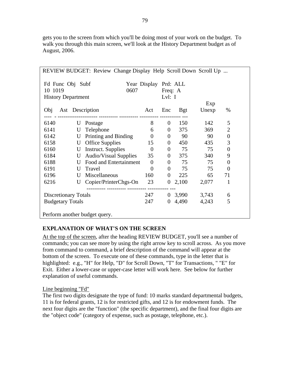gets you to the screen from which you'll be doing most of your work on the budget. To walk you through this main screen, we'll look at the History Department budget as of August, 2006.

| REVIEW BUDGET: Review Change Display Help Scroll Down Scroll Up |                               |                     |       |              |                  |  |
|-----------------------------------------------------------------|-------------------------------|---------------------|-------|--------------|------------------|--|
| Fd Func Obj Subf<br>10 1019<br><b>History Department</b>        | Year Display Prd: ALL<br>0607 | Freq: A<br>Lvl: $I$ |       |              |                  |  |
| Ast Description<br>Obj                                          | Act                           | Enc                 | Bgt   | Exp<br>Unexp | $\%$             |  |
| 6140<br>Postage<br>U                                            | 8                             | $\theta$            | 150   | 142          | 5                |  |
| 6141<br>Telephone<br>U                                          | 6                             | $\overline{0}$      | 375   | 369          | $\overline{2}$   |  |
| Printing and Binding<br>6142<br>U                               | $\overline{0}$                | $\boldsymbol{0}$    | 90    | 90           | $\boldsymbol{0}$ |  |
| <b>Office Supplies</b><br>6158<br>U                             | 15                            | $\boldsymbol{0}$    | 450   | 435          | 3                |  |
| <b>Instruct.</b> Supplies<br>6160<br>U                          | $\theta$                      | $\boldsymbol{0}$    | 75    | 75           | $\overline{0}$   |  |
| <b>Audio/Visual Supplies</b><br>6184<br>U                       | 35                            | $\theta$            | 375   | 340          | 9                |  |
| Food and Entertainment<br>6188<br>U                             | $\theta$                      | $\boldsymbol{0}$    | 75    | 75           | $\overline{0}$   |  |
| 6191<br>U<br>Travel                                             | $\overline{0}$                | $\theta$            | 75    | 75           | $\theta$         |  |
| Miscellaneous<br>6196<br>U                                      | 160                           | $\theta$            | 225   | 65           | 71               |  |
| Copier/PrinterChgs-On<br>6216<br>U                              | 23                            | $\theta$            | 2,100 | 2,077        | 1                |  |
| <b>Discretionary Totals</b>                                     | 247                           | $\overline{0}$      | 3,990 | 3,743        | 6                |  |
| <b>Budgetary Totals</b>                                         | 247                           | $\boldsymbol{0}$    | 4,490 | 4,243        | 5                |  |
| Perform another budget query.                                   |                               |                     |       |              |                  |  |

# **EXPLANATION OF WHAT'S ON THE SCREEN**

At the top of the screen, after the heading REVIEW BUDGET, you'll see a number of commands; you can see more by using the right arrow key to scroll across. As you move from command to command, a brief description of the command will appear at the bottom of the screen. To execute one of these commands, type in the letter that is highlighted: e.g., "H" for Help, "D" for Scroll Down, "T" for Transactions, " "E" for Exit. Either a lower-case or upper-case letter will work here. See below for further explanation of useful commands.

# Line beginning "Fd"

The first two digits designate the type of fund: 10 marks standard departmental budgets, 11 is for federal grants, 12 is for restricted gifts, and 12 is for endowment funds. The next four digits are the "function" (the specific department), and the final four digits are the "object code" (category of expense, such as postage, telephone, etc.).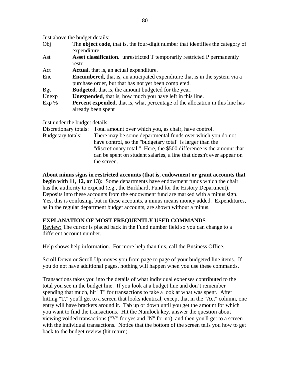|             | Just above the budget details:                                                                                                              |
|-------------|---------------------------------------------------------------------------------------------------------------------------------------------|
| Obj         | The object code, that is, the four-digit number that identifies the category of<br>expenditure.                                             |
| Ast         | <b>Asset classification.</b> unrestricted T temporarily restricted P permanently<br>restr                                                   |
| Act         | <b>Actual</b> , that is, an actual expenditure.                                                                                             |
| Enc         | <b>Encumbered</b> , that is, an anticipated expenditure that is in the system via a<br>purchase order, but that has not yet been completed. |
| <b>B</b> gt | <b>Budgeted</b> , that is, the amount budgeted for the year.                                                                                |
| Unexp       | <b>Unexpended</b> , that is, how much you have left in this line.                                                                           |
| Exp%        | Percent expended, that is, what percentage of the allocation in this line has<br>already been spent                                         |

Just under the budget details:

|                   | Discretionary totals: Total amount over which you, as chair, have control. |
|-------------------|----------------------------------------------------------------------------|
| Budgetary totals: | There may be some departmental funds over which you do not                 |
|                   | have control, so the "budgetary total" is larger than the                  |
|                   | "discretionary total." Here, the \$500 difference is the amount that       |
|                   | can be spent on student salaries, a line that doesn't ever appear on       |
|                   | the screen.                                                                |

**About minus signs in restricted accounts (that is, endowment or grant accounts that begin with 11, 12, or 13):** Some departments have endowment funds which the chair has the authority to expend (e.g., the Burkhardt Fund for the History Department). Deposits into these accounts from the endowment fund are marked with a minus sign. Yes, this is confusing, but in these accounts, a minus means money added. Expenditures, as in the regular department budget accounts, are shown without a minus.

# **EXPLANATION OF MOST FREQUENTLY USED COMMANDS**

Review: The cursor is placed back in the Fund number field so you can change to a different account number.

Help shows help information. For more help than this, call the Business Office.

Scroll Down or Scroll Up moves you from page to page of your budgeted line items. If you do not have additional pages, nothing will happen when you use these commands.

Transactions takes you into the details of what individual expenses contributed to the total you see in the budget line. If you look at a budget line and don't remember spending that much, hit "T" for transactions to take a look at what was spent. After hitting "T," you'll get to a screen that looks identical, except that in the "Act" column, one entry will have brackets around it. Tab up or down until you get the amount for which you want to find the transactions. Hit the Numlock key, answer the question about viewing voided transactions ("Y" for yes and "N" for no), and then you'll get to a screen with the individual transactions. Notice that the bottom of the screen tells you how to get back to the budget review (hit return).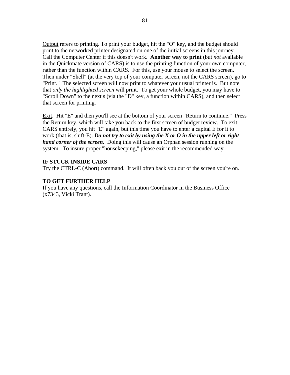Output refers to printing. To print your budget, hit the "O" key, and the budget should print to the networked printer designated on one of the initial screens in this journey. Call the Computer Center if this doesn't work. **Another way to print** (but *not* available in the Quickmate version of CARS) is to use the printing function of your own computer, rather than the function within CARS. For this, use your mouse to select the screen. Then under "Shell" (at the very top of your computer screen, not the CARS screen), go to "Print." The selected screen will now print to whatever your usual printer is. But note that *only the highlighted screen* will print. To get your whole budget, you may have to "Scroll Down" to the next s (via the "D" key, a function within CARS), and then select that screen for printing.

Exit. Hit "E" and then you'll see at the bottom of your screen "Return to continue." Press the Return key, which will take you back to the first screen of budget review. To exit CARS entirely, you hit "E" again, but this time you have to enter a capital E for it to work (that is, shift-E). *Do not try to exit by using the X or O in the upper left or right hand corner of the screen.* Doing this will cause an Orphan session running on the system. To insure proper "housekeeping," please exit in the recommended way.

#### **IF STUCK INSIDE CARS**

Try the CTRL-C (Abort) command. It will often back you out of the screen you're on.

#### **TO GET FURTHER HELP**

If you have any questions, call the Information Coordinator in the Business Office (x7343, Vicki Trant).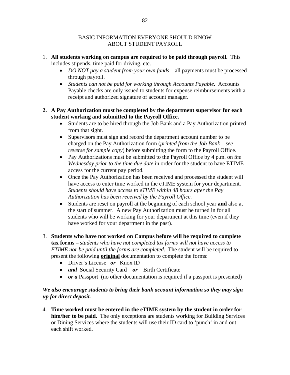## BASIC INFORMATION EVERYONE SHOULD KNOW ABOUT STUDENT PAYROLL

- 1. **All students working on campus are required to be paid through payroll.** This includes stipends, time paid for driving, etc.
	- *DO NOT pay a student from your own funds* all payments must be processed through payroll.
	- *Students can not be paid for working through Accounts Payable*. Accounts Payable checks are only issued to students for expense reimbursements with a receipt and authorized signature of account manager*.*

## **2. A Pay Authorization must be completed by the department supervisor for each student working and submitted to the Payroll Office.**

- Students are to be hired through the Job Bank and a Pay Authorization printed from that sight.
- Supervisors must sign and record the department account number to be charged on the Pay Authorization form (*printed from the Job Bank – see reverse for sample copy*) before submitting the form to the Payroll Office.
- Pay Authorizations must be submitted to the Payroll Office by 4 p.m. on *the Wednesday prior to the time due date* in order for the student to have ETIME access for the current pay period.
- Once the Pay Authorization has been received and processed the student will have access to enter time worked in the eTIME system for your department. *Students should have access to eTIME within 48 hours after the Pay Authorization has been received by the Payroll Office.*
- Students are reset on payroll at the beginning of each school year **and** also at the start of summer. A new Pay Authorization must be turned in for all students who will be working for your department at this time (even if they have worked for your department in the past).

# 3. **Students who have not worked on Campus before will be required to complete tax forms –** *students who have not completed tax forms will not have access to ETIME nor be paid until the forms are completed.* The student will be required to present the following **original** documentation to complete the forms:

- Driver's License *or* Knox ID
- *and* Social Security Card *or* Birth Certificate
- *or a* Passport (no other documentation is required if a passport is presented)

# *We also encourage students to bring their bank account information so they may sign up for direct deposit.*

4. **Time worked must be entered in the eTIME system by the student in order for him/her to be paid**. The only exceptions are students working for Building Services or Dining Services where the students will use their ID card to 'punch' in and out each shift worked.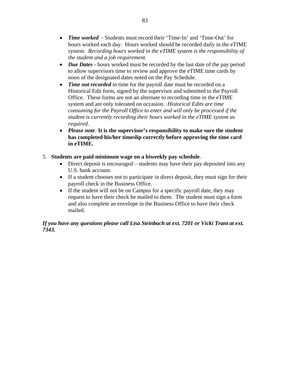- *Time worked*  Students must record their 'Time-In' and 'Time-Out' for hours worked each day. Hours worked should be recorded daily in the eTIME system. *Recording hours worked in the eTIME system is the responsibility of the student and a job requirement.*
- *Due Dates* hours worked must be recorded by the last date of the pay period to allow supervisors time to review and approve the eTIME time cards by noon of the designated dates noted on the Pay Schedule.
- *Time not recorded* in time for the payroll date must be recorded on a Historical Edit form, signed by the supervisor and submitted to the Payroll Office. These forms are not an alternate to recording time in the eTIME system and are only tolerated on occasion. *Historical Edits are time consuming for the Payroll Office to enter and will only be processed if the student is currently recording their hours worked in the eTIME system as required.*
- *Please note:* **It is the supervisor's responsibility to make sure the student has completed his/her timeslip correctly before approving the time card in eTIME.**

# 5. **Students are paid minimum wage on a biweekly pay schedule**.

- Direct deposit is encouraged students may have their pay deposited into any U.S. bank account.
- If a student chooses not to participate in direct deposit, they must sign for their payroll check in the Business Office.
- If the student will not be on Campus for a specific payroll date, they may request to have their check be mailed to them. The student must sign a form and also complete an envelope in the Business Office to have their check mailed.

# *If you have any questions please call Lisa Steinbach at ext. 7201 or Vicki Trant at ext. 7343.*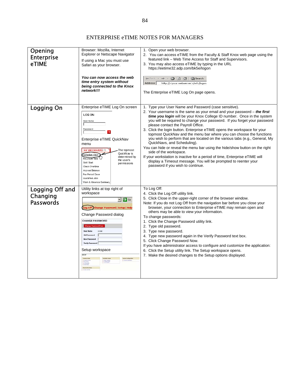# ENTERPRISE eTIME NOTES FOR MANAGERS

| Opening<br><b>Enterprise</b><br>eTIME           | Browser: Mozilla, Internet<br>Explorer or Netscape Navigator<br>If using a Mac you must use<br>Safari as your browser.<br>You can now access the web<br>time entry system without<br>being connected to the Knox<br>network!!!                                                                                                                                                              | 1. Open your web browser.<br>2. You can access eTIME from the Faculty & Staff Knox web page using the<br>featured link – Web Time Access for Staff and Supervisors.<br>3. You may also access eTIME by typing in the URL<br>https://eetime32.adp.com/bk5e/logon<br>← Back<br>G 5 4 1<br>Search<br>Address<br>http:// <your webserver="">/wfc/logon<br/>The Enterprise eTIME Log On page opens.</your>                                                                                                                                                                                                                                                                                                                                                                                                                                                                                            |
|-------------------------------------------------|---------------------------------------------------------------------------------------------------------------------------------------------------------------------------------------------------------------------------------------------------------------------------------------------------------------------------------------------------------------------------------------------|--------------------------------------------------------------------------------------------------------------------------------------------------------------------------------------------------------------------------------------------------------------------------------------------------------------------------------------------------------------------------------------------------------------------------------------------------------------------------------------------------------------------------------------------------------------------------------------------------------------------------------------------------------------------------------------------------------------------------------------------------------------------------------------------------------------------------------------------------------------------------------------------------|
| Logging On                                      | Enterprise eTIME Log On screen<br>LOG ON<br><b>User Name</b><br>Password<br>$\Rightarrow$<br>Enterprise eTIME QuickNav<br>menu<br><b>MY QUICKNAVS C</b><br>The topmost<br>QuickN av is<br>Schedule View<br>determined by<br>Reconcile Time<br>the user's<br>Shift Start<br>permissions<br>Check Overtime<br>Accrual Balance<br>Pay Period Close<br>QuickFind Jobs<br>Work & Absence Summary | 1. Type your User Name and Password (case sensitive).<br>2. Your username is the same as your email and your password – the first<br>time you login will be your Knox College ID number. Once in the system<br>you will be required to change your password. If you forget your password<br>please contact the Payroll Office.<br>3. Click the login button. Enterprise eTIME opens the workspace for your<br>topmost QuickNav and the menu bar where you can choose the functions<br>you wish to perform that are located on the various tabs (e.g., General, My<br>QuickNavs, and Scheduling).<br>You can hide or reveal the menu bar using the hide/show button on the right<br>side of the workspace.<br>If your workstation is inactive for a period of time, Enterprise eTIME will<br>display a Timeout message. You will be prompted to reenter your<br>password if you wish to continue. |
| Logging Off and<br>Changing<br><b>Passwords</b> | Utility links at top right of<br>workspace<br>⊡ D Go<br>Log Off Change Password   Setup   Help<br>Change Password dialog<br><b>CHANGE PASSWORD</b><br><b>Change Password Now</b><br>cryder<br><b>User Name</b><br><b>Old Password</b><br><b>New Password</b><br>Verify Password<br>Setup workspace<br><b>Contact Party</b>                                                                  | To Log Off:<br>4. Click the Log Off utility link.<br>5. Click Close in the upper-right corner of the browser window.<br>Note: If you do not Log Off from the navigation bar before you close your<br>browser, your connection to Enterprise eTIME may remain open and<br>others may be able to view your information.<br>To change passwords:<br>1. Click the Change Password utility link.<br>2. Type old password.<br>3. Type new password.<br>4. Type new password again in the Verify Password text box.<br>5. Click Change Password Now.<br>If you have administrator access to configure and customize the application:<br>6. Click the Setup utility link. The Setup workspace opens.<br>7. Make the desired changes to the Setup options displayed.                                                                                                                                      |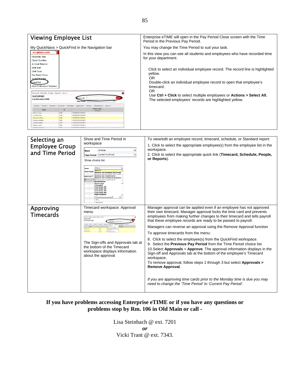

| Selecting an<br><b>Employee Group</b><br>and Time Period | Show and Time Period in<br>workspace<br>All Home<br>Show<br>Time Period Current Pay Period<br>$\blacktriangledown$<br>Show choice list<br>All Home<br><b>All Home</b><br><b>Time Period</b><br>All Home and Scheduled Job Tran<br>All Home and Scheduled Job Transfe<br>All Home and Transferred-in<br><b>Spprovale</b><br>All Home and Transferred-in (Organi;<br>All Home and Transferred-in'<br>nefitsAdmin<br>Joston Suro<br>COCodeE27<br>Cost Center 4th<br>Cost Center 402<br>Cost Center 483<br>Cost Center 404<br><b>Daily Exception</b><br><b>Edit Ad Hoc.</b> | To view/edit an employee record, timecard, schedule, or Standard report:<br>1. Click to select the appropriate employee(s) from the employee list in the<br>workspace.<br>2. Click to select the appropriate quick link (Timecard, Schedule, People,<br>or Reports).                                                                                                                                                                                                                                                                                                                                                                                                                                                                                                                                                                                                                                                                                      |
|----------------------------------------------------------|-------------------------------------------------------------------------------------------------------------------------------------------------------------------------------------------------------------------------------------------------------------------------------------------------------------------------------------------------------------------------------------------------------------------------------------------------------------------------------------------------------------------------------------------------------------------------|-----------------------------------------------------------------------------------------------------------------------------------------------------------------------------------------------------------------------------------------------------------------------------------------------------------------------------------------------------------------------------------------------------------------------------------------------------------------------------------------------------------------------------------------------------------------------------------------------------------------------------------------------------------------------------------------------------------------------------------------------------------------------------------------------------------------------------------------------------------------------------------------------------------------------------------------------------------|
| Approving<br><b>Timecards</b>                            | Timecard workspace: Approval<br>menu<br>traced Islands Fourth Royalta Rom<br><b>GLACKERAD</b><br>and Bostonshape is born<br>The Sign-offs and Approvals tab at<br>the bottom of the Timecard<br>workspace displays information<br>about the approval                                                                                                                                                                                                                                                                                                                    | Manager approval can be applied even if an employee has not approved<br>their own timecard. Manager approval locks the time card and prevents<br>employees from making further changes to their timecard and tells payroll<br>that these employee records are ready to be passed to payroll.<br>Managers can reverse an approval using the Remove Approval function<br>To approve timecards from the menu:<br>8. Click to select the employee(s) from the QuickFind workspace.<br>9. Select the Previous Pay Period from the TIme Period choice list.<br>10. Select Approvals > Approve. The approval information displays in the<br>Sign-off and Approvals tab at the bottom of the employee's Timecard<br>workspace.<br>To remove approval, follow steps 1 through 3 but select Approvals ><br>Remove Approval.<br>If you are approving time cards prior to the Monday time is due you may<br>need to change the 'Time Period' to 'Current Pay Period'. |

#### **If you have problems accessing Enterprise eTIME or if you have any questions or problems stop by Rm. 106 in Old Main or call -**

Lisa Steinbach @ ext. 7201 *or*  Vicki Trant @ ext. 7343.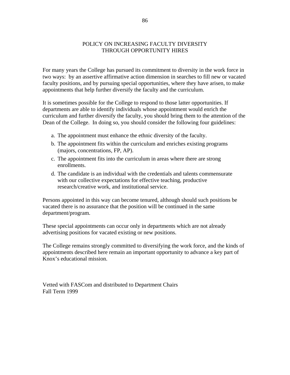#### POLICY ON INCREASING FACULTY DIVERSITY THROUGH OPPORTUNITY HIRES

For many years the College has pursued its commitment to diversity in the work force in two ways: by an assertive affirmative action dimension in searches to fill new or vacated faculty positions, and by pursuing special opportunities, where they have arisen, to make appointments that help further diversify the faculty and the curriculum.

It is sometimes possible for the College to respond to those latter opportunities. If departments are able to identify individuals whose appointment would enrich the curriculum and further diversify the faculty, you should bring them to the attention of the Dean of the College. In doing so, you should consider the following four guidelines:

- a. The appointment must enhance the ethnic diversity of the faculty.
- b. The appointment fits within the curriculum and enriches existing programs (majors, concentrations, FP, AP).
- c. The appointment fits into the curriculum in areas where there are strong enrollments.
- d. The candidate is an individual with the credentials and talents commensurate with our collective expectations for effective teaching, productive research/creative work, and institutional service.

Persons appointed in this way can become tenured, although should such positions be vacated there is no assurance that the position will be continued in the same department/program.

These special appointments can occur only in departments which are not already advertising positions for vacated existing or new positions.

The College remains strongly committed to diversifying the work force, and the kinds of appointments described here remain an important opportunity to advance a key part of Knox's educational mission.

Vetted with FASCom and distributed to Department Chairs Fall Term 1999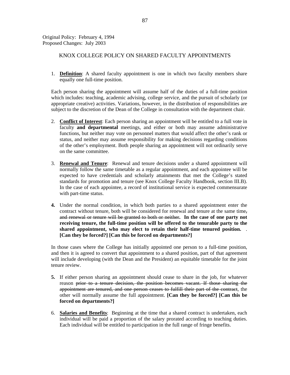Original Policy: February 4, 1994 Proposed Changes: July 2003

#### KNOX COLLEGE POLICY ON SHARED FACULTY APPOINTMENTS

1. **Definition**: A shared faculty appointment is one in which two faculty members share equally one full-time position.

 Each person sharing the appointment will assume half of the duties of a full-time position which includes: teaching, academic advising, college service, and the pursuit of scholarly (or appropriate creative) activities. Variations, however, in the distribution of responsibilities are subject to the discretion of the Dean of the College in consultation with the department chair.

- 2. **Conflict of Interest**: Each person sharing an appointment will be entitled to a full vote in faculty **and departmental** meetings, and either or both may assume administrative functions, but neither may vote on personnel matters that would affect the other's rank or status, and neither may assume responsibility for making decisions regarding conditions of the other's employment. Both people sharing an appointment will not ordinarily serve on the same committee.
- 3. **Renewal and Tenure**: Renewal and tenure decisions under a shared appointment will normally follow the same timetable as a regular appointment, and each appointee will be expected to have credentials and scholarly attainments that met the College's stated standards for promotion and tenure (see Knox College Faculty Handbook, section III.B). In the case of each appointee, a record of institutional service is expected commensurate with part-time status.
- **4.** Under the normal condition, in which both parties to a shared appointment enter the contract without tenure, both will be considered for renewal and tenure at the same time, and renewal or tenure will be granted to both or neither**. In the case of one party not receiving tenure, the full-time position will be offered to the tenurable party to the shared appointment, who may elect to retain their half-time tenured position.** . **[Can they be forced?] [Can this be forced on departments?]**

 In those cases where the College has initially appointed one person to a full-time position, and then it is agreed to convert that appointment to a shared position, part of that agreement will include developing (with the Dean and the President) an equitable timetable for the joint tenure review.

- **5.** If either person sharing an appointment should cease to share in the job, for whatever reason prior to a tenure decision, the position becomes vacant. If those sharing the appointment are tenured, and one person ceases to fulfill their part of the contract, the other will normally assume the full appointment. **[Can they be forced?] [Can this be forced on departments?]**
- 6. **Salaries and Benefits**: Beginning at the time that a shared contract is undertaken, each individual will be paid a proportion of the salary prorated according to teaching duties. Each individual will be entitled to participation in the full range of fringe benefits.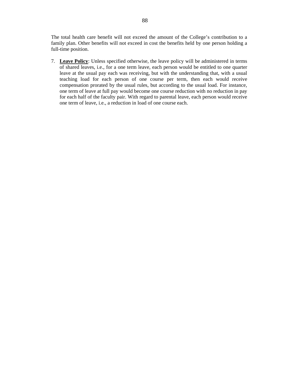The total health care benefit will not exceed the amount of the College's contribution to a family plan. Other benefits will not exceed in cost the benefits held by one person holding a full-time position.

7. **Leave Policy**: Unless specified otherwise, the leave policy will be administered in terms of shared leaves, i.e., for a one term leave, each person would be entitled to one quarter leave at the usual pay each was receiving, but with the understanding that, with a usual teaching load for each person of one course per term, then each would receive compensation prorated by the usual rules, but according to the usual load. For instance, one term of leave at full pay would become one course reduction with no reduction in pay for each half of the faculty pair. With regard to parental leave, each person would receive one term of leave, i.e., a reduction in load of one course each.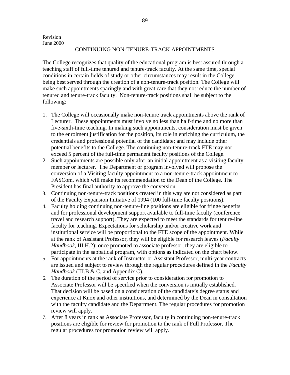#### CONTINUING NON-TENURE-TRACK APPOINTMENTS

The College recognizes that quality of the educational program is best assured through a teaching staff of full-time tenured and tenure-track faculty. At the same time, special conditions in certain fields of study or other circumstances may result in the College being best served through the creation of a non-tenure-track position. The College will make such appointments sparingly and with great care that they not reduce the number of tenured and tenure-track faculty. Non-tenure-track positions shall be subject to the following:

- 1. The College will occasionally make non-tenure track appointments above the rank of Lecturer. These appointments must involve no less than half-time and no more than five-sixth-time teaching. In making such appointments, consideration must be given to the enrolment justification for the position, its role in enriching the curriculum, the credentials and professional potential of the candidate; and may include other potential benefits to the College. The continuing non-tenure-track FTE may not exceed 5 percent of the full-time permanent faculty positions of the College.
- 2. Such appointments are possible only after an initial appointment as a visiting faculty member or lecturer. The Department or program involved will propose the conversion of a Visiting faculty appointment to a non-tenure-track appointment to FASCom, which will make its recommendation to the Dean of the College. The President has final authority to approve the conversion.
- 3. Continuing non-tenure-track positions created in this way are not considered as part of the Faculty Expansion Initiative of 1994 (100 full-time faculty positions).
- 4. Faculty holding continuing non-tenure-line positions are eligible for fringe benefits and for professional development support available to full-time faculty (conference travel and research support). They are expected to meet the standards for tenure-line faculty for teaching. Expectations for scholarship and/or creative work and institutional service will be proportional to the FTE scope of the appointment. While at the rank of Assistant Professor, they will be eligible for research leaves (*Faculty Handbook*, III.H.2); once promoted to associate professor, they are eligible to participate in the sabbatical program, with options as indicated on the chart below.
- 5. For appointments at the rank of Instructor or Assistant Professor, multi-year contracts are issued and subject to review through the regular procedures defined in the *Faculty Handbook* (III.B & C, and Appendix C).
- 6. The duration of the period of service prior to consideration for promotion to Associate Professor will be specified when the conversion is initially established. That decision will be based on a consideration of the candidate's degree status and experience at Knox and other institutions, and determined by the Dean in consultation with the faculty candidate and the Department. The regular procedures for promotion review will apply.
- 7. After 8 years in rank as Associate Professor, faculty in continuing non-tenure-track positions are eligible for review for promotion to the rank of Full Professor. The regular procedures for promotion review will apply.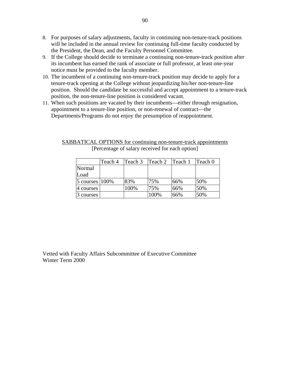- 8. For purposes of salary adjustments, faculty in continuing non-tenure-track positions will be included in the annual review for continuing full-time faculty conducted by the President, the Dean, and the Faculty Personnel Committee.
- 9. If the College should decide to terminate a continuing non-tenure-track position after its incumbent has earned the rank of associate or full professor, at least one-year notice must be provided to the faculty member.
- 10. The incumbent of a continuing non-tenure-track position may decide to apply for a tenure-track opening at the College without jeopardizing his/her non-tenure-line position. Should the candidate be successful and accept appointment to a tenure-track position, the non-tenure-line position is considered vacant.
- 11. When such positions are vacated by their incumbents—either through resignation, appointment to a tenure-line position, or non-renewal of contract—the Departments/Programs do not enjoy the presumption of reappointment.

|                    | Teach 4 | Teach 3 | Teach 2 | Teach 1 | Teach <sub>0</sub> |
|--------------------|---------|---------|---------|---------|--------------------|
| Normal             |         |         |         |         |                    |
| Load               |         |         |         |         |                    |
| 5 courses $ 100\%$ |         | 83%     | 75%     | 66%     | 50%                |
| $\sqrt{4}$ courses |         | 100%    | 75%     | 66%     | 50%                |
| $3$ courses        |         |         | 100%    | 66%     | 50%                |

SABBATICAL OPTIONS for continuing non-tenure-track appointments [Percentage of salary received for each option]

Vetted with Faculty Affairs Subcommittee of Executive Committee Winter Term 2000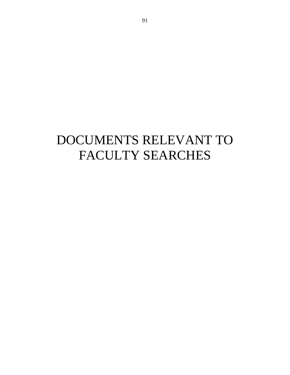# DOCUMENTS RELEVANT TO FACULTY SEARCHES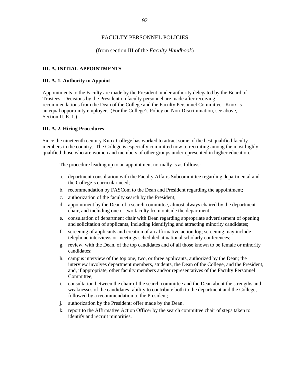#### FACULTY PERSONNEL POLICIES

#### (from section III of the *Faculty Handbook*)

#### **III. A. INITIAL APPOINTMENTS**

#### **III. A. 1. Authority to Appoint**

Appointments to the Faculty are made by the President, under authority delegated by the Board of Trustees. Decisions by the President on faculty personnel are made after receiving recommendations from the Dean of the College and the Faculty Personnel Committee. Knox is an equal opportunity employer. (For the College's Policy on Non-Discrimination, see above, Section II. E. 1.)

#### **III. A. 2. Hiring Procedures**

Since the nineteenth century Knox College has worked to attract some of the best qualified faculty members in the country. The College is especially committed now to recruiting among the most highly qualified those who are women and members of other groups underrepresented in higher education.

The procedure leading up to an appointment normally is as follows:

- a. department consultation with the Faculty Affairs Subcommittee regarding departmental and the College's curricular need;
- b. recommendation by FASCom to the Dean and President regarding the appointment;
- c. authorization of the faculty search by the President;
- d. appointment by the Dean of a search committee, almost always chaired by the department chair, and including one or two faculty from outside the department;
- e. consultation of department chair with Dean regarding appropriate advertisement of opening and solicitation of applicants, including identifying and attracting minority candidates;
- f. screening of applicants and creation of an affirmative action log; screening may include telephone interviews or meetings scheduled at national scholarly conferences;
- g. review, with the Dean, of the top candidates and of all those known to be female or minority candidates;
- h. campus interview of the top one, two, or three applicants, authorized by the Dean; the interview involves department members, students, the Dean of the College, and the President, and, if appropriate, other faculty members and/or representatives of the Faculty Personnel Committee;
- i. consultation between the chair of the search committee and the Dean about the strengths and weaknesses of the candidates' ability to contribute both to the department and the College, followed by a recommendation to the President;
- j. authorization by the President; offer made by the Dean.
- k. report to the Affirmative Action Officer by the search committee chair of steps taken to identify and recruit minorities.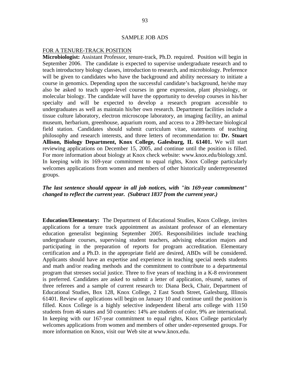#### SAMPLE JOB ADS

#### FOR A TENURE-TRACK POSITION

**Microbiologist:** Assistant Professor, tenure-track, Ph.D. required.Position will begin in September 2006. The candidate is expected to supervise undergraduate research and to teach introductory biology classes, introduction to research, and microbiology. Preference will be given to candidates who have the background and ability necessary to initiate a course in genomics. Depending upon the successful candidate's background, he/she may also be asked to teach upper-level courses in gene expression, plant physiology, or molecular biology. The candidate will have the opportunity to develop courses in his/her specialty and will be expected to develop a research program accessible to undergraduates as well as maintain his/her own research. Department facilities include a tissue culture laboratory, electron microscope laboratory, an imaging facility, an animal museum, herbarium, greenhouse, aquarium room, and access to a 289-hectare biological field station. Candidates should submit curriculum vitae, statements of teaching philosophy and research interests, and three letters of recommendation to: **Dr. Stuart Allison, Biology Department, Knox College, Galesburg, IL 61401.** We will start reviewing applications on December 15, 2005, and continue until the position is filled. For more information about biology at Knox check website: www.knox.edu/biology.xml. In keeping with its 169-year commitment to equal rights, Knox College particularly welcomes applications from women and members of other historically underrepresented groups.

# *The last sentence should appear in all job notices, with "its 169-year commitment" changed to reflect the current year. (Subtract 1837 from the current year.)*

**Education/Elementary:** The Department of Educational Studies, Knox College, invites applications for a tenure track appointment as assistant professor of an elementary education generalist beginning September 2005. Responsibilities include teaching undergraduate courses, supervising student teachers, advising education majors and participating in the preparation of reports for program accreditation. Elementary certification and a Ph.D. in the appropriate field are desired, ABDs will be considered. Applicants should have an expertise and experience in teaching special needs students and math and/or reading methods and the commitment to contribute to a departmental program that stresses social justice. Three to five years of teaching in a K-8 environment is preferred. Candidates are asked to submit a letter of application, résumé, names of three referees and a sample of current research to: Diana Beck, Chair, Department of Educational Studies, Box 128, Knox College, 2 East South Street, Galesburg, Illinois 61401. Review of applications will begin on January 10 and continue until the position is filled. Knox College is a highly selective independent liberal arts college with 1150 students from 46 states and 50 countries: 14% are students of color, 9% are international. In keeping with our 167-year commitment to equal rights, Knox College particularly welcomes applications from women and members of other under-represented groups. For more information on Knox, visit our Web site at www.knox.edu.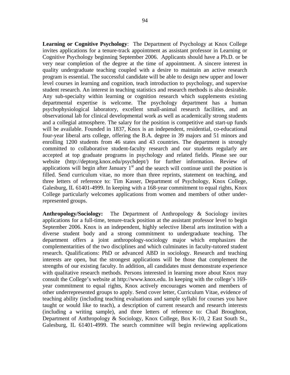**Learning or Cognitive Psychology**: The Department of Psychology at Knox College invites applications for a tenure-track appointment as assistant professor in Learning or Cognitive Psychology beginning September 2006. Applicants should have a Ph.D. or be very near completion of the degree at the time of appointment. A sincere interest in quality undergraduate teaching coupled with a desire to maintain an active research program is essential. The successful candidate will be able to design new upper and lower level courses in learning and cognition, teach introduction to psychology, and supervise student research. An interest in teaching statistics and research methods is also desirable. Any sub-specialty within learning or cognition research which supplements existing departmental expertise is welcome. The psychology department has a human psychophysiological laboratory, excellent small-animal research facilities, and an observational lab for clinical developmental work as well as academically strong students and a collegial atmosphere. The salary for the position is competitive and start-up funds will be available. Founded in 1837, Knox is an independent, residential, co-educational four-year liberal arts college, offering the B.A. degree in 39 majors and 51 minors and enrolling 1200 students from 46 states and 43 countries. The department is strongly committed to collaborative student-faculty research and our students regularly are accepted at top graduate programs in psychology and related fields. Please see our website (http://deptorg.knox.edu/psychdept/) for further information. Review of applications will begin after January  $1<sup>st</sup>$  and the search will continue until the position is filled. Send curriculum vitae, no more than three reprints, statement on teaching, and three letters of reference to: Tim Kasser, Department of Psychology, Knox College, Galesburg, IL 61401-4999. In keeping with a 168-year commitment to equal rights, Knox College particularly welcomes applications from women and members of other underrepresented groups.

**Anthropology/Sociology:** The Department of Anthropology & Sociology invites applications for a full-time, tenure-track position at the assistant professor level to begin September 2006. Knox is an independent, highly selective liberal arts institution with a diverse student body and a strong commitment to undergraduate teaching. The department offers a joint anthropology-sociology major which emphasizes the complementarities of the two disciplines and which culminates in faculty-tutored student research. Qualifications: PhD or advanced ABD in sociology. Research and teaching interests are open, but the strongest applications will be those that complement the strengths of our existing faculty. In addition, all candidates must demonstrate experience with qualitative research methods. Persons interested in learning more about Knox may consult the College's website at http://www.knox.edu. In keeping with the college's 169 year commitment to equal rights, Knox actively encourages women and members of other underrepresented groups to apply. Send cover letter, Curriculum Vitae, evidence of teaching ability (including teaching evaluations and sample syllabi for courses you have taught or would like to teach), a description of current research and research interests (including a writing sample), and three letters of reference to: Chad Broughton, Department of Anthropology & Sociology, Knox College, Box K-10, 2 East South St., Galesburg, IL 61401-4999. The search committee will begin reviewing applications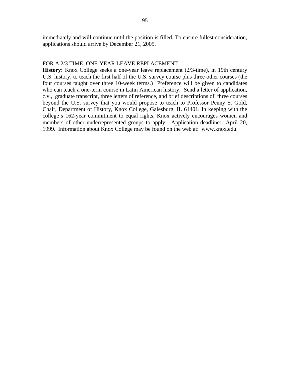### FOR A 2/3 TIME, ONE-YEAR LEAVE REPLACEMENT

**History:** Knox College seeks a one-year leave replacement (2/3-time), in 19th century U.S. history, to teach the first half of the U.S. survey course plus three other courses (the four courses taught over three 10-week terms.) Preference will be given to candidates who can teach a one-term course in Latin American history. Send a letter of application, c.v., graduate transcript, three letters of reference, and brief descriptions of three courses beyond the U.S. survey that you would propose to teach to Professor Penny S. Gold, Chair, Department of History, Knox College, Galesburg, IL 61401. In keeping with the college's 162-year commitment to equal rights, Knox actively encourages women and members of other underrepresented groups to apply. Application deadline: April 20, 1999. Information about Knox College may be found on the web at: www.knox.edu.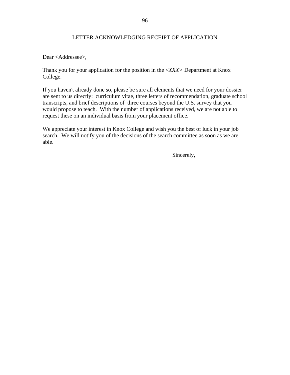## LETTER ACKNOWLEDGING RECEIPT OF APPLICATION

Dear <Addressee>,

Thank you for your application for the position in the <*XXX>* Department at Knox College.

If you haven't already done so, please be sure all elements that we need for your dossier are sent to us directly: curriculum vitae, three letters of recommendation, graduate school transcripts, and brief descriptions of three courses beyond the U.S. survey that you would propose to teach. With the number of applications received, we are not able to request these on an individual basis from your placement office.

We appreciate your interest in Knox College and wish you the best of luck in your job search. We will notify you of the decisions of the search committee as soon as we are able.

Sincerely,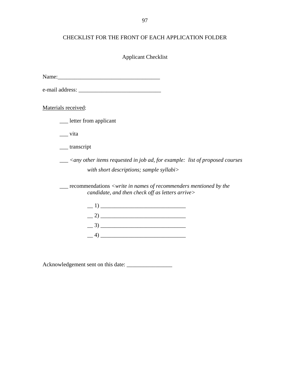# CHECKLIST FOR THE FRONT OF EACH APPLICATION FOLDER

# Applicant Checklist

Name:\_\_\_\_\_\_\_\_\_\_\_\_\_\_\_\_\_\_\_\_\_\_\_\_\_\_\_\_\_\_\_\_\_\_\_\_

e-mail address: \_\_\_\_\_\_\_\_\_\_\_\_\_\_\_\_\_\_\_\_\_\_\_\_\_\_\_\_\_

Materials received:

| letter from applicant |
|-----------------------|
|-----------------------|

\_\_\_ vita

\_\_\_ transcript

 \_\_\_ *<any other items requested in job ad, for example: list of proposed courses with short descriptions; sample syllabi>* 

 \_\_\_ recommendations *<write in names of recommenders mentioned by the candidate, and then check off as letters arrive>* 



Acknowledgement sent on this date: \_\_\_\_\_\_\_\_\_\_\_\_\_\_\_\_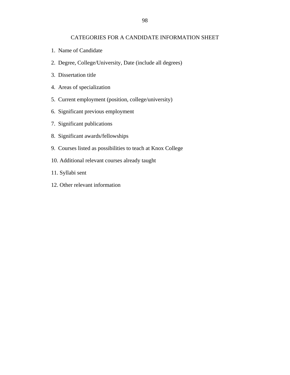#### CATEGORIES FOR A CANDIDATE INFORMATION SHEET

- 1. Name of Candidate
- 2. Degree, College/University, Date (include all degrees)
- 3. Dissertation title
- 4. Areas of specialization
- 5. Current employment (position, college/university)
- 6. Significant previous employment
- 7. Significant publications
- 8. Significant awards/fellowships
- 9. Courses listed as possibilities to teach at Knox College
- 10. Additional relevant courses already taught
- 11. Syllabi sent
- 12. Other relevant information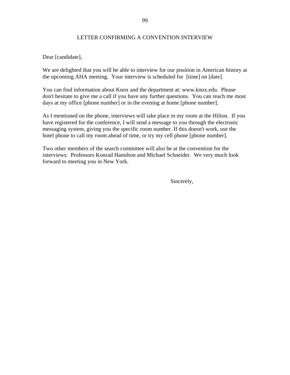## LETTER CONFIRMING A CONVENTION INTERVIEW

Dear [candidate],

We are delighted that you will be able to interview for our position in American history at the upcoming AHA meeting. Your interview is scheduled for [time] on [date].

You can find information about Knox and the department at: www.knox.edu. Please don't hesitate to give me a call if you have any further questions. You can reach me most days at my office [phone number] or in the evening at home [phone number].

As I mentioned on the phone, interviews will take place in my room at the Hilton. If you have registered for the conference, I will send a message to you through the electronic messaging system, giving you the specific room number. If this doesn't work, use the hotel phone to call my room ahead of time, or try my cell phone [phone number].

Two other members of the search committee will also be at the convention for the interviews: Professors Konrad Hamilton and Michael Schneider. We very much look forward to meeting you in New York.

Sincerely,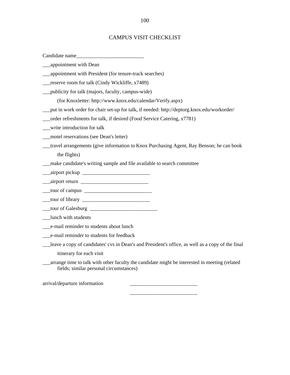#### CAMPUS VISIT CHECKLIST

Candidate name

- \_\_\_appointment with Dean
- \_\_\_appointment with President (for tenure-track searches)
- \_\_\_reserve room for talk (Cindy Wickliffe, x7489)
- \_\_\_publicity for talk (majors, faculty, campus-wide)
	- (for Knoxletter: http://www.knox.edu/calendar/Verify.aspx)
- \_\_\_put in work order for chair set-up for talk, if needed: http://deptorg.knox.edu/workorder/
- \_\_\_order refreshments for talk, if desired (Food Service Catering, x7781)
- \_\_\_write introduction for talk
- \_\_\_motel reservations (see Dean's letter)
- \_\_\_travel arrangements (give information to Knox Purchasing Agent, Ray Benson; he can book the flights)
- \_\_\_make candidate's writing sample and file available to search committee

 $\frac{1}{\sqrt{2}}$  ,  $\frac{1}{\sqrt{2}}$  ,  $\frac{1}{\sqrt{2}}$  ,  $\frac{1}{\sqrt{2}}$  ,  $\frac{1}{\sqrt{2}}$  ,  $\frac{1}{\sqrt{2}}$  ,  $\frac{1}{\sqrt{2}}$  ,  $\frac{1}{\sqrt{2}}$  ,  $\frac{1}{\sqrt{2}}$  ,  $\frac{1}{\sqrt{2}}$  ,  $\frac{1}{\sqrt{2}}$  ,  $\frac{1}{\sqrt{2}}$  ,  $\frac{1}{\sqrt{2}}$  ,  $\frac{1}{\sqrt{2}}$  ,  $\frac{1}{\sqrt{2}}$ 

- $\frac{1}{\sqrt{2}}$ airport pickup  $\frac{1}{\sqrt{2}}$
- $\frac{\text{disjoint return}}{\text{disjoint}}$
- $\frac{\text{four} of campus}$
- \_\_\_tour of library \_\_\_\_\_\_\_\_\_\_\_\_\_\_\_\_\_\_\_\_\_\_\_\_\_\_
- \_\_\_tour of Galesburg \_\_\_\_\_\_\_\_\_\_\_\_\_\_\_\_\_\_\_\_\_\_\_\_\_\_
- \_\_\_lunch with students
- \_\_\_e-mail reminder to students about lunch
- \_\_\_e-mail reminder to students for feedback
- \_\_\_leave a copy of candidates' cvs in Dean's and President's office, as well as a copy of the final itinerary for each visit
- \_\_\_arrange time to talk with other faculty the candidate might be interested in meeting (related fields; similar personal circumstances)

arrival/departure information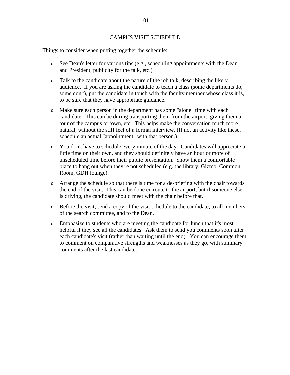#### CAMPUS VISIT SCHEDULE

Things to consider when putting together the schedule:

- <sup>O</sup> See Dean's letter for various tips (e.g., scheduling appointments with the Dean and President, publicity for the talk, etc.)
- <sup>O</sup> Talk to the candidate about the nature of the job talk, describing the likely audience. If you are asking the candidate to teach a class (some departments do, some don't), put the candidate in touch with the faculty member whose class it is, to be sure that they have appropriate guidance.
- <sup>O</sup> Make sure each person in the department has some "alone" time with each candidate. This can be during transporting them from the airport, giving them a tour of the campus or town, etc. This helps make the conversation much more natural, without the stiff feel of a formal interview. (If not an activity like these, schedule an actual "appointment" with that person.)
- <sup>O</sup> You don't have to schedule every minute of the day. Candidates will appreciate a little time on their own, and they should definitely have an hour or more of unscheduled time before their public presentation. Show them a comfortable place to hang out when they're not scheduled (e.g. the library, Gizmo, Common Room, GDH lounge).
- $\circ$  Arrange the schedule so that there is time for a de-briefing with the chair towards the end of the visit. This can be done en route to the airport, but if someone else is driving, the candidate should meet with the chair before that.
- $\circ$  Before the visit, send a copy of the visit schedule to the candidate, to all members of the search committee, and to the Dean.
- <sup>O</sup> Emphasize to students who are meeting the candidate for lunch that it's most helpful if they see all the candidates. Ask them to send you comments soon after each candidate's visit (rather than waiting until the end). You can encourage them to comment on comparative strengths and weaknesses as they go, with summary comments after the last candidate.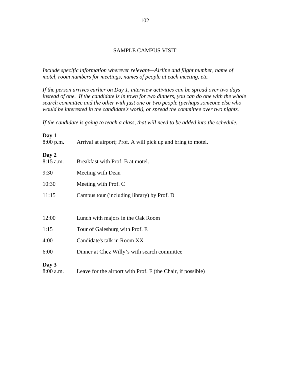## SAMPLE CAMPUS VISIT

*Include specific information wherever relevant—Airline and flight number, name of motel, room numbers for meetings, names of people at each meeting, etc.* 

*If the person arrives earlier on Day 1, interview activities can be spread over two days instead of one. If the candidate is in town for two dinners, you can do one with the whole search committee and the other with just one or two people (perhaps someone else who would be interested in the candidate's work), or spread the committee over two nights.* 

*If the candidate is going to teach a class, that will need to be added into the schedule.* 

# **Day 1**  8:00 p.m. Arrival at airport; Prof. A will pick up and bring to motel. **Day 2**  8:15 a.m. Breakfast with Prof. B at motel. 9:30 Meeting with Dean 10:30 Meeting with Prof. C 11:15 Campus tour (including library) by Prof. D 12:00 Lunch with majors in the Oak Room 1:15 Tour of Galesburg with Prof. E 4:00 Candidate's talk in Room XX 6:00 Dinner at Chez Willy's with search committee **Day 3**  8:00 a.m. Leave for the airport with Prof. F (the Chair, if possible)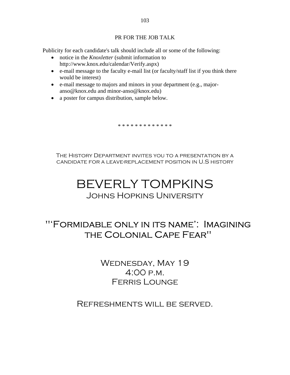# PR FOR THE JOB TALK

Publicity for each candidate's talk should include all or some of the following:

- notice in the *Knoxletter* (submit information to http://www.knox.edu/calendar/Verify.aspx)
- e-mail message to the faculty e-mail list (or faculty/staff list if you think there would be interest)
- e-mail message to majors and minors in your department (e.g., majoranso@knox.edu and minor-anso@knox.edu)
- a poster for campus distribution, sample below.

\* \* \* \* \* \* \* \* \* \* \* \* \*

The History Department invites you to a presentation by a candidate for a leave-replacement position in U.S history

# BEVERLY TOMPKINS Johns Hopkins University

# "'Formidable only in its name': Imagining the Colonial Cape Fear"

WEDNESDAY, MAY 19 4:00 p.m. Ferris Lounge

# Refreshments will be served.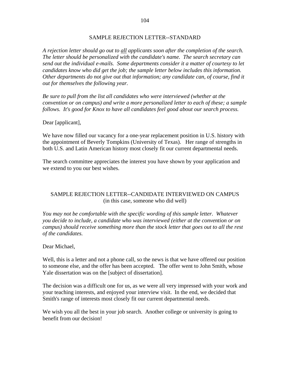### SAMPLE REJECTION LETTER--STANDARD

*A rejection letter should go out to all applicants soon after the completion of the search. The letter should be personalized with the candidate's name. The search secretary can send out the individual e-mails. Some departments consider it a matter of courtesy to let candidates know who did get the job; the sample letter below includes this information. Other departments do not give out that information; any candidate can, of course, find it out for themselves the following year.* 

*Be sure to pull from the list all candidates who were interviewed (whether at the convention or on campus) and write a more personalized letter to each of these; a sample follows. It's good for Knox to have all candidates feel good about our search process.* 

Dear [applicant],

We have now filled our vacancy for a one-year replacement position in U.S. history with the appointment of Beverly Tompkins (University of Texas). Her range of strengths in both U.S. and Latin American history most closely fit our current departmental needs.

The search committee appreciates the interest you have shown by your application and we extend to you our best wishes.

# SAMPLE REJECTION LETTER--CANDIDATE INTERVIEWED ON CAMPUS (in this case, someone who did well)

*You may not be comfortable with the specific wording of this sample letter. Whatever you decide to include, a candidate who was interviewed (either at the convention or on campus) should receive something more than the stock letter that goes out to all the rest of the candidates.* 

## Dear Michael,

Well, this is a letter and not a phone call, so the news is that we have offered our position to someone else, and the offer has been accepted. The offer went to John Smith, whose Yale dissertation was on the [subject of dissertation].

The decision was a difficult one for us, as we were all very impressed with your work and your teaching interests, and enjoyed your interview visit. In the end, we decided that Smith's range of interests most closely fit our current departmental needs.

We wish you all the best in your job search. Another college or university is going to benefit from our decision!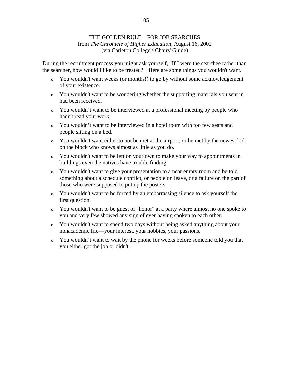# THE GOLDEN RULE—FOR JOB SEARCHES from *The Chronicle of Higher Education,* August 16, 2002 (via Carleton College's Chairs' Guide)

During the recruitment process you might ask yourself, "If I were the searchee rather than the searcher, how would I like to be treated?" Here are some things you wouldn't want.

- <sup>o</sup> You wouldn't want weeks (or months!) to go by without some acknowledgement of your existence.
- <sup>o</sup> You wouldn't want to be wondering whether the supporting materials you sent in had been received.
- <sup>o</sup> You wouldn't want to be interviewed at a professional meeting by people who hadn't read your work.
- <sup>o</sup> You wouldn't want to be interviewed in a hotel room with too few seats and people sitting on a bed.
- <sup>o</sup> You wouldn't want either to not be met at the airport, or be met by the newest kid on the block who knows almost as little as you do.
- <sup>o</sup> You wouldn't want to be left on your own to make your way to appointments in buildings even the natives have trouble finding.
- <sup>o</sup> You wouldn't want to give your presentation to a near empty room and be told something about a schedule conflict, or people on leave, or a failure on the part of those who were supposed to put up the posters.
- <sup>o</sup> You wouldn't want to be forced by an embarrassing silence to ask yourself the first question.
- <sup>o</sup> You wouldn't want to be guest of "honor" at a party where almost no one spoke to you and very few showed any sign of ever having spoken to each other.
- <sup>o</sup> You wouldn't want to spend two days without being asked anything about your nonacademic life—your interest, your hobbies, your passions.
- <sup>o</sup> You wouldn't want to wait by the phone for weeks before someone told you that you either got the job or didn't.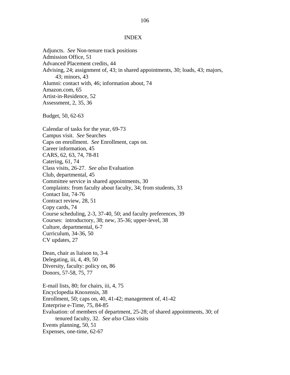#### INDEX

Adjuncts. *See* Non-tenure track positions Admission Office, 51 Advanced Placement credits, 44 Advising, 24; assignment of, 43; in shared appointments, 30; loads, 43; majors, 43; minors, 43 Alumni: contact with, 46; information about, 74 Amazon.com, 65 Artist-in-Residence, 52 Assessment, 2, 35, 36 Budget, 50, 62-63 Calendar of tasks for the year, 69-73 Campus visit. *See* Searches Caps on enrollment. *See* Enrollment, caps on. Career information, 45 CARS, 62, 63, 74, 78-81 Catering, 61, 74 Class visits, 26-27. *See also* Evaluation Club, departmental, 45 Committee service in shared appointments, 30 Complaints: from faculty about faculty, 34; from students, 33 Contact list, 74-76 Contract review, 28, 51 Copy cards, 74 Course scheduling, 2-3, 37-40, 50; and faculty preferences, 39 Courses: introductory, 38; new, 35-36; upper-level, 38 Culture, departmental, 6-7 Curriculum, 34-36, 50 CV updates, 27 Dean, chair as liaison to, 3-4 Delegating, iii, 4, 49, 50 Diversity, faculty: policy on, 86 Donors, 57-58, 75, 77 E-mail lists, 80; for chairs, iii, 4, 75 Encyclopedia Knoxensis, 38 Enrollment, 50; caps on, 40, 41-42; management of, 41-42 Enterprise e-Time, 75, 84-85 Evaluation: of members of department, 25-28; of shared appointments, 30; of tenured faculty, 32. *See also* Class visits Events planning, 50, 51 Expenses, one-time, 62-67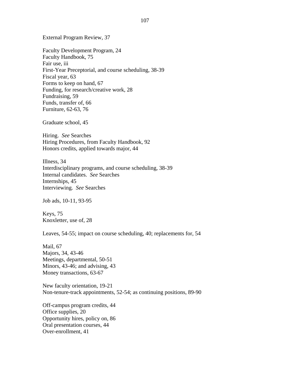External Program Review, 37

Faculty Development Program, 24 Faculty Handbook, 75 Fair use, iii First-Year Preceptorial, and course scheduling, 38-39 Fiscal year, 63 Forms to keep on hand, 67 Funding, for research/creative work, 28 Fundraising, 59 Funds, transfer of, 66 Furniture, 62-63, 76

Graduate school, 45

Hiring. *See* Searches Hiring Procedures, from Faculty Handbook, 92 Honors credits, applied towards major, 44

Illness, 34 Interdisciplinary programs, and course scheduling, 38-39 Internal candidates. *See* Searches Internships, 45 Interviewing. *See* Searches

Job ads, 10-11, 93-95

Keys, 75 Knoxletter, use of, 28

Leaves, 54-55; impact on course scheduling, 40; replacements for, 54

Mail, 67 Majors, 34, 43-46 Meetings, departmental, 50-51 Minors, 43-46; and advising, 43 Money transactions, 63-67

New faculty orientation, 19-21 Non-tenure-track appointments, 52-54; as continuing positions, 89-90

Off-campus program credits, 44 Office supplies, 20 Opportunity hires, policy on, 86 Oral presentation courses, 44 Over-enrollment, 41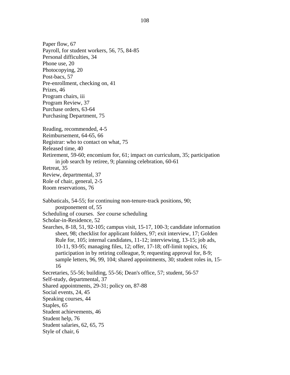Paper flow, 67 Payroll, for student workers, 56, 75, 84-85 Personal difficulties, 34 Phone use, 20 Photocopying, 20 Post-bacs, 57 Pre-enrollment, checking on, 41 Prizes, 46 Program chairs, iii Program Review, 37 Purchase orders, 63-64 Purchasing Department, 75 Reading, recommended, 4-5 Reimbursement, 64-65, 66 Registrar: who to contact on what, 75 Released time, 40 Retirement, 59-60; encomium for, 61; impact on curriculum, 35; participation in job search by retiree, 9; planning celebration, 60-61 Retreat, 35 Review, departmental, 37 Role of chair, general, 2-5 Room reservations, 76 Sabbaticals, 54-55; for continuing non-tenure-track positions, 90; postponement of, 55 Scheduling of courses. *See* course scheduling Scholar-in-Residence, 52 Searches, 8-18, 51, 92-105; campus visit, 15-17, 100-3; candidate information sheet, 98; checklist for applicant folders, 97; exit interview, 17; Golden Rule for, 105; internal candidates, 11-12; interviewing, 13-15; job ads, 10-11, 93-95; managing files, 12; offer, 17-18; off-limit topics, 16; participation in by retiring colleague, 9; requesting approval for, 8-9; sample letters, 96, 99, 104; shared appointments, 30; student roles in, 15- 16 Secretaries, 55-56; building, 55-56; Dean's office, 57; student, 56-57 Self-study, departmental, 37 Shared appointments, 29-31; policy on, 87-88 Social events, 24, 45 Speaking courses, 44 Staples, 65 Student achievements, 46 Student help, 76 Student salaries, 62, 65, 75 Style of chair, 6